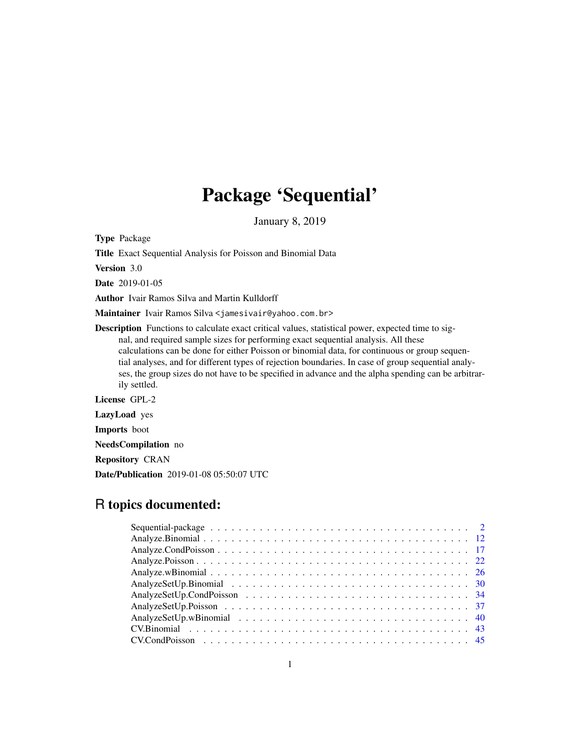# Package 'Sequential'

January 8, 2019

Type Package

Title Exact Sequential Analysis for Poisson and Binomial Data

Version 3.0

Date 2019-01-05

Author Ivair Ramos Silva and Martin Kulldorff

Maintainer Ivair Ramos Silva <jamesivair@yahoo.com.br>

Description Functions to calculate exact critical values, statistical power, expected time to signal, and required sample sizes for performing exact sequential analysis. All these calculations can be done for either Poisson or binomial data, for continuous or group sequential analyses, and for different types of rejection boundaries. In case of group sequential analyses, the group sizes do not have to be specified in advance and the alpha spending can be arbitrarily settled.

License GPL-2

LazyLoad yes

Imports boot

NeedsCompilation no

Repository CRAN

Date/Publication 2019-01-08 05:50:07 UTC

# R topics documented: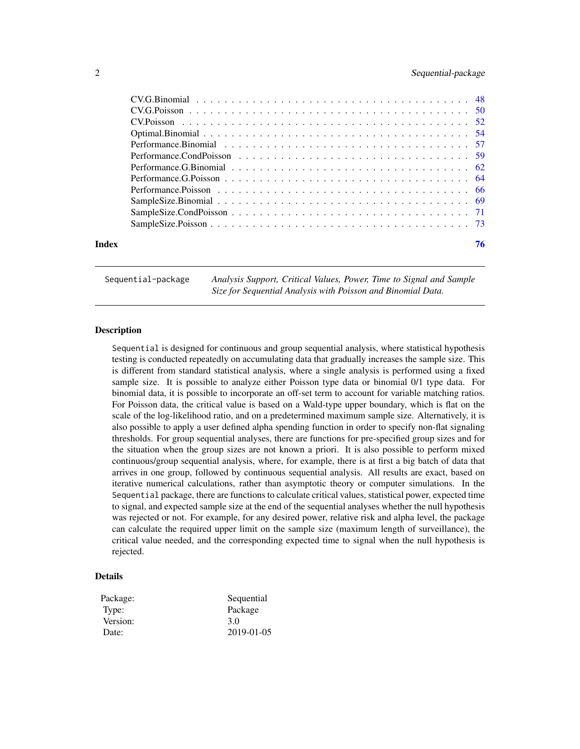<span id="page-1-0"></span>

| Index | 76 |
|-------|----|

Sequential-package *Analysis Support, Critical Values, Power, Time to Signal and Sample Size for Sequential Analysis with Poisson and Binomial Data.*

# **Description**

Sequential is designed for continuous and group sequential analysis, where statistical hypothesis testing is conducted repeatedly on accumulating data that gradually increases the sample size. This is different from standard statistical analysis, where a single analysis is performed using a fixed sample size. It is possible to analyze either Poisson type data or binomial 0/1 type data. For binomial data, it is possible to incorporate an off-set term to account for variable matching ratios. For Poisson data, the critical value is based on a Wald-type upper boundary, which is flat on the scale of the log-likelihood ratio, and on a predetermined maximum sample size. Alternatively, it is also possible to apply a user defined alpha spending function in order to specify non-flat signaling thresholds. For group sequential analyses, there are functions for pre-specified group sizes and for the situation when the group sizes are not known a priori. It is also possible to perform mixed continuous/group sequential analysis, where, for example, there is at first a big batch of data that arrives in one group, followed by continuous sequential analysis. All results are exact, based on iterative numerical calculations, rather than asymptotic theory or computer simulations. In the Sequential package, there are functions to calculate critical values, statistical power, expected time to signal, and expected sample size at the end of the sequential analyses whether the null hypothesis was rejected or not. For example, for any desired power, relative risk and alpha level, the package can calculate the required upper limit on the sample size (maximum length of surveillance), the critical value needed, and the corresponding expected time to signal when the null hypothesis is rejected.

# Details

| Package: | Sequential       |
|----------|------------------|
| Type:    | Package          |
| Version: | 3.0              |
| Date:    | $2019 - 01 - 05$ |
|          |                  |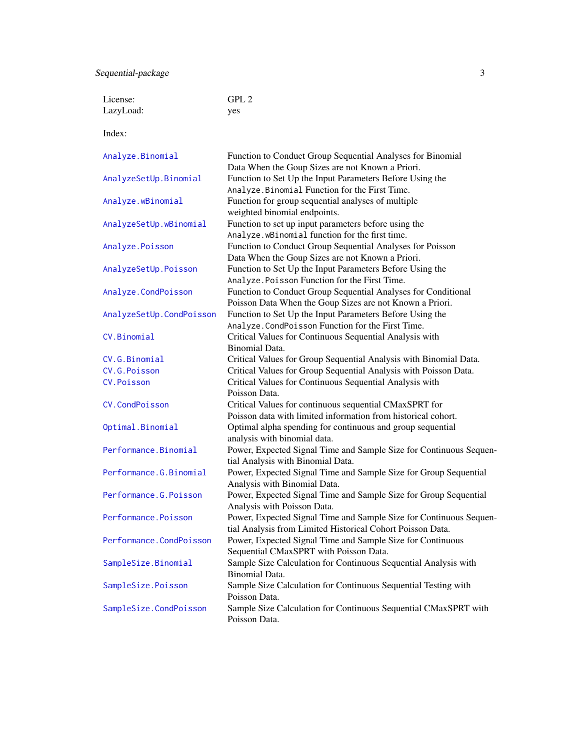Sequential-package 3

| License:                 | GPL <sub>2</sub>                                                                                                                 |
|--------------------------|----------------------------------------------------------------------------------------------------------------------------------|
| LazyLoad:                | yes                                                                                                                              |
| Index:                   |                                                                                                                                  |
| Analyze.Binomial         | Function to Conduct Group Sequential Analyses for Binomial<br>Data When the Goup Sizes are not Known a Priori.                   |
| AnalyzeSetUp.Binomial    | Function to Set Up the Input Parameters Before Using the<br>Analyze. Binomial Function for the First Time.                       |
| Analyze.wBinomial        | Function for group sequential analyses of multiple<br>weighted binomial endpoints.                                               |
| AnalyzeSetUp.wBinomial   | Function to set up input parameters before using the<br>Analyze.wBinomial function for the first time.                           |
| Analyze.Poisson          | Function to Conduct Group Sequential Analyses for Poisson<br>Data When the Goup Sizes are not Known a Priori.                    |
| AnalyzeSetUp.Poisson     | Function to Set Up the Input Parameters Before Using the<br>Analyze. Poisson Function for the First Time.                        |
| Analyze.CondPoisson      | Function to Conduct Group Sequential Analyses for Conditional<br>Poisson Data When the Goup Sizes are not Known a Priori.        |
| AnalyzeSetUp.CondPoisson | Function to Set Up the Input Parameters Before Using the<br>Analyze. CondPoisson Function for the First Time.                    |
| CV.Binomial              | Critical Values for Continuous Sequential Analysis with<br><b>Binomial Data.</b>                                                 |
| CV.G.Binomial            | Critical Values for Group Sequential Analysis with Binomial Data.                                                                |
| CV.G.Poisson             | Critical Values for Group Sequential Analysis with Poisson Data.                                                                 |
| CV.Poisson               | Critical Values for Continuous Sequential Analysis with<br>Poisson Data.                                                         |
| CV.CondPoisson           | Critical Values for continuous sequential CMaxSPRT for<br>Poisson data with limited information from historical cohort.          |
| Optimal.Binomial         | Optimal alpha spending for continuous and group sequential<br>analysis with binomial data.                                       |
| Performance.Binomial     | Power, Expected Signal Time and Sample Size for Continuous Sequen-<br>tial Analysis with Binomial Data.                          |
| Performance.G.Binomial   | Power, Expected Signal Time and Sample Size for Group Sequential<br>Analysis with Binomial Data.                                 |
| Performance.G.Poisson    | Power, Expected Signal Time and Sample Size for Group Sequential<br>Analysis with Poisson Data.                                  |
| Performance.Poisson      | Power, Expected Signal Time and Sample Size for Continuous Sequen-<br>tial Analysis from Limited Historical Cohort Poisson Data. |
| Performance.CondPoisson  | Power, Expected Signal Time and Sample Size for Continuous<br>Sequential CMaxSPRT with Poisson Data.                             |
| SampleSize.Binomial      | Sample Size Calculation for Continuous Sequential Analysis with<br>Binomial Data.                                                |
| SampleSize.Poisson       | Sample Size Calculation for Continuous Sequential Testing with<br>Poisson Data.                                                  |
| SampleSize.CondPoisson   | Sample Size Calculation for Continuous Sequential CMaxSPRT with<br>Poisson Data.                                                 |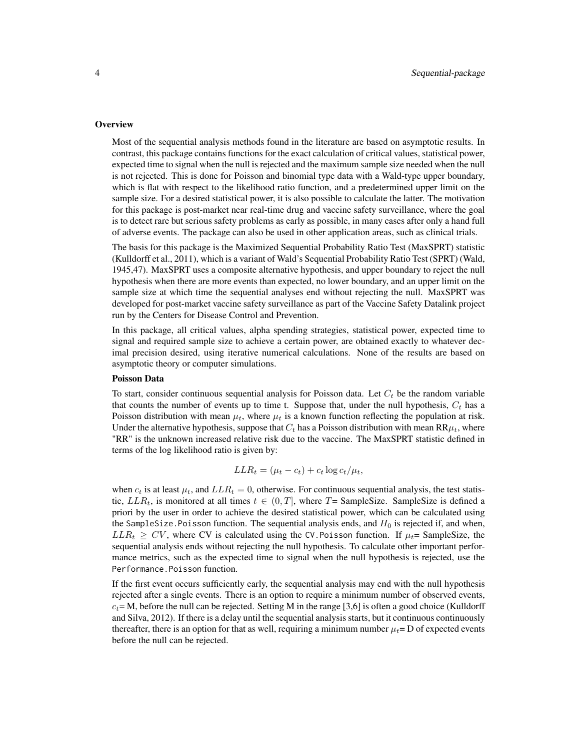#### **Overview**

Most of the sequential analysis methods found in the literature are based on asymptotic results. In contrast, this package contains functions for the exact calculation of critical values, statistical power, expected time to signal when the null is rejected and the maximum sample size needed when the null is not rejected. This is done for Poisson and binomial type data with a Wald-type upper boundary, which is flat with respect to the likelihood ratio function, and a predetermined upper limit on the sample size. For a desired statistical power, it is also possible to calculate the latter. The motivation for this package is post-market near real-time drug and vaccine safety surveillance, where the goal is to detect rare but serious safety problems as early as possible, in many cases after only a hand full of adverse events. The package can also be used in other application areas, such as clinical trials.

The basis for this package is the Maximized Sequential Probability Ratio Test (MaxSPRT) statistic (Kulldorff et al., 2011), which is a variant of Wald's Sequential Probability Ratio Test (SPRT) (Wald, 1945,47). MaxSPRT uses a composite alternative hypothesis, and upper boundary to reject the null hypothesis when there are more events than expected, no lower boundary, and an upper limit on the sample size at which time the sequential analyses end without rejecting the null. MaxSPRT was developed for post-market vaccine safety surveillance as part of the Vaccine Safety Datalink project run by the Centers for Disease Control and Prevention.

In this package, all critical values, alpha spending strategies, statistical power, expected time to signal and required sample size to achieve a certain power, are obtained exactly to whatever decimal precision desired, using iterative numerical calculations. None of the results are based on asymptotic theory or computer simulations.

# Poisson Data

To start, consider continuous sequential analysis for Poisson data. Let  $C_t$  be the random variable that counts the number of events up to time t. Suppose that, under the null hypothesis,  $C_t$  has a Poisson distribution with mean  $\mu_t$ , where  $\mu_t$  is a known function reflecting the population at risk. Under the alternative hypothesis, suppose that  $C_t$  has a Poisson distribution with mean  $\text{RR}\mu_t$ , where "RR" is the unknown increased relative risk due to the vaccine. The MaxSPRT statistic defined in terms of the log likelihood ratio is given by:

$$
LLR_t = (\mu_t - c_t) + c_t \log c_t / \mu_t,
$$

when  $c_t$  is at least  $\mu_t$ , and  $LLR_t = 0$ , otherwise. For continuous sequential analysis, the test statistic,  $LLR_t$ , is monitored at all times  $t \in (0, T]$ , where T= SampleSize. SampleSize is defined a priori by the user in order to achieve the desired statistical power, which can be calculated using the SampleSize. Poisson function. The sequential analysis ends, and  $H_0$  is rejected if, and when,  $LLR_t \geq CV$ , where CV is calculated using the CV. Poisson function. If  $\mu_t$ = SampleSize, the sequential analysis ends without rejecting the null hypothesis. To calculate other important performance metrics, such as the expected time to signal when the null hypothesis is rejected, use the Performance.Poisson function.

If the first event occurs sufficiently early, the sequential analysis may end with the null hypothesis rejected after a single events. There is an option to require a minimum number of observed events,  $c_t$ = M, before the null can be rejected. Setting M in the range [3,6] is often a good choice (Kulldorff and Silva, 2012). If there is a delay until the sequential analysis starts, but it continuous continuously thereafter, there is an option for that as well, requiring a minimum number  $\mu_t=$  D of expected events before the null can be rejected.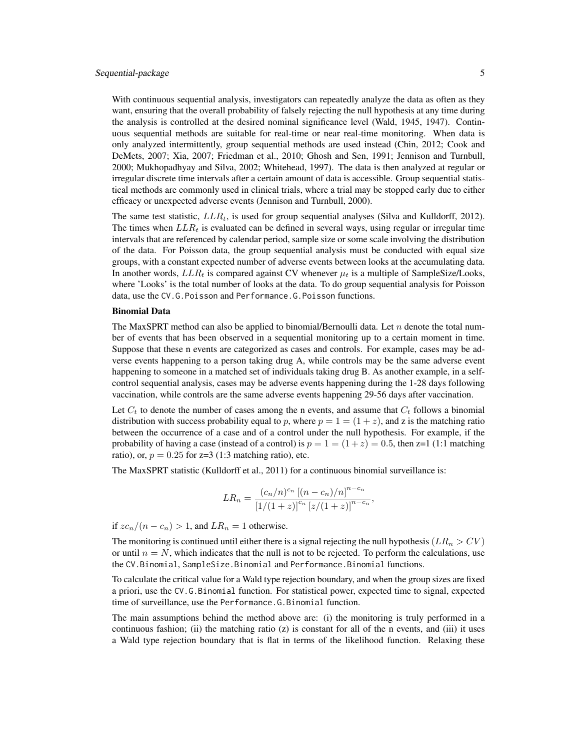# Sequential-package 5

With continuous sequential analysis, investigators can repeatedly analyze the data as often as they want, ensuring that the overall probability of falsely rejecting the null hypothesis at any time during the analysis is controlled at the desired nominal significance level (Wald, 1945, 1947). Continuous sequential methods are suitable for real-time or near real-time monitoring. When data is only analyzed intermittently, group sequential methods are used instead (Chin, 2012; Cook and DeMets, 2007; Xia, 2007; Friedman et al., 2010; Ghosh and Sen, 1991; Jennison and Turnbull, 2000; Mukhopadhyay and Silva, 2002; Whitehead, 1997). The data is then analyzed at regular or irregular discrete time intervals after a certain amount of data is accessible. Group sequential statistical methods are commonly used in clinical trials, where a trial may be stopped early due to either efficacy or unexpected adverse events (Jennison and Turnbull, 2000).

The same test statistic,  $LLR_t$ , is used for group sequential analyses (Silva and Kulldorff, 2012). The times when  $LLR_t$  is evaluated can be defined in several ways, using regular or irregular time intervals that are referenced by calendar period, sample size or some scale involving the distribution of the data. For Poisson data, the group sequential analysis must be conducted with equal size groups, with a constant expected number of adverse events between looks at the accumulating data. In another words,  $LLR_t$  is compared against CV whenever  $\mu_t$  is a multiple of SampleSize/Looks, where 'Looks' is the total number of looks at the data. To do group sequential analysis for Poisson data, use the CV.G.Poisson and Performance.G.Poisson functions.

# Binomial Data

The MaxSPRT method can also be applied to binomial/Bernoulli data. Let  $n$  denote the total number of events that has been observed in a sequential monitoring up to a certain moment in time. Suppose that these n events are categorized as cases and controls. For example, cases may be adverse events happening to a person taking drug A, while controls may be the same adverse event happening to someone in a matched set of individuals taking drug B. As another example, in a selfcontrol sequential analysis, cases may be adverse events happening during the 1-28 days following vaccination, while controls are the same adverse events happening 29-56 days after vaccination.

Let  $C_t$  to denote the number of cases among the n events, and assume that  $C_t$  follows a binomial distribution with success probability equal to p, where  $p = 1 = (1 + z)$ , and z is the matching ratio between the occurrence of a case and of a control under the null hypothesis. For example, if the probability of having a case (instead of a control) is  $p = 1 = (1 + z) = 0.5$ , then z=1 (1:1 matching ratio), or,  $p = 0.25$  for z=3 (1:3 matching ratio), etc.

The MaxSPRT statistic (Kulldorff et al., 2011) for a continuous binomial surveillance is:

$$
LR_n = \frac{(c_n/n)^{c_n} [(n - c_n)/n]^{n - c_n}}{[1/(1 + z)]^{c_n} [z/(1 + z)]^{n - c_n}},
$$

if  $zc_n/(n - c_n) > 1$ , and  $LR_n = 1$  otherwise.

The monitoring is continued until either there is a signal rejecting the null hypothesis ( $LR_n > CV$ ) or until  $n = N$ , which indicates that the null is not to be rejected. To perform the calculations, use the CV.Binomial, SampleSize.Binomial and Performance.Binomial functions.

To calculate the critical value for a Wald type rejection boundary, and when the group sizes are fixed a priori, use the CV.G.Binomial function. For statistical power, expected time to signal, expected time of surveillance, use the Performance.G.Binomial function.

The main assumptions behind the method above are: (i) the monitoring is truly performed in a continuous fashion; (ii) the matching ratio  $(z)$  is constant for all of the n events, and (iii) it uses a Wald type rejection boundary that is flat in terms of the likelihood function. Relaxing these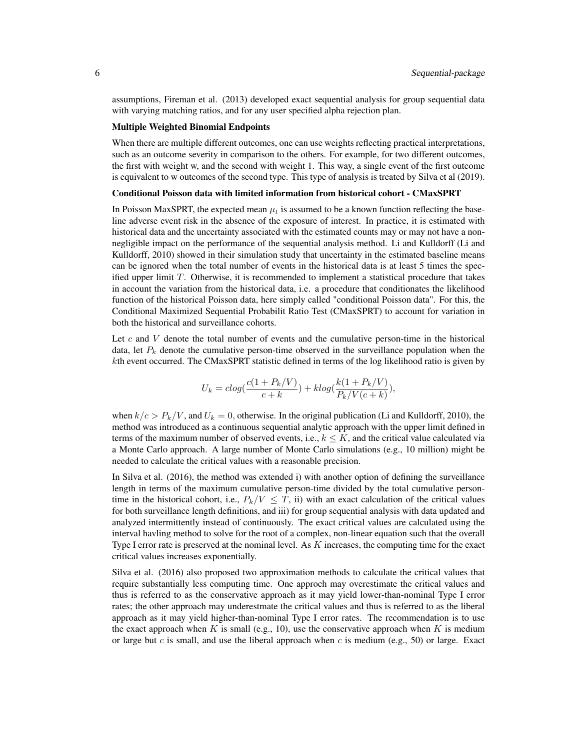assumptions, Fireman et al. (2013) developed exact sequential analysis for group sequential data with varying matching ratios, and for any user specified alpha rejection plan.

#### Multiple Weighted Binomial Endpoints

When there are multiple different outcomes, one can use weights reflecting practical interpretations, such as an outcome severity in comparison to the others. For example, for two different outcomes, the first with weight w, and the second with weight 1. This way, a single event of the first outcome is equivalent to w outcomes of the second type. This type of analysis is treated by Silva et al (2019).

#### Conditional Poisson data with limited information from historical cohort - CMaxSPRT

In Poisson MaxSPRT, the expected mean  $\mu_t$  is assumed to be a known function reflecting the baseline adverse event risk in the absence of the exposure of interest. In practice, it is estimated with historical data and the uncertainty associated with the estimated counts may or may not have a nonnegligible impact on the performance of the sequential analysis method. Li and Kulldorff (Li and Kulldorff, 2010) showed in their simulation study that uncertainty in the estimated baseline means can be ignored when the total number of events in the historical data is at least 5 times the specified upper limit  $T$ . Otherwise, it is recommended to implement a statistical procedure that takes in account the variation from the historical data, i.e. a procedure that conditionates the likelihood function of the historical Poisson data, here simply called "conditional Poisson data". For this, the Conditional Maximized Sequential Probabilit Ratio Test (CMaxSPRT) to account for variation in both the historical and surveillance cohorts.

Let  $c$  and  $V$  denote the total number of events and the cumulative person-time in the historical data, let  $P_k$  denote the cumulative person-time observed in the surveillance population when the kth event occurred. The CMaxSPRT statistic defined in terms of the log likelihood ratio is given by

$$
U_k = c \log(\frac{c(1+P_k/V)}{c+k}) + k \log(\frac{k(1+P_k/V)}{P_k/V(c+k)}),
$$

when  $k/c > P_k/V$ , and  $U_k = 0$ , otherwise. In the original publication (Li and Kulldorff, 2010), the method was introduced as a continuous sequential analytic approach with the upper limit defined in terms of the maximum number of observed events, i.e.,  $k \leq K$ , and the critical value calculated via a Monte Carlo approach. A large number of Monte Carlo simulations (e.g., 10 million) might be needed to calculate the critical values with a reasonable precision.

In Silva et al. (2016), the method was extended i) with another option of defining the surveillance length in terms of the maximum cumulative person-time divided by the total cumulative persontime in the historical cohort, i.e.,  $P_k/V \leq T$ , ii) with an exact calculation of the critical values for both surveillance length definitions, and iii) for group sequential analysis with data updated and analyzed intermittently instead of continuously. The exact critical values are calculated using the interval havling method to solve for the root of a complex, non-linear equation such that the overall Type I error rate is preserved at the nominal level. As  $K$  increases, the computing time for the exact critical values increases exponentially.

Silva et al. (2016) also proposed two approximation methods to calculate the critical values that require substantially less computing time. One approch may overestimate the critical values and thus is referred to as the conservative approach as it may yield lower-than-nominal Type I error rates; the other approach may underestmate the critical values and thus is referred to as the liberal approach as it may yield higher-than-nominal Type I error rates. The recommendation is to use the exact approach when K is small (e.g., 10), use the conservative approach when K is medium or large but c is small, and use the liberal approach when c is medium (e.g., 50) or large. Exact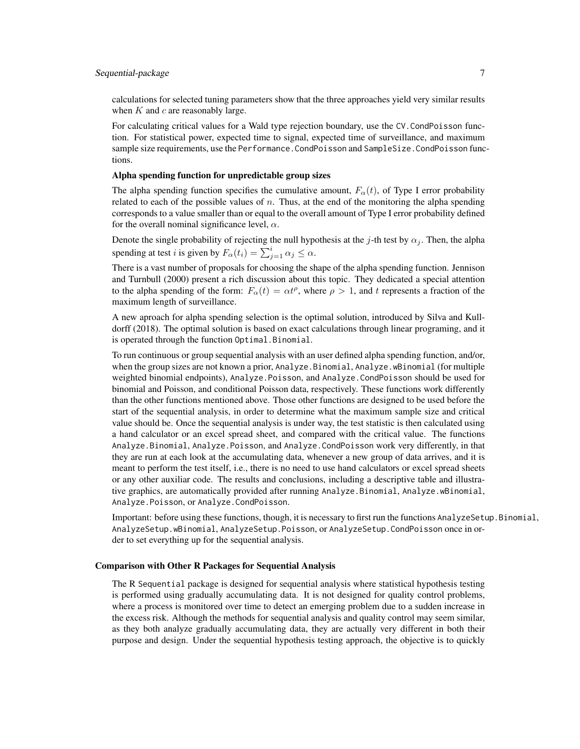# Sequential-package 7

calculations for selected tuning parameters show that the three approaches yield very similar results when  $K$  and  $c$  are reasonably large.

For calculating critical values for a Wald type rejection boundary, use the CV.CondPoisson function. For statistical power, expected time to signal, expected time of surveillance, and maximum sample size requirements, use the Performance. CondPoisson and SampleSize. CondPoisson functions.

# Alpha spending function for unpredictable group sizes

The alpha spending function specifies the cumulative amount,  $F_{\alpha}(t)$ , of Type I error probability related to each of the possible values of  $n$ . Thus, at the end of the monitoring the alpha spending corresponds to a value smaller than or equal to the overall amount of Type I error probability defined for the overall nominal significance level,  $\alpha$ .

Denote the single probability of rejecting the null hypothesis at the j-th test by  $\alpha_i$ . Then, the alpha spending at test *i* is given by  $F_{\alpha}(t_i) = \sum_{j=1}^{i} \alpha_j \leq \alpha$ .

There is a vast number of proposals for choosing the shape of the alpha spending function. Jennison and Turnbull (2000) present a rich discussion about this topic. They dedicated a special attention to the alpha spending of the form:  $F_{\alpha}(t) = \alpha t^{\rho}$ , where  $\rho > 1$ , and t represents a fraction of the maximum length of surveillance.

A new aproach for alpha spending selection is the optimal solution, introduced by Silva and Kulldorff (2018). The optimal solution is based on exact calculations through linear programing, and it is operated through the function Optimal.Binomial.

To run continuous or group sequential analysis with an user defined alpha spending function, and/or, when the group sizes are not known a prior, Analyze.Binomial, Analyze.wBinomial (for multiple weighted binomial endpoints), Analyze.Poisson, and Analyze.CondPoisson should be used for binomial and Poisson, and conditional Poisson data, respectively. These functions work differently than the other functions mentioned above. Those other functions are designed to be used before the start of the sequential analysis, in order to determine what the maximum sample size and critical value should be. Once the sequential analysis is under way, the test statistic is then calculated using a hand calculator or an excel spread sheet, and compared with the critical value. The functions Analyze.Binomial, Analyze.Poisson, and Analyze.CondPoisson work very differently, in that they are run at each look at the accumulating data, whenever a new group of data arrives, and it is meant to perform the test itself, i.e., there is no need to use hand calculators or excel spread sheets or any other auxiliar code. The results and conclusions, including a descriptive table and illustrative graphics, are automatically provided after running Analyze.Binomial, Analyze.wBinomial, Analyze.Poisson, or Analyze.CondPoisson.

Important: before using these functions, though, it is necessary to first run the functions AnalyzeSetup.Binomial, AnalyzeSetup.wBinomial, AnalyzeSetup.Poisson, or AnalyzeSetup.CondPoisson once in order to set everything up for the sequential analysis.

#### Comparison with Other R Packages for Sequential Analysis

The R Sequential package is designed for sequential analysis where statistical hypothesis testing is performed using gradually accumulating data. It is not designed for quality control problems, where a process is monitored over time to detect an emerging problem due to a sudden increase in the excess risk. Although the methods for sequential analysis and quality control may seem similar, as they both analyze gradually accumulating data, they are actually very different in both their purpose and design. Under the sequential hypothesis testing approach, the objective is to quickly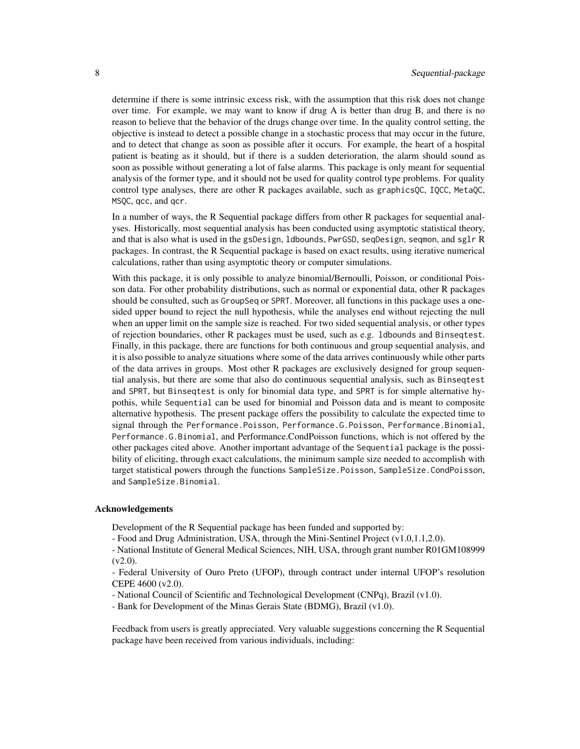determine if there is some intrinsic excess risk, with the assumption that this risk does not change over time. For example, we may want to know if drug A is better than drug B, and there is no reason to believe that the behavior of the drugs change over time. In the quality control setting, the objective is instead to detect a possible change in a stochastic process that may occur in the future, and to detect that change as soon as possible after it occurs. For example, the heart of a hospital patient is beating as it should, but if there is a sudden deterioration, the alarm should sound as soon as possible without generating a lot of false alarms. This package is only meant for sequential analysis of the former type, and it should not be used for quality control type problems. For quality control type analyses, there are other R packages available, such as graphicsQC, IQCC, MetaQC, MSQC, qcc, and qcr.

In a number of ways, the R Sequential package differs from other R packages for sequential analyses. Historically, most sequential analysis has been conducted using asymptotic statistical theory, and that is also what is used in the gsDesign, ldbounds, PwrGSD, seqDesign, seqmon, and sglr R packages. In contrast, the R Sequential package is based on exact results, using iterative numerical calculations, rather than using asymptotic theory or computer simulations.

With this package, it is only possible to analyze binomial/Bernoulli, Poisson, or conditional Poisson data. For other probability distributions, such as normal or exponential data, other R packages should be consulted, such as GroupSeq or SPRT. Moreover, all functions in this package uses a onesided upper bound to reject the null hypothesis, while the analyses end without rejecting the null when an upper limit on the sample size is reached. For two sided sequential analysis, or other types of rejection boundaries, other R packages must be used, such as e.g. ldbounds and Binseqtest. Finally, in this package, there are functions for both continuous and group sequential analysis, and it is also possible to analyze situations where some of the data arrives continuously while other parts of the data arrives in groups. Most other R packages are exclusively designed for group sequential analysis, but there are some that also do continuous sequential analysis, such as Binseqtest and SPRT, but Binseqtest is only for binomial data type, and SPRT is for simple alternative hypothis, while Sequential can be used for binomial and Poisson data and is meant to composite alternative hypothesis. The present package offers the possibility to calculate the expected time to signal through the Performance.Poisson, Performance.G.Poisson, Performance.Binomial, Performance.G.Binomial, and Performance.CondPoisson functions, which is not offered by the other packages cited above. Another important advantage of the Sequential package is the possibility of eliciting, through exact calculations, the minimum sample size needed to accomplish with target statistical powers through the functions SampleSize.Poisson, SampleSize.CondPoisson, and SampleSize.Binomial.

# Acknowledgements

Development of the R Sequential package has been funded and supported by:

- Food and Drug Administration, USA, through the Mini-Sentinel Project (v1.0,1.1,2.0).

- National Institute of General Medical Sciences, NIH, USA, through grant number R01GM108999  $(v2.0)$ .

- Federal University of Ouro Preto (UFOP), through contract under internal UFOP's resolution CEPE 4600 (v2.0).

- National Council of Scientific and Technological Development (CNPq), Brazil (v1.0).

- Bank for Development of the Minas Gerais State (BDMG), Brazil (v1.0).

Feedback from users is greatly appreciated. Very valuable suggestions concerning the R Sequential package have been received from various individuals, including: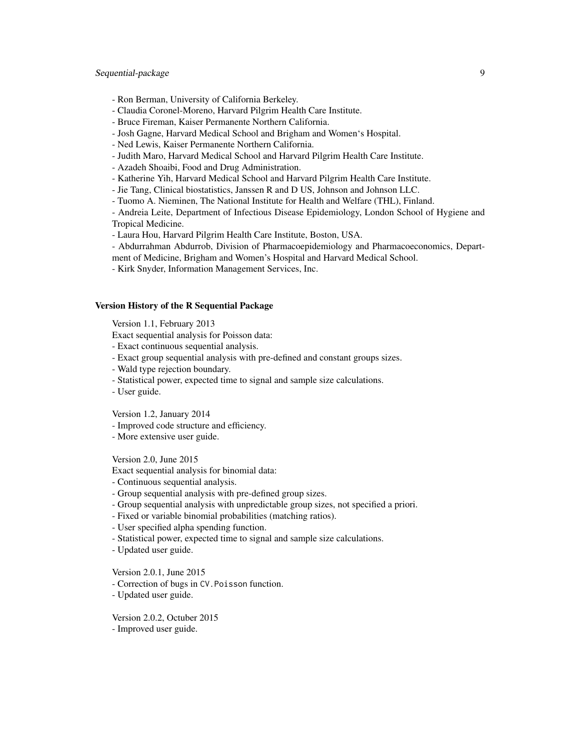# Sequential-package 9

- Ron Berman, University of California Berkeley.
- Claudia Coronel-Moreno, Harvard Pilgrim Health Care Institute.
- Bruce Fireman, Kaiser Permanente Northern California.
- Josh Gagne, Harvard Medical School and Brigham and Women's Hospital.
- Ned Lewis, Kaiser Permanente Northern California.
- Judith Maro, Harvard Medical School and Harvard Pilgrim Health Care Institute.
- Azadeh Shoaibi, Food and Drug Administration.
- Katherine Yih, Harvard Medical School and Harvard Pilgrim Health Care Institute.
- Jie Tang, Clinical biostatistics, Janssen R and D US, Johnson and Johnson LLC.
- Tuomo A. Nieminen, The National Institute for Health and Welfare (THL), Finland.

- Andreia Leite, Department of Infectious Disease Epidemiology, London School of Hygiene and Tropical Medicine.

- Laura Hou, Harvard Pilgrim Health Care Institute, Boston, USA.
- Abdurrahman Abdurrob, Division of Pharmacoepidemiology and Pharmacoeconomics, Department of Medicine, Brigham and Women's Hospital and Harvard Medical School.
- Kirk Snyder, Information Management Services, Inc.

# Version History of the R Sequential Package

Version 1.1, February 2013

Exact sequential analysis for Poisson data:

- Exact continuous sequential analysis.
- Exact group sequential analysis with pre-defined and constant groups sizes.
- Wald type rejection boundary.
- Statistical power, expected time to signal and sample size calculations.
- User guide.

Version 1.2, January 2014

- Improved code structure and efficiency.
- More extensive user guide.

Version 2.0, June 2015

Exact sequential analysis for binomial data:

- Continuous sequential analysis.
- Group sequential analysis with pre-defined group sizes.
- Group sequential analysis with unpredictable group sizes, not specified a priori.
- Fixed or variable binomial probabilities (matching ratios).
- User specified alpha spending function.
- Statistical power, expected time to signal and sample size calculations.
- Updated user guide.

Version 2.0.1, June 2015

- Correction of bugs in CV.Poisson function.
- Updated user guide.

Version 2.0.2, Octuber 2015

- Improved user guide.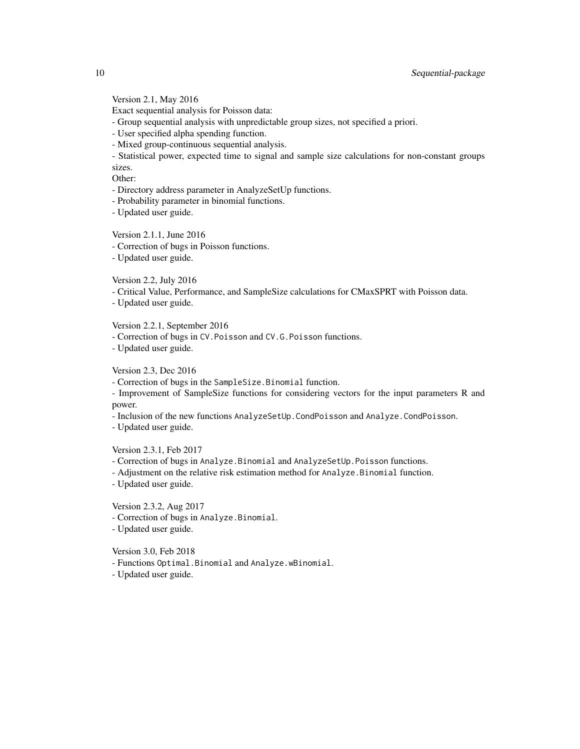Version 2.1, May 2016

Exact sequential analysis for Poisson data:

- Group sequential analysis with unpredictable group sizes, not specified a priori.

- User specified alpha spending function.

- Mixed group-continuous sequential analysis.

- Statistical power, expected time to signal and sample size calculations for non-constant groups sizes.

Other:

- Directory address parameter in AnalyzeSetUp functions.

- Probability parameter in binomial functions.

- Updated user guide.

Version 2.1.1, June 2016

- Correction of bugs in Poisson functions.

- Updated user guide.

Version 2.2, July 2016

- Critical Value, Performance, and SampleSize calculations for CMaxSPRT with Poisson data.

- Updated user guide.

Version 2.2.1, September 2016

- Correction of bugs in CV.Poisson and CV.G.Poisson functions.

- Updated user guide.

Version 2.3, Dec 2016

- Correction of bugs in the SampleSize.Binomial function.

- Improvement of SampleSize functions for considering vectors for the input parameters R and power.

- Inclusion of the new functions AnalyzeSetUp.CondPoisson and Analyze.CondPoisson.

- Updated user guide.

Version 2.3.1, Feb 2017

- Correction of bugs in Analyze.Binomial and AnalyzeSetUp.Poisson functions.

- Adjustment on the relative risk estimation method for Analyze.Binomial function.

- Updated user guide.

Version 2.3.2, Aug 2017

- Correction of bugs in Analyze.Binomial.

- Updated user guide.

Version 3.0, Feb 2018

- Functions Optimal.Binomial and Analyze.wBinomial.

- Updated user guide.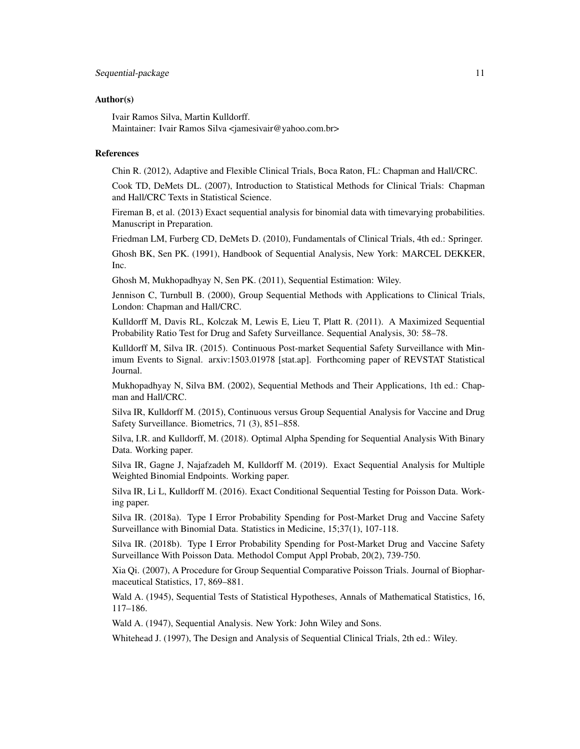# Sequential-package 11

# Author(s)

Ivair Ramos Silva, Martin Kulldorff. Maintainer: Ivair Ramos Silva <jamesivair@yahoo.com.br>

#### References

Chin R. (2012), Adaptive and Flexible Clinical Trials, Boca Raton, FL: Chapman and Hall/CRC.

Cook TD, DeMets DL. (2007), Introduction to Statistical Methods for Clinical Trials: Chapman and Hall/CRC Texts in Statistical Science.

Fireman B, et al. (2013) Exact sequential analysis for binomial data with timevarying probabilities. Manuscript in Preparation.

Friedman LM, Furberg CD, DeMets D. (2010), Fundamentals of Clinical Trials, 4th ed.: Springer.

Ghosh BK, Sen PK. (1991), Handbook of Sequential Analysis, New York: MARCEL DEKKER, Inc.

Ghosh M, Mukhopadhyay N, Sen PK. (2011), Sequential Estimation: Wiley.

Jennison C, Turnbull B. (2000), Group Sequential Methods with Applications to Clinical Trials, London: Chapman and Hall/CRC.

Kulldorff M, Davis RL, Kolczak M, Lewis E, Lieu T, Platt R. (2011). A Maximized Sequential Probability Ratio Test for Drug and Safety Surveillance. Sequential Analysis, 30: 58–78.

Kulldorff M, Silva IR. (2015). Continuous Post-market Sequential Safety Surveillance with Minimum Events to Signal. arxiv:1503.01978 [stat.ap]. Forthcoming paper of REVSTAT Statistical Journal.

Mukhopadhyay N, Silva BM. (2002), Sequential Methods and Their Applications, 1th ed.: Chapman and Hall/CRC.

Silva IR, Kulldorff M. (2015), Continuous versus Group Sequential Analysis for Vaccine and Drug Safety Surveillance. Biometrics, 71 (3), 851–858.

Silva, I.R. and Kulldorff, M. (2018). Optimal Alpha Spending for Sequential Analysis With Binary Data. Working paper.

Silva IR, Gagne J, Najafzadeh M, Kulldorff M. (2019). Exact Sequential Analysis for Multiple Weighted Binomial Endpoints. Working paper.

Silva IR, Li L, Kulldorff M. (2016). Exact Conditional Sequential Testing for Poisson Data. Working paper.

Silva IR. (2018a). Type I Error Probability Spending for Post-Market Drug and Vaccine Safety Surveillance with Binomial Data. Statistics in Medicine, 15;37(1), 107-118.

Silva IR. (2018b). Type I Error Probability Spending for Post-Market Drug and Vaccine Safety Surveillance With Poisson Data. Methodol Comput Appl Probab, 20(2), 739-750.

Xia Qi. (2007), A Procedure for Group Sequential Comparative Poisson Trials. Journal of Biopharmaceutical Statistics, 17, 869–881.

Wald A. (1945), Sequential Tests of Statistical Hypotheses, Annals of Mathematical Statistics, 16, 117–186.

Wald A. (1947), Sequential Analysis. New York: John Wiley and Sons.

Whitehead J. (1997), The Design and Analysis of Sequential Clinical Trials, 2th ed.: Wiley.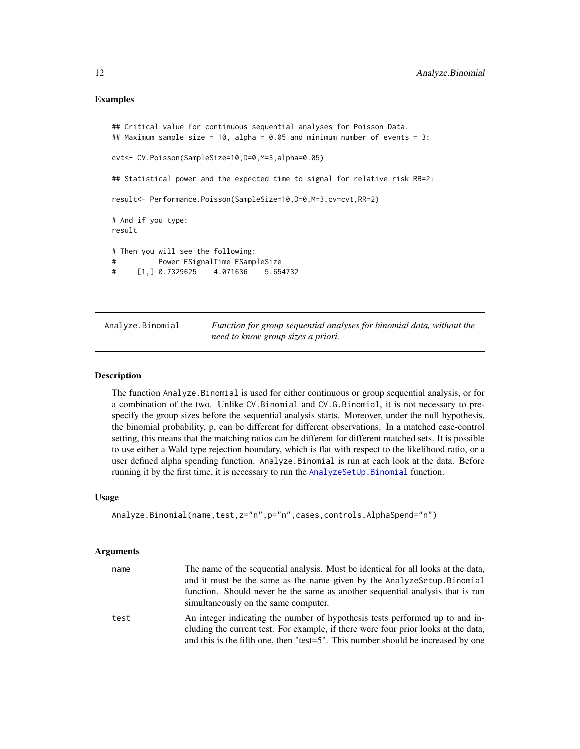# <span id="page-11-0"></span>Examples

```
## Critical value for continuous sequential analyses for Poisson Data.
## Maximum sample size = 10, alpha = 0.05 and minimum number of events = 3:
cvt<- CV.Poisson(SampleSize=10,D=0,M=3,alpha=0.05)
## Statistical power and the expected time to signal for relative risk RR=2:
result<- Performance.Poisson(SampleSize=10,D=0,M=3,cv=cvt,RR=2)
# And if you type:
result
# Then you will see the following:
# Power ESignalTime ESampleSize
# [1,] 0.7329625 4.071636 5.654732
```
<span id="page-11-1"></span>Analyze.Binomial *Function for group sequential analyses for binomial data, without the need to know group sizes a priori.*

# Description

The function Analyze.Binomial is used for either continuous or group sequential analysis, or for a combination of the two. Unlike CV.Binomial and CV.G.Binomial, it is not necessary to prespecify the group sizes before the sequential analysis starts. Moreover, under the null hypothesis, the binomial probability, p, can be different for different observations. In a matched case-control setting, this means that the matching ratios can be different for different matched sets. It is possible to use either a Wald type rejection boundary, which is flat with respect to the likelihood ratio, or a user defined alpha spending function. Analyze.Binomial is run at each look at the data. Before running it by the first time, it is necessary to run the [AnalyzeSetUp.Binomial](#page-29-1) function.

### Usage

```
Analyze.Binomial(name,test,z="n",p="n",cases,controls,AlphaSpend="n")
```
# Arguments

| name | The name of the sequential analysis. Must be identical for all looks at the data,                                                                                                                                                                      |
|------|--------------------------------------------------------------------------------------------------------------------------------------------------------------------------------------------------------------------------------------------------------|
|      | and it must be the same as the name given by the Analyze Setup. Binomial                                                                                                                                                                               |
|      | function. Should never be the same as another sequential analysis that is run<br>simultaneously on the same computer.                                                                                                                                  |
| test | An integer indicating the number of hypothesis tests performed up to and in-<br>cluding the current test. For example, if there were four prior looks at the data,<br>and this is the fifth one, then "test=5". This number should be increased by one |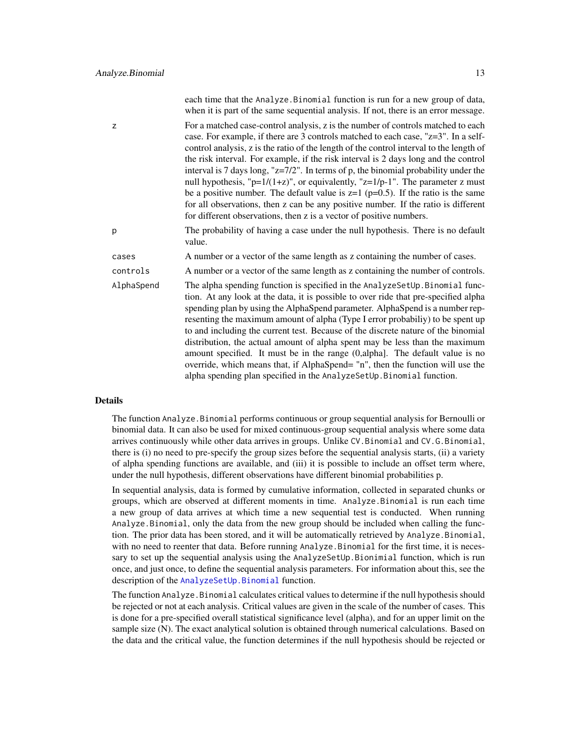|            | each time that the Analyze. Binomial function is run for a new group of data,<br>when it is part of the same sequential analysis. If not, there is an error message.                                                                                                                                                                                                                                                                                                                                                                                                                                                                                                                                                                                                                                 |
|------------|------------------------------------------------------------------------------------------------------------------------------------------------------------------------------------------------------------------------------------------------------------------------------------------------------------------------------------------------------------------------------------------------------------------------------------------------------------------------------------------------------------------------------------------------------------------------------------------------------------------------------------------------------------------------------------------------------------------------------------------------------------------------------------------------------|
| z          | For a matched case-control analysis, z is the number of controls matched to each<br>case. For example, if there are 3 controls matched to each case, "z=3". In a self-<br>control analysis, z is the ratio of the length of the control interval to the length of<br>the risk interval. For example, if the risk interval is 2 days long and the control<br>interval is 7 days long, " $z=7/2$ ". In terms of p, the binomial probability under the<br>null hypothesis, " $p=1/(1+z)$ ", or equivalently, " $z=1/p-1$ ". The parameter z must<br>be a positive number. The default value is $z=1$ ( $p=0.5$ ). If the ratio is the same<br>for all observations, then z can be any positive number. If the ratio is different<br>for different observations, then z is a vector of positive numbers. |
| p          | The probability of having a case under the null hypothesis. There is no default<br>value.                                                                                                                                                                                                                                                                                                                                                                                                                                                                                                                                                                                                                                                                                                            |
| cases      | A number or a vector of the same length as z containing the number of cases.                                                                                                                                                                                                                                                                                                                                                                                                                                                                                                                                                                                                                                                                                                                         |
| controls   | A number or a vector of the same length as z containing the number of controls.                                                                                                                                                                                                                                                                                                                                                                                                                                                                                                                                                                                                                                                                                                                      |
| AlphaSpend | The alpha spending function is specified in the AnalyzeSetUp. Binomial func-<br>tion. At any look at the data, it is possible to over ride that pre-specified alpha<br>spending plan by using the AlphaSpend parameter. AlphaSpend is a number rep-<br>resenting the maximum amount of alpha (Type I error probabiliy) to be spent up<br>to and including the current test. Because of the discrete nature of the binomial<br>distribution, the actual amount of alpha spent may be less than the maximum<br>amount specified. It must be in the range $(0, \text{alpha}]$ . The default value is no<br>override, which means that, if AlphaSpend= "n", then the function will use the<br>alpha spending plan specified in the AnalyzeSetUp. Binomial function.                                      |

# Details

The function Analyze.Binomial performs continuous or group sequential analysis for Bernoulli or binomial data. It can also be used for mixed continuous-group sequential analysis where some data arrives continuously while other data arrives in groups. Unlike CV.Binomial and CV.G.Binomial, there is (i) no need to pre-specify the group sizes before the sequential analysis starts, (ii) a variety of alpha spending functions are available, and (iii) it is possible to include an offset term where, under the null hypothesis, different observations have different binomial probabilities p.

In sequential analysis, data is formed by cumulative information, collected in separated chunks or groups, which are observed at different moments in time. Analyze.Binomial is run each time a new group of data arrives at which time a new sequential test is conducted. When running Analyze.Binomial, only the data from the new group should be included when calling the function. The prior data has been stored, and it will be automatically retrieved by Analyze.Binomial, with no need to reenter that data. Before running Analyze.Binomial for the first time, it is necessary to set up the sequential analysis using the AnalyzeSetUp.Bionimial function, which is run once, and just once, to define the sequential analysis parameters. For information about this, see the description of the AnalyzeSetUp. Binomial function.

The function Analyze.Binomial calculates critical values to determine if the null hypothesis should be rejected or not at each analysis. Critical values are given in the scale of the number of cases. This is done for a pre-specified overall statistical significance level (alpha), and for an upper limit on the sample size (N). The exact analytical solution is obtained through numerical calculations. Based on the data and the critical value, the function determines if the null hypothesis should be rejected or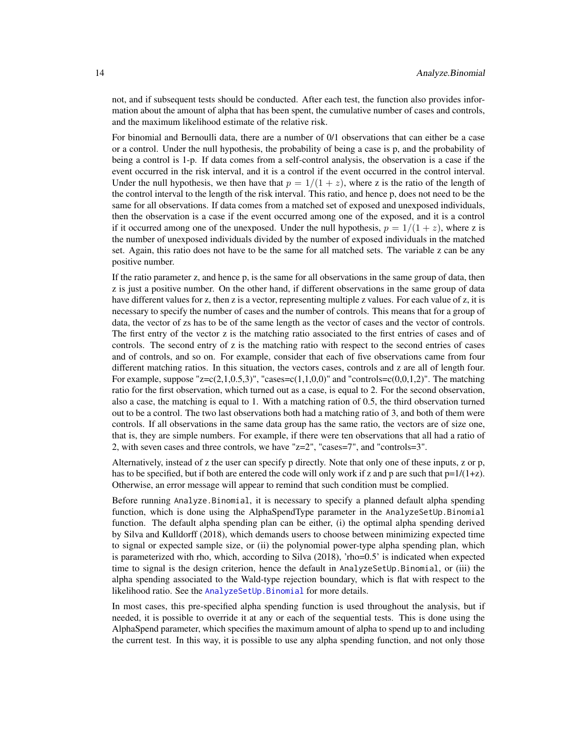not, and if subsequent tests should be conducted. After each test, the function also provides information about the amount of alpha that has been spent, the cumulative number of cases and controls, and the maximum likelihood estimate of the relative risk.

For binomial and Bernoulli data, there are a number of 0/1 observations that can either be a case or a control. Under the null hypothesis, the probability of being a case is p, and the probability of being a control is 1-p. If data comes from a self-control analysis, the observation is a case if the event occurred in the risk interval, and it is a control if the event occurred in the control interval. Under the null hypothesis, we then have that  $p = 1/(1 + z)$ , where z is the ratio of the length of the control interval to the length of the risk interval. This ratio, and hence p, does not need to be the same for all observations. If data comes from a matched set of exposed and unexposed individuals, then the observation is a case if the event occurred among one of the exposed, and it is a control if it occurred among one of the unexposed. Under the null hypothesis,  $p = 1/(1 + z)$ , where z is the number of unexposed individuals divided by the number of exposed individuals in the matched set. Again, this ratio does not have to be the same for all matched sets. The variable z can be any positive number.

If the ratio parameter z, and hence p, is the same for all observations in the same group of data, then z is just a positive number. On the other hand, if different observations in the same group of data have different values for z, then z is a vector, representing multiple z values. For each value of z, it is necessary to specify the number of cases and the number of controls. This means that for a group of data, the vector of zs has to be of the same length as the vector of cases and the vector of controls. The first entry of the vector z is the matching ratio associated to the first entries of cases and of controls. The second entry of z is the matching ratio with respect to the second entries of cases and of controls, and so on. For example, consider that each of five observations came from four different matching ratios. In this situation, the vectors cases, controls and z are all of length four. For example, suppose " $z=c(2,1,0.5,3)$ ", "cases= $c(1,1,0,0)$ " and "controls= $c(0,0,1,2)$ ". The matching ratio for the first observation, which turned out as a case, is equal to 2. For the second observation, also a case, the matching is equal to 1. With a matching ration of 0.5, the third observation turned out to be a control. The two last observations both had a matching ratio of 3, and both of them were controls. If all observations in the same data group has the same ratio, the vectors are of size one, that is, they are simple numbers. For example, if there were ten observations that all had a ratio of 2, with seven cases and three controls, we have "z=2", "cases=7", and "controls=3".

Alternatively, instead of z the user can specify p directly. Note that only one of these inputs, z or p, has to be specified, but if both are entered the code will only work if z and p are such that  $p=1/(1+z)$ . Otherwise, an error message will appear to remind that such condition must be complied.

Before running Analyze.Binomial, it is necessary to specify a planned default alpha spending function, which is done using the AlphaSpendType parameter in the AnalyzeSetUp.Binomial function. The default alpha spending plan can be either, (i) the optimal alpha spending derived by Silva and Kulldorff (2018), which demands users to choose between minimizing expected time to signal or expected sample size, or (ii) the polynomial power-type alpha spending plan, which is parameterized with rho, which, according to Silva (2018), 'rho=0.5' is indicated when expected time to signal is the design criterion, hence the default in AnalyzeSetUp.Binomial, or (iii) the alpha spending associated to the Wald-type rejection boundary, which is flat with respect to the likelihood ratio. See the [AnalyzeSetUp.Binomial](#page-29-1) for more details.

In most cases, this pre-specified alpha spending function is used throughout the analysis, but if needed, it is possible to override it at any or each of the sequential tests. This is done using the AlphaSpend parameter, which specifies the maximum amount of alpha to spend up to and including the current test. In this way, it is possible to use any alpha spending function, and not only those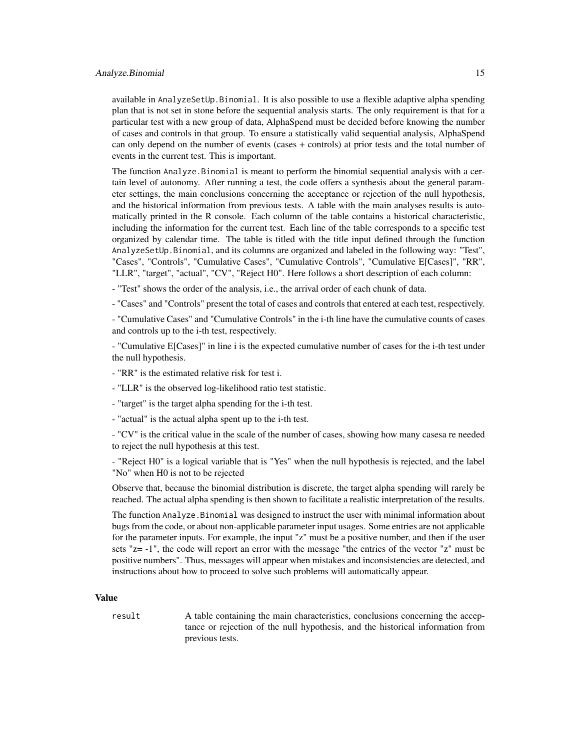#### Analyze.Binomial 15

available in AnalyzeSetUp.Binomial. It is also possible to use a flexible adaptive alpha spending plan that is not set in stone before the sequential analysis starts. The only requirement is that for a particular test with a new group of data, AlphaSpend must be decided before knowing the number of cases and controls in that group. To ensure a statistically valid sequential analysis, AlphaSpend can only depend on the number of events (cases + controls) at prior tests and the total number of events in the current test. This is important.

The function Analyze.Binomial is meant to perform the binomial sequential analysis with a certain level of autonomy. After running a test, the code offers a synthesis about the general parameter settings, the main conclusions concerning the acceptance or rejection of the null hypothesis, and the historical information from previous tests. A table with the main analyses results is automatically printed in the R console. Each column of the table contains a historical characteristic, including the information for the current test. Each line of the table corresponds to a specific test organized by calendar time. The table is titled with the title input defined through the function AnalyzeSetUp.Binomial, and its columns are organized and labeled in the following way: "Test", "Cases", "Controls", "Cumulative Cases", "Cumulative Controls", "Cumulative E[Cases]", "RR", "LLR", "target", "actual", "CV", "Reject H0". Here follows a short description of each column:

- "Test" shows the order of the analysis, i.e., the arrival order of each chunk of data.

- "Cases" and "Controls" present the total of cases and controls that entered at each test, respectively.

- "Cumulative Cases" and "Cumulative Controls" in the i-th line have the cumulative counts of cases and controls up to the i-th test, respectively.

- "Cumulative E[Cases]" in line i is the expected cumulative number of cases for the i-th test under the null hypothesis.

- "RR" is the estimated relative risk for test i.

- "LLR" is the observed log-likelihood ratio test statistic.
- "target" is the target alpha spending for the i-th test.
- "actual" is the actual alpha spent up to the i-th test.

- "CV" is the critical value in the scale of the number of cases, showing how many casesa re needed to reject the null hypothesis at this test.

- "Reject H0" is a logical variable that is "Yes" when the null hypothesis is rejected, and the label "No" when H0 is not to be rejected

Observe that, because the binomial distribution is discrete, the target alpha spending will rarely be reached. The actual alpha spending is then shown to facilitate a realistic interpretation of the results.

The function Analyze.Binomial was designed to instruct the user with minimal information about bugs from the code, or about non-applicable parameter input usages. Some entries are not applicable for the parameter inputs. For example, the input "z" must be a positive number, and then if the user sets "z= -1", the code will report an error with the message "the entries of the vector "z" must be positive numbers". Thus, messages will appear when mistakes and inconsistencies are detected, and instructions about how to proceed to solve such problems will automatically appear.

# Value

result A table containing the main characteristics, conclusions concerning the acceptance or rejection of the null hypothesis, and the historical information from previous tests.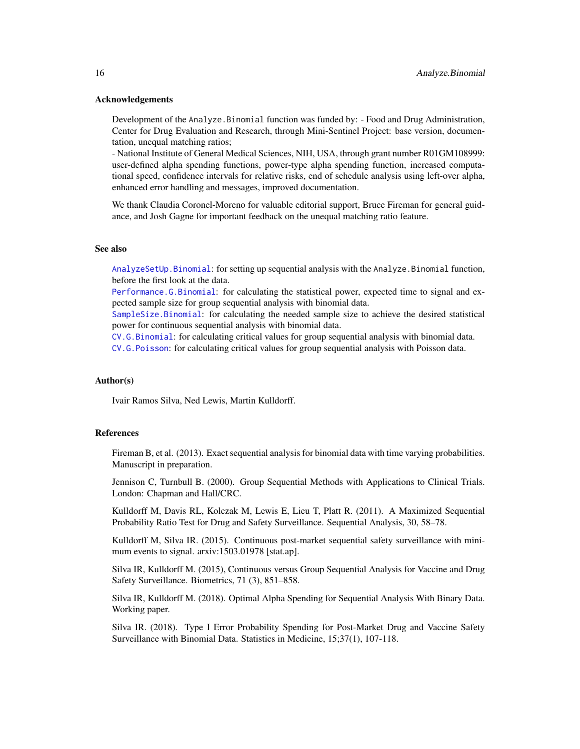# Acknowledgements

Development of the Analyze.Binomial function was funded by: - Food and Drug Administration, Center for Drug Evaluation and Research, through Mini-Sentinel Project: base version, documentation, unequal matching ratios;

- National Institute of General Medical Sciences, NIH, USA, through grant number R01GM108999: user-defined alpha spending functions, power-type alpha spending function, increased computational speed, confidence intervals for relative risks, end of schedule analysis using left-over alpha, enhanced error handling and messages, improved documentation.

We thank Claudia Coronel-Moreno for valuable editorial support, Bruce Fireman for general guidance, and Josh Gagne for important feedback on the unequal matching ratio feature.

#### See also

[AnalyzeSetUp.Binomial](#page-29-1): for setting up sequential analysis with the Analyze.Binomial function, before the first look at the data.

[Performance.G.Binomial](#page-61-1): for calculating the statistical power, expected time to signal and expected sample size for group sequential analysis with binomial data.

[SampleSize.Binomial](#page-68-1): for calculating the needed sample size to achieve the desired statistical power for continuous sequential analysis with binomial data.

[CV.G.Binomial](#page-47-1): for calculating critical values for group sequential analysis with binomial data.

[CV.G.Poisson](#page-49-1): for calculating critical values for group sequential analysis with Poisson data.

## Author(s)

Ivair Ramos Silva, Ned Lewis, Martin Kulldorff.

#### References

Fireman B, et al. (2013). Exact sequential analysis for binomial data with time varying probabilities. Manuscript in preparation.

Jennison C, Turnbull B. (2000). Group Sequential Methods with Applications to Clinical Trials. London: Chapman and Hall/CRC.

Kulldorff M, Davis RL, Kolczak M, Lewis E, Lieu T, Platt R. (2011). A Maximized Sequential Probability Ratio Test for Drug and Safety Surveillance. Sequential Analysis, 30, 58–78.

Kulldorff M, Silva IR. (2015). Continuous post-market sequential safety surveillance with minimum events to signal. arxiv:1503.01978 [stat.ap].

Silva IR, Kulldorff M. (2015), Continuous versus Group Sequential Analysis for Vaccine and Drug Safety Surveillance. Biometrics, 71 (3), 851–858.

Silva IR, Kulldorff M. (2018). Optimal Alpha Spending for Sequential Analysis With Binary Data. Working paper.

Silva IR. (2018). Type I Error Probability Spending for Post-Market Drug and Vaccine Safety Surveillance with Binomial Data. Statistics in Medicine, 15;37(1), 107-118.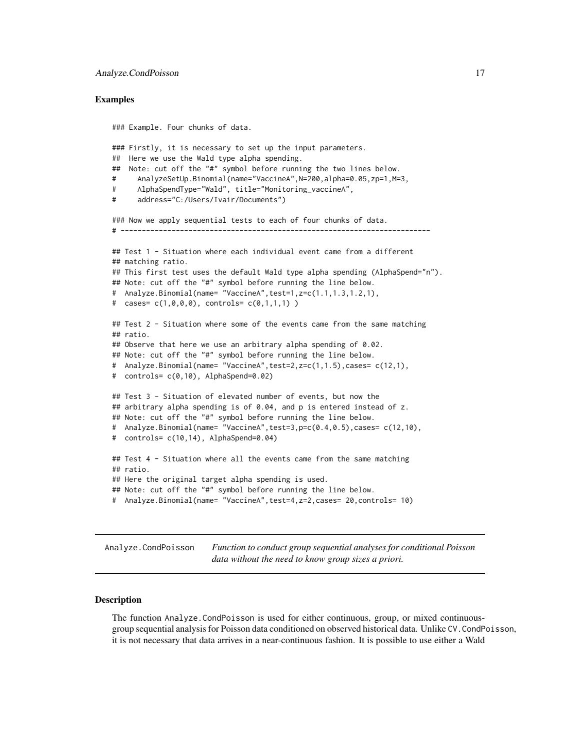# <span id="page-16-0"></span>Examples

```
### Example. Four chunks of data.
### Firstly, it is necessary to set up the input parameters.
## Here we use the Wald type alpha spending.
## Note: cut off the "#" symbol before running the two lines below.
# AnalyzeSetUp.Binomial(name="VaccineA",N=200,alpha=0.05,zp=1,M=3,
# AlphaSpendType="Wald", title="Monitoring_vaccineA",
# address="C:/Users/Ivair/Documents")
### Now we apply sequential tests to each of four chunks of data.
# -------------------------------------------------------------------------
## Test 1 - Situation where each individual event came from a different
## matching ratio.
## This first test uses the default Wald type alpha spending (AlphaSpend="n").
## Note: cut off the "#" symbol before running the line below.
# Analyze.Binomial(name= "VaccineA",test=1,z=c(1.1,1.3,1.2,1),
# cases= c(1,0,0,0), controls= c(0,1,1,1) )
## Test 2 - Situation where some of the events came from the same matching
## ratio.
## Observe that here we use an arbitrary alpha spending of 0.02.
## Note: cut off the "#" symbol before running the line below.
# Analyze.Binomial(name= "VaccineA",test=2,z=c(1,1.5),cases= c(12,1),
# controls= c(0,10), AlphaSpend=0.02)
## Test 3 - Situation of elevated number of events, but now the
## arbitrary alpha spending is of 0.04, and p is entered instead of z.
## Note: cut off the "#" symbol before running the line below.
# Analyze.Binomial(name= "VaccineA",test=3,p=c(0.4,0.5),cases= c(12,10),
# controls= c(10,14), AlphaSpend=0.04)
## Test 4 - Situation where all the events came from the same matching
## ratio.
## Here the original target alpha spending is used.
## Note: cut off the "#" symbol before running the line below.
# Analyze.Binomial(name= "VaccineA",test=4,z=2,cases= 20,controls= 10)
```
<span id="page-16-1"></span>Analyze.CondPoisson *Function to conduct group sequential analyses for conditional Poisson data without the need to know group sizes a priori.*

# **Description**

The function Analyze.CondPoisson is used for either continuous, group, or mixed continuousgroup sequential analysis for Poisson data conditioned on observed historical data. Unlike CV.CondPoisson, it is not necessary that data arrives in a near-continuous fashion. It is possible to use either a Wald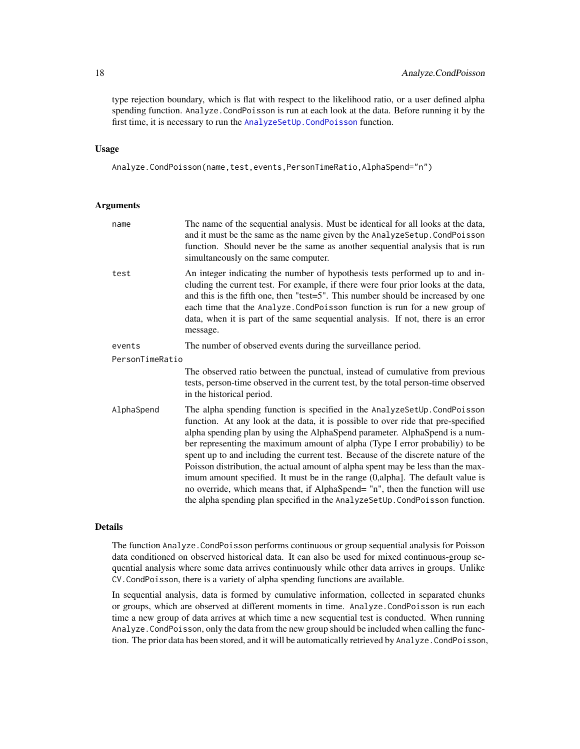type rejection boundary, which is flat with respect to the likelihood ratio, or a user defined alpha spending function. Analyze.CondPoisson is run at each look at the data. Before running it by the first time, it is necessary to run the [AnalyzeSetUp.CondPoisson](#page-33-1) function.

# Usage

Analyze.CondPoisson(name,test,events,PersonTimeRatio,AlphaSpend="n")

# Arguments

| name            | The name of the sequential analysis. Must be identical for all looks at the data,<br>and it must be the same as the name given by the AnalyzeSetup. CondPoisson<br>function. Should never be the same as another sequential analysis that is run<br>simultaneously on the same computer.                                                                                                                                                                                                                                                                                                                                                                                                                                                                  |  |
|-----------------|-----------------------------------------------------------------------------------------------------------------------------------------------------------------------------------------------------------------------------------------------------------------------------------------------------------------------------------------------------------------------------------------------------------------------------------------------------------------------------------------------------------------------------------------------------------------------------------------------------------------------------------------------------------------------------------------------------------------------------------------------------------|--|
| test            | An integer indicating the number of hypothesis tests performed up to and in-<br>cluding the current test. For example, if there were four prior looks at the data,<br>and this is the fifth one, then "test=5". This number should be increased by one<br>each time that the Analyze. CondPoisson function is run for a new group of<br>data, when it is part of the same sequential analysis. If not, there is an error<br>message.                                                                                                                                                                                                                                                                                                                      |  |
| events          | The number of observed events during the surveillance period.                                                                                                                                                                                                                                                                                                                                                                                                                                                                                                                                                                                                                                                                                             |  |
| PersonTimeRatio |                                                                                                                                                                                                                                                                                                                                                                                                                                                                                                                                                                                                                                                                                                                                                           |  |
|                 | The observed ratio between the punctual, instead of cumulative from previous<br>tests, person-time observed in the current test, by the total person-time observed<br>in the historical period.                                                                                                                                                                                                                                                                                                                                                                                                                                                                                                                                                           |  |
| AlphaSpend      | The alpha spending function is specified in the AnalyzeSetUp. CondPoisson<br>function. At any look at the data, it is possible to over ride that pre-specified<br>alpha spending plan by using the AlphaSpend parameter. AlphaSpend is a num-<br>ber representing the maximum amount of alpha (Type I error probabiliy) to be<br>spent up to and including the current test. Because of the discrete nature of the<br>Poisson distribution, the actual amount of alpha spent may be less than the max-<br>imum amount specified. It must be in the range (0,alpha). The default value is<br>no override, which means that, if AlphaSpend= "n", then the function will use<br>the alpha spending plan specified in the AnalyzeSetUp. CondPoisson function. |  |

# Details

The function Analyze.CondPoisson performs continuous or group sequential analysis for Poisson data conditioned on observed historical data. It can also be used for mixed continuous-group sequential analysis where some data arrives continuously while other data arrives in groups. Unlike CV.CondPoisson, there is a variety of alpha spending functions are available.

In sequential analysis, data is formed by cumulative information, collected in separated chunks or groups, which are observed at different moments in time. Analyze.CondPoisson is run each time a new group of data arrives at which time a new sequential test is conducted. When running Analyze.CondPoisson, only the data from the new group should be included when calling the function. The prior data has been stored, and it will be automatically retrieved by Analyze.CondPoisson,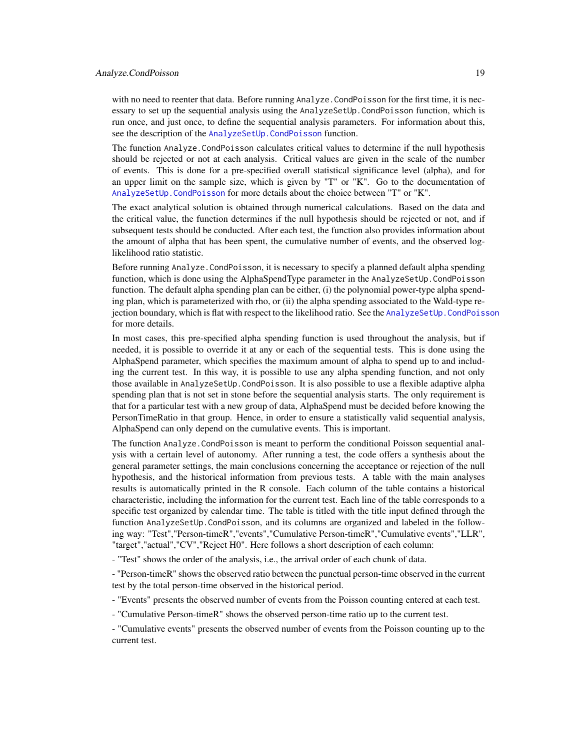with no need to reenter that data. Before running Analyze. CondPoisson for the first time, it is necessary to set up the sequential analysis using the AnalyzeSetUp.CondPoisson function, which is run once, and just once, to define the sequential analysis parameters. For information about this, see the description of the AnalyzeSetUp. CondPoisson function.

The function Analyze.CondPoisson calculates critical values to determine if the null hypothesis should be rejected or not at each analysis. Critical values are given in the scale of the number of events. This is done for a pre-specified overall statistical significance level (alpha), and for an upper limit on the sample size, which is given by "T" or "K". Go to the documentation of [AnalyzeSetUp.CondPoisson](#page-33-1) for more details about the choice between "T" or "K".

The exact analytical solution is obtained through numerical calculations. Based on the data and the critical value, the function determines if the null hypothesis should be rejected or not, and if subsequent tests should be conducted. After each test, the function also provides information about the amount of alpha that has been spent, the cumulative number of events, and the observed loglikelihood ratio statistic.

Before running Analyze.CondPoisson, it is necessary to specify a planned default alpha spending function, which is done using the AlphaSpendType parameter in the AnalyzeSetUp.CondPoisson function. The default alpha spending plan can be either, (i) the polynomial power-type alpha spending plan, which is parameterized with rho, or (ii) the alpha spending associated to the Wald-type rejection boundary, which is flat with respect to the likelihood ratio. See the AnalyzeSetUp. CondPoisson for more details.

In most cases, this pre-specified alpha spending function is used throughout the analysis, but if needed, it is possible to override it at any or each of the sequential tests. This is done using the AlphaSpend parameter, which specifies the maximum amount of alpha to spend up to and including the current test. In this way, it is possible to use any alpha spending function, and not only those available in AnalyzeSetUp.CondPoisson. It is also possible to use a flexible adaptive alpha spending plan that is not set in stone before the sequential analysis starts. The only requirement is that for a particular test with a new group of data, AlphaSpend must be decided before knowing the PersonTimeRatio in that group. Hence, in order to ensure a statistically valid sequential analysis, AlphaSpend can only depend on the cumulative events. This is important.

The function Analyze.CondPoisson is meant to perform the conditional Poisson sequential analysis with a certain level of autonomy. After running a test, the code offers a synthesis about the general parameter settings, the main conclusions concerning the acceptance or rejection of the null hypothesis, and the historical information from previous tests. A table with the main analyses results is automatically printed in the R console. Each column of the table contains a historical characteristic, including the information for the current test. Each line of the table corresponds to a specific test organized by calendar time. The table is titled with the title input defined through the function AnalyzeSetUp.CondPoisson, and its columns are organized and labeled in the following way: "Test","Person-timeR","events","Cumulative Person-timeR","Cumulative events","LLR", "target","actual","CV","Reject H0". Here follows a short description of each column:

- "Test" shows the order of the analysis, i.e., the arrival order of each chunk of data.

- "Person-timeR" shows the observed ratio between the punctual person-time observed in the current test by the total person-time observed in the historical period.

- "Events" presents the observed number of events from the Poisson counting entered at each test.

- "Cumulative Person-timeR" shows the observed person-time ratio up to the current test.

- "Cumulative events" presents the observed number of events from the Poisson counting up to the current test.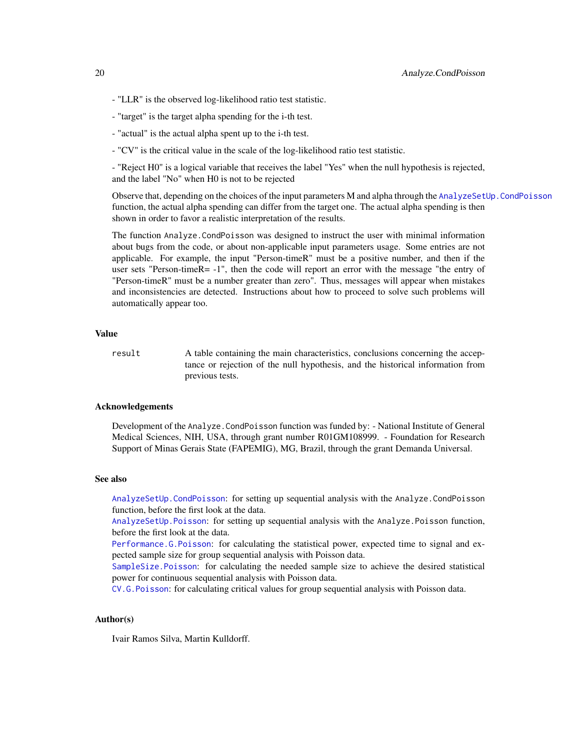- "LLR" is the observed log-likelihood ratio test statistic.
- "target" is the target alpha spending for the i-th test.
- "actual" is the actual alpha spent up to the i-th test.
- "CV" is the critical value in the scale of the log-likelihood ratio test statistic.

- "Reject H0" is a logical variable that receives the label "Yes" when the null hypothesis is rejected, and the label "No" when H0 is not to be rejected

Observe that, depending on the choices of the input parameters M and alpha through the AnalyzeSetUp. CondPoisson function, the actual alpha spending can differ from the target one. The actual alpha spending is then shown in order to favor a realistic interpretation of the results.

The function Analyze.CondPoisson was designed to instruct the user with minimal information about bugs from the code, or about non-applicable input parameters usage. Some entries are not applicable. For example, the input "Person-timeR" must be a positive number, and then if the user sets "Person-timeR= -1", then the code will report an error with the message "the entry of "Person-timeR" must be a number greater than zero". Thus, messages will appear when mistakes and inconsistencies are detected. Instructions about how to proceed to solve such problems will automatically appear too.

# Value

result A table containing the main characteristics, conclusions concerning the acceptance or rejection of the null hypothesis, and the historical information from previous tests.

# Acknowledgements

Development of the Analyze.CondPoisson function was funded by: - National Institute of General Medical Sciences, NIH, USA, through grant number R01GM108999. - Foundation for Research Support of Minas Gerais State (FAPEMIG), MG, Brazil, through the grant Demanda Universal.

#### See also

[AnalyzeSetUp.CondPoisson](#page-33-1): for setting up sequential analysis with the Analyze.CondPoisson function, before the first look at the data.

[AnalyzeSetUp.Poisson](#page-36-1): for setting up sequential analysis with the Analyze.Poisson function, before the first look at the data.

[Performance.G.Poisson](#page-63-1): for calculating the statistical power, expected time to signal and expected sample size for group sequential analysis with Poisson data.

[SampleSize.Poisson](#page-72-1): for calculating the needed sample size to achieve the desired statistical power for continuous sequential analysis with Poisson data.

[CV.G.Poisson](#page-49-1): for calculating critical values for group sequential analysis with Poisson data.

# Author(s)

Ivair Ramos Silva, Martin Kulldorff.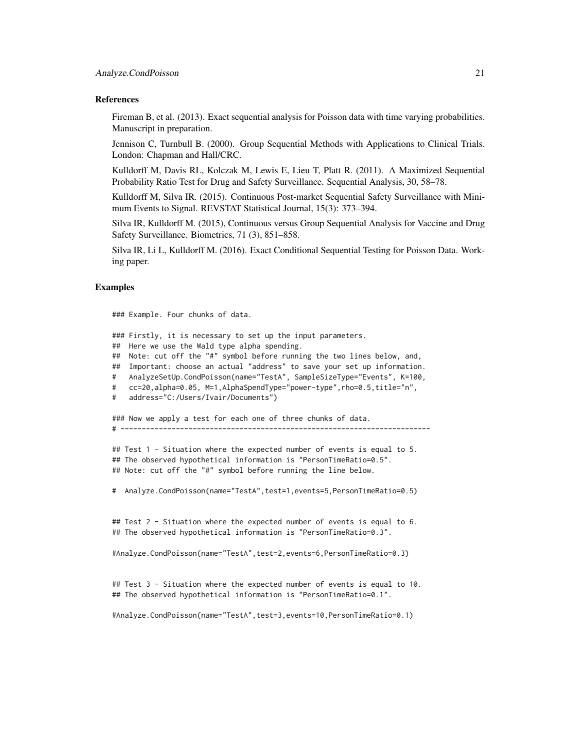### References

Fireman B, et al. (2013). Exact sequential analysis for Poisson data with time varying probabilities. Manuscript in preparation.

Jennison C, Turnbull B. (2000). Group Sequential Methods with Applications to Clinical Trials. London: Chapman and Hall/CRC.

Kulldorff M, Davis RL, Kolczak M, Lewis E, Lieu T, Platt R. (2011). A Maximized Sequential Probability Ratio Test for Drug and Safety Surveillance. Sequential Analysis, 30, 58–78.

Kulldorff M, Silva IR. (2015). Continuous Post-market Sequential Safety Surveillance with Minimum Events to Signal. REVSTAT Statistical Journal, 15(3): 373–394.

Silva IR, Kulldorff M. (2015), Continuous versus Group Sequential Analysis for Vaccine and Drug Safety Surveillance. Biometrics, 71 (3), 851–858.

Silva IR, Li L, Kulldorff M. (2016). Exact Conditional Sequential Testing for Poisson Data. Working paper.

# Examples

### Example. Four chunks of data.

### Firstly, it is necessary to set up the input parameters.

## Here we use the Wald type alpha spending.

## Note: cut off the "#" symbol before running the two lines below, and,

## Important: choose an actual "address" to save your set up information.

- # AnalyzeSetUp.CondPoisson(name="TestA", SampleSizeType="Events", K=100,
- # cc=20,alpha=0.05, M=1,AlphaSpendType="power-type",rho=0.5,title="n",
- # address="C:/Users/Ivair/Documents")

### Now we apply a test for each one of three chunks of data. # -------------------------------------------------------------------------

## Test 1 - Situation where the expected number of events is equal to 5. ## The observed hypothetical information is "PersonTimeRatio=0.5". ## Note: cut off the "#" symbol before running the line below.

# Analyze.CondPoisson(name="TestA",test=1,events=5,PersonTimeRatio=0.5)

## Test 2 - Situation where the expected number of events is equal to 6. ## The observed hypothetical information is "PersonTimeRatio=0.3".

#Analyze.CondPoisson(name="TestA",test=2,events=6,PersonTimeRatio=0.3)

## Test 3 - Situation where the expected number of events is equal to 10. ## The observed hypothetical information is "PersonTimeRatio=0.1".

#Analyze.CondPoisson(name="TestA",test=3,events=10,PersonTimeRatio=0.1)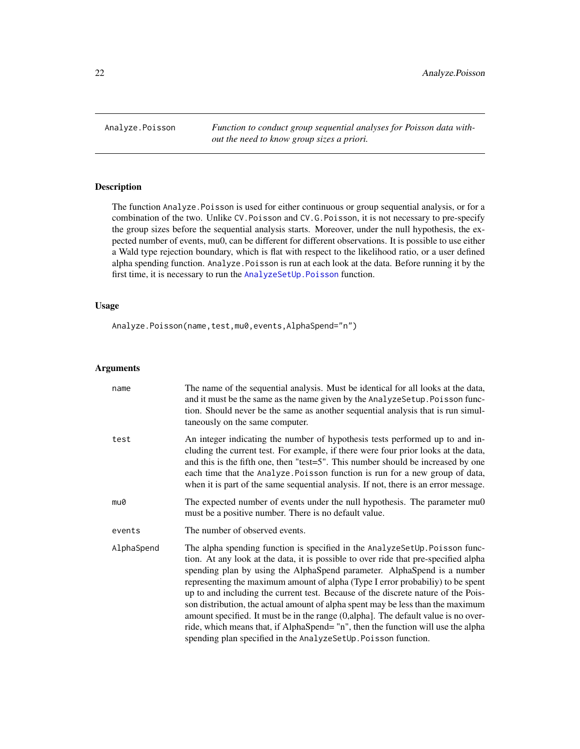<span id="page-21-1"></span><span id="page-21-0"></span>Analyze.Poisson *Function to conduct group sequential analyses for Poisson data without the need to know group sizes a priori.*

# Description

The function Analyze.Poisson is used for either continuous or group sequential analysis, or for a combination of the two. Unlike CV.Poisson and CV.G.Poisson, it is not necessary to pre-specify the group sizes before the sequential analysis starts. Moreover, under the null hypothesis, the expected number of events, mu0, can be different for different observations. It is possible to use either a Wald type rejection boundary, which is flat with respect to the likelihood ratio, or a user defined alpha spending function. Analyze.Poisson is run at each look at the data. Before running it by the first time, it is necessary to run the [AnalyzeSetUp.Poisson](#page-36-1) function.

# Usage

Analyze.Poisson(name,test,mu0,events,AlphaSpend="n")

# Arguments

| name       | The name of the sequential analysis. Must be identical for all looks at the data,<br>and it must be the same as the name given by the AnalyzeSetup. Poisson func-<br>tion. Should never be the same as another sequential analysis that is run simul-<br>taneously on the same computer.                                                                                                                                                                                                                                                                                                                                                                                                                                                             |
|------------|------------------------------------------------------------------------------------------------------------------------------------------------------------------------------------------------------------------------------------------------------------------------------------------------------------------------------------------------------------------------------------------------------------------------------------------------------------------------------------------------------------------------------------------------------------------------------------------------------------------------------------------------------------------------------------------------------------------------------------------------------|
| test       | An integer indicating the number of hypothesis tests performed up to and in-<br>cluding the current test. For example, if there were four prior looks at the data,<br>and this is the fifth one, then "test=5". This number should be increased by one<br>each time that the Analyze. Poisson function is run for a new group of data,<br>when it is part of the same sequential analysis. If not, there is an error message.                                                                                                                                                                                                                                                                                                                        |
| mu0        | The expected number of events under the null hypothesis. The parameter mu0<br>must be a positive number. There is no default value.                                                                                                                                                                                                                                                                                                                                                                                                                                                                                                                                                                                                                  |
| events     | The number of observed events.                                                                                                                                                                                                                                                                                                                                                                                                                                                                                                                                                                                                                                                                                                                       |
| AlphaSpend | The alpha spending function is specified in the AnalyzeSetUp. Poisson func-<br>tion. At any look at the data, it is possible to over ride that pre-specified alpha<br>spending plan by using the AlphaSpend parameter. AlphaSpend is a number<br>representing the maximum amount of alpha (Type I error probabiliy) to be spent<br>up to and including the current test. Because of the discrete nature of the Pois-<br>son distribution, the actual amount of alpha spent may be less than the maximum<br>amount specified. It must be in the range (0, alpha). The default value is no over-<br>ride, which means that, if AlphaSpend= "n", then the function will use the alpha<br>spending plan specified in the AnalyzeSetUp. Poisson function. |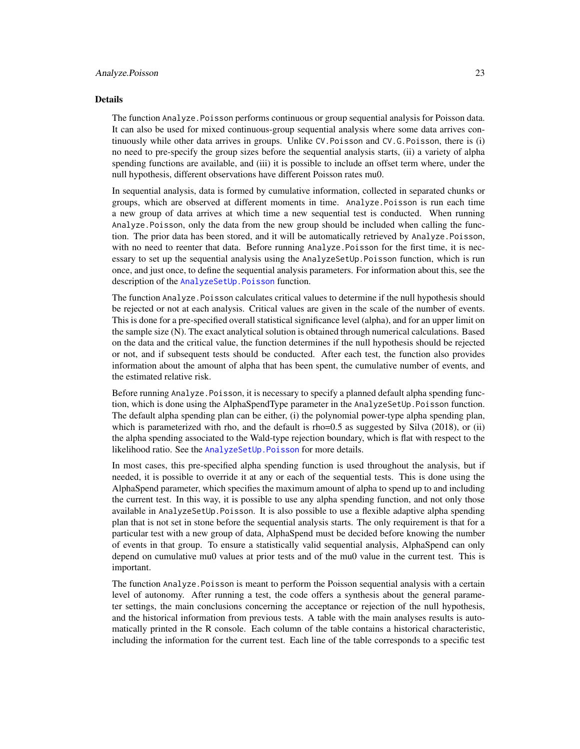#### Details

The function Analyze.Poisson performs continuous or group sequential analysis for Poisson data. It can also be used for mixed continuous-group sequential analysis where some data arrives continuously while other data arrives in groups. Unlike CV.Poisson and CV.G.Poisson, there is (i) no need to pre-specify the group sizes before the sequential analysis starts, (ii) a variety of alpha spending functions are available, and (iii) it is possible to include an offset term where, under the null hypothesis, different observations have different Poisson rates mu0.

In sequential analysis, data is formed by cumulative information, collected in separated chunks or groups, which are observed at different moments in time. Analyze.Poisson is run each time a new group of data arrives at which time a new sequential test is conducted. When running Analyze.Poisson, only the data from the new group should be included when calling the function. The prior data has been stored, and it will be automatically retrieved by Analyze.Poisson, with no need to reenter that data. Before running Analyze. Poisson for the first time, it is necessary to set up the sequential analysis using the AnalyzeSetUp.Poisson function, which is run once, and just once, to define the sequential analysis parameters. For information about this, see the description of the AnalyzeSetUp. Poisson function.

The function Analyze. Poisson calculates critical values to determine if the null hypothesis should be rejected or not at each analysis. Critical values are given in the scale of the number of events. This is done for a pre-specified overall statistical significance level (alpha), and for an upper limit on the sample size (N). The exact analytical solution is obtained through numerical calculations. Based on the data and the critical value, the function determines if the null hypothesis should be rejected or not, and if subsequent tests should be conducted. After each test, the function also provides information about the amount of alpha that has been spent, the cumulative number of events, and the estimated relative risk.

Before running Analyze.Poisson, it is necessary to specify a planned default alpha spending function, which is done using the AlphaSpendType parameter in the AnalyzeSetUp.Poisson function. The default alpha spending plan can be either, (i) the polynomial power-type alpha spending plan, which is parameterized with rho, and the default is rho=0.5 as suggested by Silva  $(2018)$ , or  $(ii)$ the alpha spending associated to the Wald-type rejection boundary, which is flat with respect to the likelihood ratio. See the [AnalyzeSetUp.Poisson](#page-36-1) for more details.

In most cases, this pre-specified alpha spending function is used throughout the analysis, but if needed, it is possible to override it at any or each of the sequential tests. This is done using the AlphaSpend parameter, which specifies the maximum amount of alpha to spend up to and including the current test. In this way, it is possible to use any alpha spending function, and not only those available in AnalyzeSetUp.Poisson. It is also possible to use a flexible adaptive alpha spending plan that is not set in stone before the sequential analysis starts. The only requirement is that for a particular test with a new group of data, AlphaSpend must be decided before knowing the number of events in that group. To ensure a statistically valid sequential analysis, AlphaSpend can only depend on cumulative mu0 values at prior tests and of the mu0 value in the current test. This is important.

The function Analyze.Poisson is meant to perform the Poisson sequential analysis with a certain level of autonomy. After running a test, the code offers a synthesis about the general parameter settings, the main conclusions concerning the acceptance or rejection of the null hypothesis, and the historical information from previous tests. A table with the main analyses results is automatically printed in the R console. Each column of the table contains a historical characteristic, including the information for the current test. Each line of the table corresponds to a specific test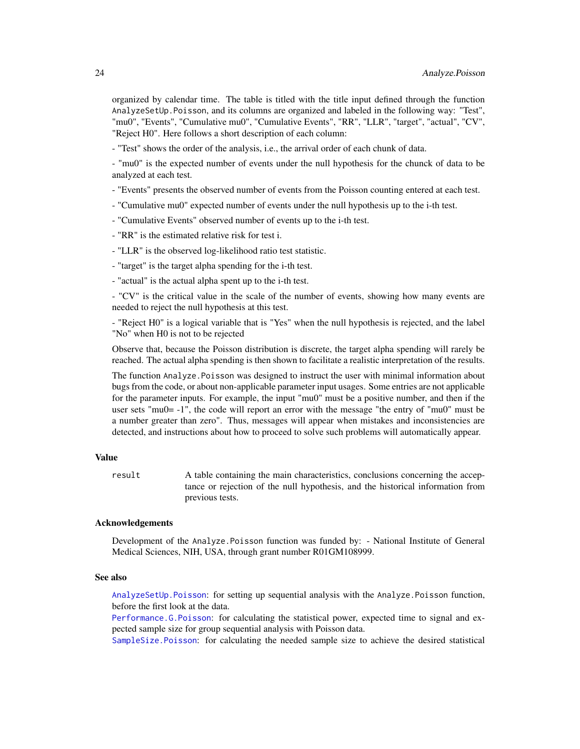organized by calendar time. The table is titled with the title input defined through the function AnalyzeSetUp.Poisson, and its columns are organized and labeled in the following way: "Test", "mu0", "Events", "Cumulative mu0", "Cumulative Events", "RR", "LLR", "target", "actual", "CV", "Reject H0". Here follows a short description of each column:

- "Test" shows the order of the analysis, i.e., the arrival order of each chunk of data.

- "mu0" is the expected number of events under the null hypothesis for the chunck of data to be analyzed at each test.

- "Events" presents the observed number of events from the Poisson counting entered at each test.

- "Cumulative mu0" expected number of events under the null hypothesis up to the i-th test.

- "Cumulative Events" observed number of events up to the i-th test.

- "RR" is the estimated relative risk for test i.

- "LLR" is the observed log-likelihood ratio test statistic.

- "target" is the target alpha spending for the i-th test.

- "actual" is the actual alpha spent up to the i-th test.

- "CV" is the critical value in the scale of the number of events, showing how many events are needed to reject the null hypothesis at this test.

- "Reject H0" is a logical variable that is "Yes" when the null hypothesis is rejected, and the label "No" when H0 is not to be rejected

Observe that, because the Poisson distribution is discrete, the target alpha spending will rarely be reached. The actual alpha spending is then shown to facilitate a realistic interpretation of the results.

The function Analyze.Poisson was designed to instruct the user with minimal information about bugs from the code, or about non-applicable parameter input usages. Some entries are not applicable for the parameter inputs. For example, the input "mu0" must be a positive number, and then if the user sets "mu0= -1", the code will report an error with the message "the entry of "mu0" must be a number greater than zero". Thus, messages will appear when mistakes and inconsistencies are detected, and instructions about how to proceed to solve such problems will automatically appear.

# Value

result A table containing the main characteristics, conclusions concerning the acceptance or rejection of the null hypothesis, and the historical information from previous tests.

#### Acknowledgements

Development of the Analyze.Poisson function was funded by: - National Institute of General Medical Sciences, NIH, USA, through grant number R01GM108999.

# See also

[AnalyzeSetUp.Poisson](#page-36-1): for setting up sequential analysis with the Analyze.Poisson function, before the first look at the data.

[Performance.G.Poisson](#page-63-1): for calculating the statistical power, expected time to signal and expected sample size for group sequential analysis with Poisson data.

[SampleSize.Poisson](#page-72-1): for calculating the needed sample size to achieve the desired statistical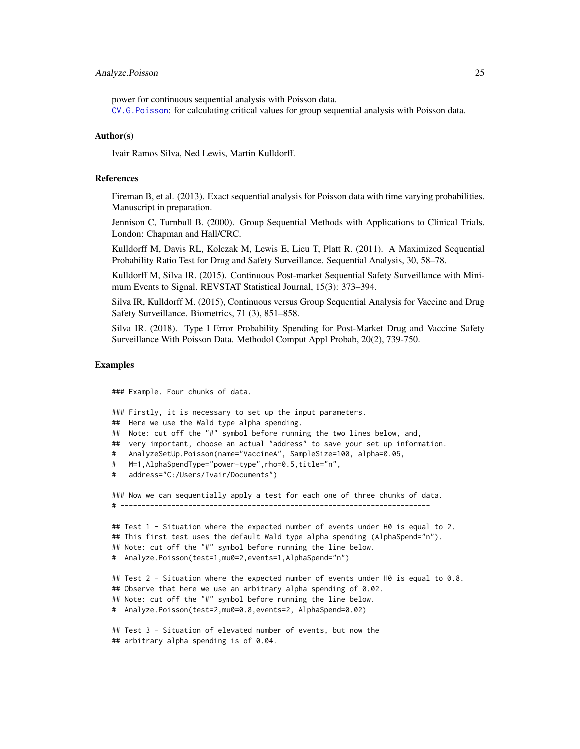# Analyze.Poisson 25

power for continuous sequential analysis with Poisson data.

[CV.G.Poisson](#page-49-1): for calculating critical values for group sequential analysis with Poisson data.

# Author(s)

Ivair Ramos Silva, Ned Lewis, Martin Kulldorff.

# References

Fireman B, et al. (2013). Exact sequential analysis for Poisson data with time varying probabilities. Manuscript in preparation.

Jennison C, Turnbull B. (2000). Group Sequential Methods with Applications to Clinical Trials. London: Chapman and Hall/CRC.

Kulldorff M, Davis RL, Kolczak M, Lewis E, Lieu T, Platt R. (2011). A Maximized Sequential Probability Ratio Test for Drug and Safety Surveillance. Sequential Analysis, 30, 58–78.

Kulldorff M, Silva IR. (2015). Continuous Post-market Sequential Safety Surveillance with Minimum Events to Signal. REVSTAT Statistical Journal, 15(3): 373–394.

Silva IR, Kulldorff M. (2015), Continuous versus Group Sequential Analysis for Vaccine and Drug Safety Surveillance. Biometrics, 71 (3), 851–858.

Silva IR. (2018). Type I Error Probability Spending for Post-Market Drug and Vaccine Safety Surveillance With Poisson Data. Methodol Comput Appl Probab, 20(2), 739-750.

# Examples

### Example. Four chunks of data.

```
### Firstly, it is necessary to set up the input parameters.
## Here we use the Wald type alpha spending.
## Note: cut off the "#" symbol before running the two lines below, and,
## very important, choose an actual "address" to save your set up information.
# AnalyzeSetUp.Poisson(name="VaccineA", SampleSize=100, alpha=0.05,
# M=1,AlphaSpendType="power-type",rho=0.5,title="n",
# address="C:/Users/Ivair/Documents")
### Now we can sequentially apply a test for each one of three chunks of data.
# -------------------------------------------------------------------------
## Test 1 - Situation where the expected number of events under H0 is equal to 2.
## This first test uses the default Wald type alpha spending (AlphaSpend="n").
## Note: cut off the "#" symbol before running the line below.
# Analyze.Poisson(test=1,mu0=2,events=1,AlphaSpend="n")
## Test 2 - Situation where the expected number of events under H0 is equal to 0.8.
## Observe that here we use an arbitrary alpha spending of 0.02.
## Note: cut off the "#" symbol before running the line below.
# Analyze.Poisson(test=2,mu0=0.8,events=2, AlphaSpend=0.02)
## Test 3 - Situation of elevated number of events, but now the
## arbitrary alpha spending is of 0.04.
```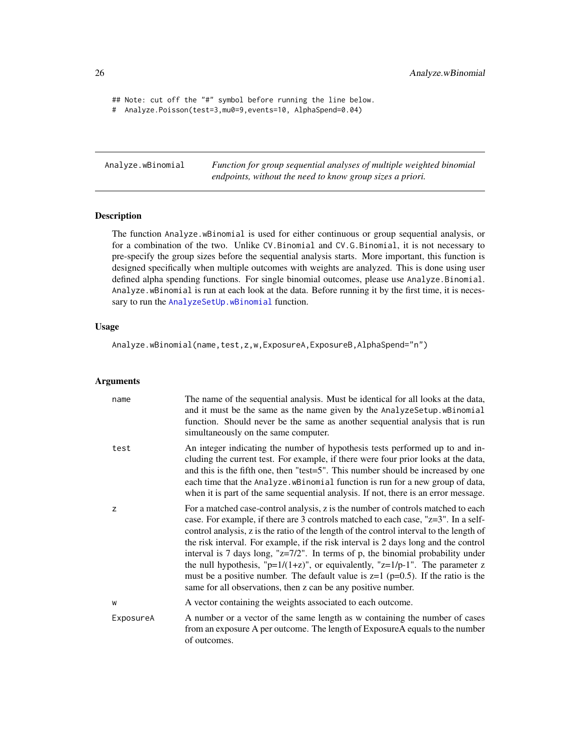```
## Note: cut off the "#" symbol before running the line below.
# Analyze.Poisson(test=3,mu0=9,events=10, AlphaSpend=0.04)
```
<span id="page-25-1"></span>Analyze.wBinomial *Function for group sequential analyses of multiple weighted binomial endpoints, without the need to know group sizes a priori.*

# Description

The function Analyze.wBinomial is used for either continuous or group sequential analysis, or for a combination of the two. Unlike CV.Binomial and CV.G.Binomial, it is not necessary to pre-specify the group sizes before the sequential analysis starts. More important, this function is designed specifically when multiple outcomes with weights are analyzed. This is done using user defined alpha spending functions. For single binomial outcomes, please use Analyze.Binomial. Analyze.wBinomial is run at each look at the data. Before running it by the first time, it is neces-sary to run the [AnalyzeSetUp.wBinomial](#page-39-1) function.

# Usage

Analyze.wBinomial(name,test,z,w,ExposureA,ExposureB,AlphaSpend="n")

# Arguments

| name      | The name of the sequential analysis. Must be identical for all looks at the data,<br>and it must be the same as the name given by the AnalyzeSetup. wBinomial<br>function. Should never be the same as another sequential analysis that is run<br>simultaneously on the same computer.                                                                                                                                                                                                                                                                                                                                                                                                              |
|-----------|-----------------------------------------------------------------------------------------------------------------------------------------------------------------------------------------------------------------------------------------------------------------------------------------------------------------------------------------------------------------------------------------------------------------------------------------------------------------------------------------------------------------------------------------------------------------------------------------------------------------------------------------------------------------------------------------------------|
| test      | An integer indicating the number of hypothesis tests performed up to and in-<br>cluding the current test. For example, if there were four prior looks at the data,<br>and this is the fifth one, then "test=5". This number should be increased by one<br>each time that the Analyze. wBinomial function is run for a new group of data,<br>when it is part of the same sequential analysis. If not, there is an error message.                                                                                                                                                                                                                                                                     |
| Z         | For a matched case-control analysis, z is the number of controls matched to each<br>case. For example, if there are 3 controls matched to each case, "z=3". In a self-<br>control analysis, z is the ratio of the length of the control interval to the length of<br>the risk interval. For example, if the risk interval is 2 days long and the control<br>interval is 7 days long, " $z=7/2$ ". In terms of p, the binomial probability under<br>the null hypothesis, " $p=1/(1+z)$ ", or equivalently, " $z=1/p-1$ ". The parameter z<br>must be a positive number. The default value is $z=1$ ( $p=0.5$ ). If the ratio is the<br>same for all observations, then z can be any positive number. |
| W         | A vector containing the weights associated to each outcome.                                                                                                                                                                                                                                                                                                                                                                                                                                                                                                                                                                                                                                         |
| ExposureA | A number or a vector of the same length as w containing the number of cases<br>from an exposure A per outcome. The length of ExposureA equals to the number<br>of outcomes.                                                                                                                                                                                                                                                                                                                                                                                                                                                                                                                         |

<span id="page-25-0"></span>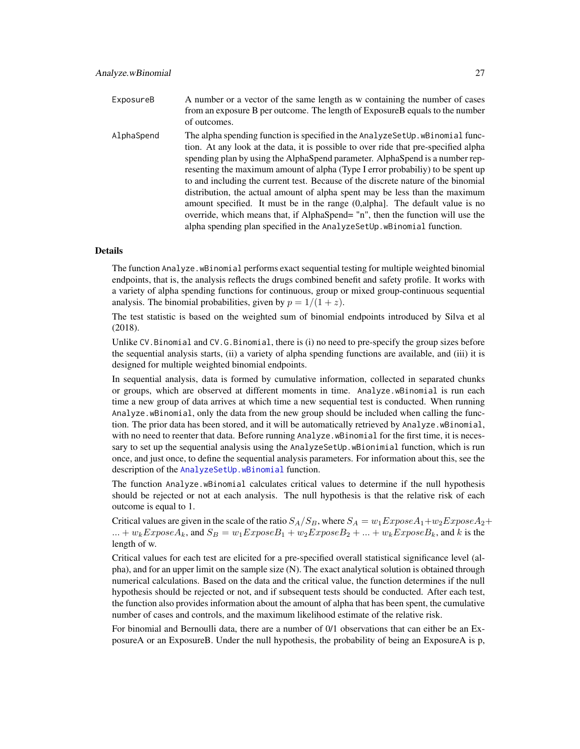- ExposureB A number or a vector of the same length as w containing the number of cases from an exposure B per outcome. The length of ExposureB equals to the number of outcomes.
- AlphaSpend The alpha spending function is specified in the AnalyzeSetUp.wBinomial function. At any look at the data, it is possible to over ride that pre-specified alpha spending plan by using the AlphaSpend parameter. AlphaSpend is a number representing the maximum amount of alpha (Type I error probabiliy) to be spent up to and including the current test. Because of the discrete nature of the binomial distribution, the actual amount of alpha spent may be less than the maximum amount specified. It must be in the range (0,alpha]. The default value is no override, which means that, if AlphaSpend= "n", then the function will use the alpha spending plan specified in the AnalyzeSetUp.wBinomial function.

# Details

The function Analyze.wBinomial performs exact sequential testing for multiple weighted binomial endpoints, that is, the analysis reflects the drugs combined benefit and safety profile. It works with a variety of alpha spending functions for continuous, group or mixed group-continuous sequential analysis. The binomial probabilities, given by  $p = 1/(1 + z)$ .

The test statistic is based on the weighted sum of binomial endpoints introduced by Silva et al (2018).

Unlike CV.Binomial and CV.G.Binomial, there is (i) no need to pre-specify the group sizes before the sequential analysis starts, (ii) a variety of alpha spending functions are available, and (iii) it is designed for multiple weighted binomial endpoints.

In sequential analysis, data is formed by cumulative information, collected in separated chunks or groups, which are observed at different moments in time. Analyze.wBinomial is run each time a new group of data arrives at which time a new sequential test is conducted. When running Analyze.wBinomial, only the data from the new group should be included when calling the function. The prior data has been stored, and it will be automatically retrieved by Analyze.wBinomial, with no need to reenter that data. Before running Analyze.wBinomial for the first time, it is necessary to set up the sequential analysis using the AnalyzeSetUp.wBionimial function, which is run once, and just once, to define the sequential analysis parameters. For information about this, see the description of the [AnalyzeSetUp.wBinomial](#page-39-1) function.

The function Analyze.wBinomial calculates critical values to determine if the null hypothesis should be rejected or not at each analysis. The null hypothesis is that the relative risk of each outcome is equal to 1.

Critical values are given in the scale of the ratio  $S_A/S_B$ , where  $S_A = w_1ExposeA_1+w_2ExposeA_2 +$  $... + w_kExposeA_k$ , and  $S_B = w_1ExposeB_1 + w_2ExposeB_2 + ... + w_kExposeB_k$ , and k is the length of w.

Critical values for each test are elicited for a pre-specified overall statistical significance level (alpha), and for an upper limit on the sample size (N). The exact analytical solution is obtained through numerical calculations. Based on the data and the critical value, the function determines if the null hypothesis should be rejected or not, and if subsequent tests should be conducted. After each test, the function also provides information about the amount of alpha that has been spent, the cumulative number of cases and controls, and the maximum likelihood estimate of the relative risk.

For binomial and Bernoulli data, there are a number of 0/1 observations that can either be an ExposureA or an ExposureB. Under the null hypothesis, the probability of being an ExposureA is p,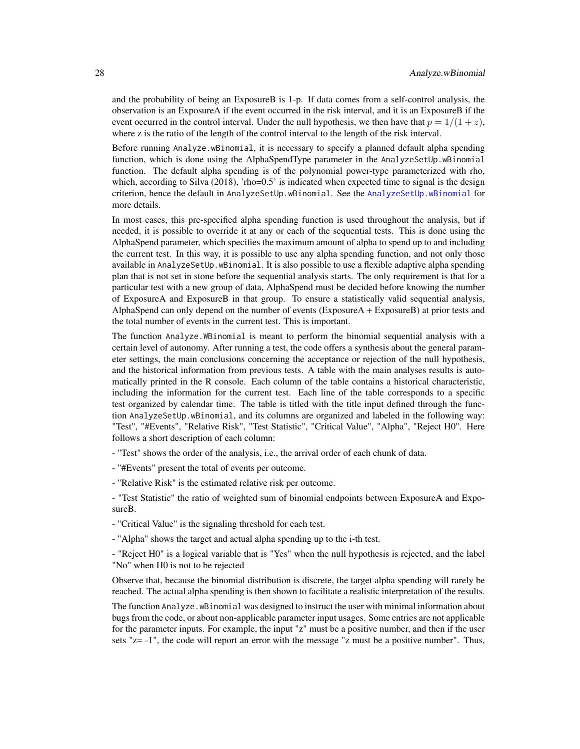and the probability of being an ExposureB is 1-p. If data comes from a self-control analysis, the observation is an ExposureA if the event occurred in the risk interval, and it is an ExposureB if the event occurred in the control interval. Under the null hypothesis, we then have that  $p = 1/(1 + z)$ , where z is the ratio of the length of the control interval to the length of the risk interval.

Before running Analyze.wBinomial, it is necessary to specify a planned default alpha spending function, which is done using the AlphaSpendType parameter in the AnalyzeSetUp.wBinomial function. The default alpha spending is of the polynomial power-type parameterized with rho, which, according to Silva (2018), 'rho=0.5' is indicated when expected time to signal is the design criterion, hence the default in AnalyzeSetUp.wBinomial. See the [AnalyzeSetUp.wBinomial](#page-39-1) for more details.

In most cases, this pre-specified alpha spending function is used throughout the analysis, but if needed, it is possible to override it at any or each of the sequential tests. This is done using the AlphaSpend parameter, which specifies the maximum amount of alpha to spend up to and including the current test. In this way, it is possible to use any alpha spending function, and not only those available in AnalyzeSetUp.wBinomial. It is also possible to use a flexible adaptive alpha spending plan that is not set in stone before the sequential analysis starts. The only requirement is that for a particular test with a new group of data, AlphaSpend must be decided before knowing the number of ExposureA and ExposureB in that group. To ensure a statistically valid sequential analysis, AlphaSpend can only depend on the number of events (ExposureA + ExposureB) at prior tests and the total number of events in the current test. This is important.

The function Analyze.WBinomial is meant to perform the binomial sequential analysis with a certain level of autonomy. After running a test, the code offers a synthesis about the general parameter settings, the main conclusions concerning the acceptance or rejection of the null hypothesis, and the historical information from previous tests. A table with the main analyses results is automatically printed in the R console. Each column of the table contains a historical characteristic, including the information for the current test. Each line of the table corresponds to a specific test organized by calendar time. The table is titled with the title input defined through the function AnalyzeSetUp.wBinomial, and its columns are organized and labeled in the following way: "Test", "#Events", "Relative Risk", "Test Statistic", "Critical Value", "Alpha", "Reject H0". Here follows a short description of each column:

- "Test" shows the order of the analysis, i.e., the arrival order of each chunk of data.

- "#Events" present the total of events per outcome.
- "Relative Risk" is the estimated relative risk per outcome.

- "Test Statistic" the ratio of weighted sum of binomial endpoints between ExposureA and ExposureB.

- "Critical Value" is the signaling threshold for each test.
- "Alpha" shows the target and actual alpha spending up to the i-th test.

- "Reject H0" is a logical variable that is "Yes" when the null hypothesis is rejected, and the label "No" when H0 is not to be rejected

Observe that, because the binomial distribution is discrete, the target alpha spending will rarely be reached. The actual alpha spending is then shown to facilitate a realistic interpretation of the results.

The function Analyze.wBinomial was designed to instruct the user with minimal information about bugs from the code, or about non-applicable parameter input usages. Some entries are not applicable for the parameter inputs. For example, the input "z" must be a positive number, and then if the user sets "z= -1", the code will report an error with the message "z must be a positive number". Thus,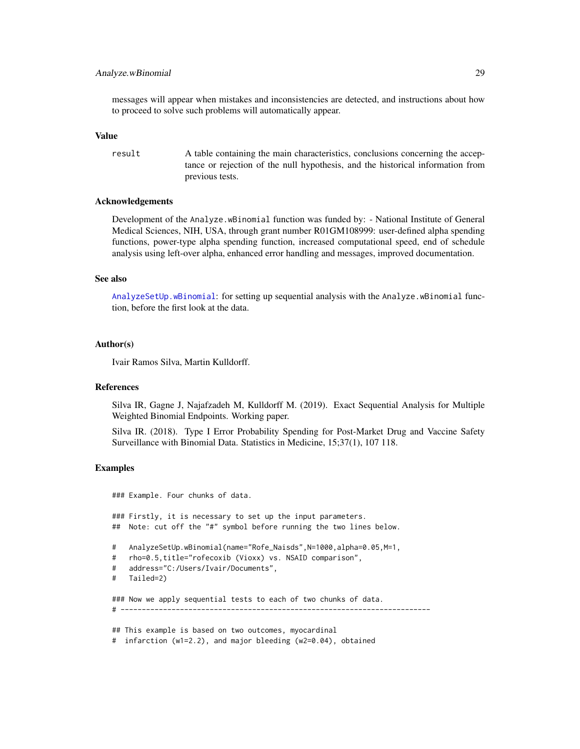# Analyze.wBinomial 29

messages will appear when mistakes and inconsistencies are detected, and instructions about how to proceed to solve such problems will automatically appear.

# Value

result A table containing the main characteristics, conclusions concerning the acceptance or rejection of the null hypothesis, and the historical information from previous tests.

# Acknowledgements

Development of the Analyze.wBinomial function was funded by: - National Institute of General Medical Sciences, NIH, USA, through grant number R01GM108999: user-defined alpha spending functions, power-type alpha spending function, increased computational speed, end of schedule analysis using left-over alpha, enhanced error handling and messages, improved documentation.

# See also

[AnalyzeSetUp.wBinomial](#page-39-1): for setting up sequential analysis with the Analyze.wBinomial function, before the first look at the data.

#### Author(s)

Ivair Ramos Silva, Martin Kulldorff.

#### References

Silva IR, Gagne J, Najafzadeh M, Kulldorff M. (2019). Exact Sequential Analysis for Multiple Weighted Binomial Endpoints. Working paper.

Silva IR. (2018). Type I Error Probability Spending for Post-Market Drug and Vaccine Safety Surveillance with Binomial Data. Statistics in Medicine, 15;37(1), 107 118.

# Examples

### Example. Four chunks of data. ### Firstly, it is necessary to set up the input parameters. ## Note: cut off the "#" symbol before running the two lines below. # AnalyzeSetUp.wBinomial(name="Rofe\_Naisds",N=1000,alpha=0.05,M=1, # rho=0.5,title="rofecoxib (Vioxx) vs. NSAID comparison", # address="C:/Users/Ivair/Documents", # Tailed=2) ### Now we apply sequential tests to each of two chunks of data.  $\#$  -----------## This example is based on two outcomes, myocardinal # infarction (w1=2.2), and major bleeding (w2=0.04), obtained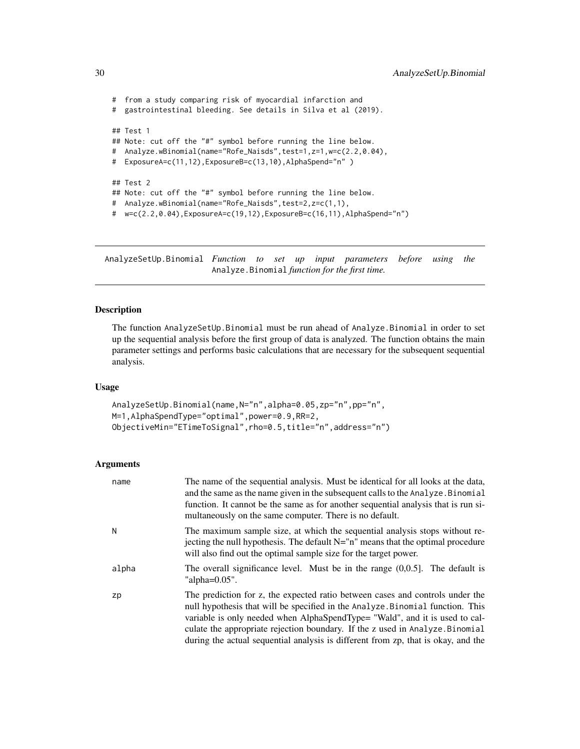```
# from a study comparing risk of myocardial infarction and
# gastrointestinal bleeding. See details in Silva et al (2019).
## Test 1
## Note: cut off the "#" symbol before running the line below.
# Analyze.wBinomial(name="Rofe_Naisds",test=1,z=1,w=c(2.2,0.04),
# ExposureA=c(11,12),ExposureB=c(13,10),AlphaSpend="n" )
## Test 2
## Note: cut off the "#" symbol before running the line below.
# Analyze.wBinomial(name="Rofe_Naisds",test=2,z=c(1,1),
# w=c(2.2,0.04),ExposureA=c(19,12),ExposureB=c(16,11),AlphaSpend="n")
```
<span id="page-29-1"></span>AnalyzeSetUp.Binomial *Function to set up input parameters before using the* Analyze.Binomial *function for the first time.*

# Description

The function AnalyzeSetUp.Binomial must be run ahead of Analyze.Binomial in order to set up the sequential analysis before the first group of data is analyzed. The function obtains the main parameter settings and performs basic calculations that are necessary for the subsequent sequential analysis.

# Usage

```
AnalyzeSetUp.Binomial(name,N="n",alpha=0.05,zp="n",pp="n",
M=1,AlphaSpendType="optimal",power=0.9,RR=2,
ObjectiveMin="ETimeToSignal",rho=0.5,title="n",address="n")
```
# Arguments

| name  | The name of the sequential analysis. Must be identical for all looks at the data,<br>and the same as the name given in the subsequent calls to the Analyze. Binomial<br>function. It cannot be the same as for another sequential analysis that is run si-<br>multaneously on the same computer. There is no default.                                                                                                |
|-------|----------------------------------------------------------------------------------------------------------------------------------------------------------------------------------------------------------------------------------------------------------------------------------------------------------------------------------------------------------------------------------------------------------------------|
| Ν     | The maximum sample size, at which the sequential analysis stops without re-<br>jecting the null hypothesis. The default $N = "n"$ means that the optimal procedure<br>will also find out the optimal sample size for the target power.                                                                                                                                                                               |
| alpha | The overall significance level. Must be in the range $(0,0.5]$ . The default is<br>"alpha= $0.05$ ".                                                                                                                                                                                                                                                                                                                 |
| zp    | The prediction for z, the expected ratio between cases and controls under the<br>null hypothesis that will be specified in the Analyze. Binomial function. This<br>variable is only needed when AlphaSpendType= "Wald", and it is used to cal-<br>culate the appropriate rejection boundary. If the z used in Analyze. Binomial<br>during the actual sequential analysis is different from zp, that is okay, and the |

<span id="page-29-0"></span>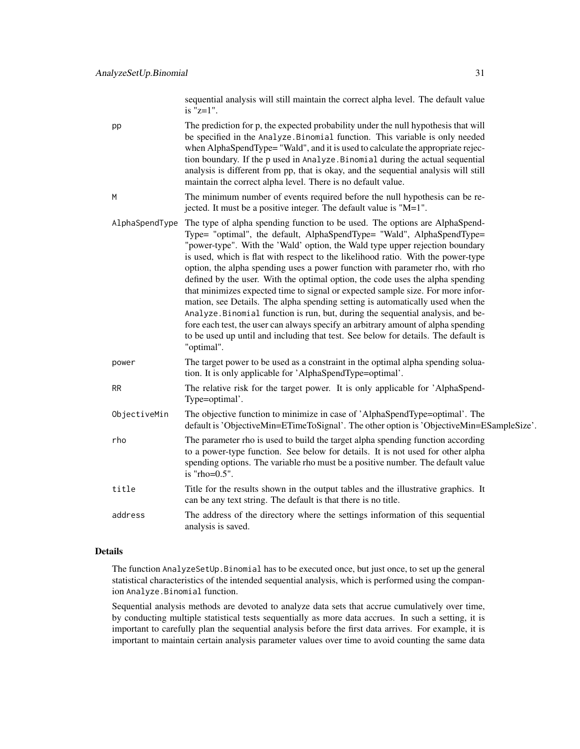sequential analysis will still maintain the correct alpha level. The default value is "z=1".

pp The prediction for p, the expected probability under the null hypothesis that will be specified in the Analyze.Binomial function. This variable is only needed when AlphaSpendType= "Wald", and it is used to calculate the appropriate rejection boundary. If the p used in Analyze.Binomial during the actual sequential analysis is different from pp, that is okay, and the sequential analysis will still maintain the correct alpha level. There is no default value.

- M The minimum number of events required before the null hypothesis can be rejected. It must be a positive integer. The default value is "M=1".
- AlphaSpendType The type of alpha spending function to be used. The options are AlphaSpend-Type= "optimal", the default, AlphaSpendType= "Wald", AlphaSpendType= "power-type". With the 'Wald' option, the Wald type upper rejection boundary is used, which is flat with respect to the likelihood ratio. With the power-type option, the alpha spending uses a power function with parameter rho, with rho defined by the user. With the optimal option, the code uses the alpha spending that minimizes expected time to signal or expected sample size. For more information, see Details. The alpha spending setting is automatically used when the Analyze.Binomial function is run, but, during the sequential analysis, and before each test, the user can always specify an arbitrary amount of alpha spending to be used up until and including that test. See below for details. The default is "optimal".
- power The target power to be used as a constraint in the optimal alpha spending soluation. It is only applicable for 'AlphaSpendType=optimal'.
- RR The relative risk for the target power. It is only applicable for 'AlphaSpend-Type=optimal'.
- ObjectiveMin The objective function to minimize in case of 'AlphaSpendType=optimal'. The default is 'ObjectiveMin=ETimeToSignal'. The other option is 'ObjectiveMin=ESampleSize'.
- rho The parameter rho is used to build the target alpha spending function according to a power-type function. See below for details. It is not used for other alpha spending options. The variable rho must be a positive number. The default value is "rho=0.5".
- title Title for the results shown in the output tables and the illustrative graphics. It can be any text string. The default is that there is no title.
- address The address of the directory where the settings information of this sequential analysis is saved.

# Details

The function AnalyzeSetUp.Binomial has to be executed once, but just once, to set up the general statistical characteristics of the intended sequential analysis, which is performed using the companion Analyze.Binomial function.

Sequential analysis methods are devoted to analyze data sets that accrue cumulatively over time, by conducting multiple statistical tests sequentially as more data accrues. In such a setting, it is important to carefully plan the sequential analysis before the first data arrives. For example, it is important to maintain certain analysis parameter values over time to avoid counting the same data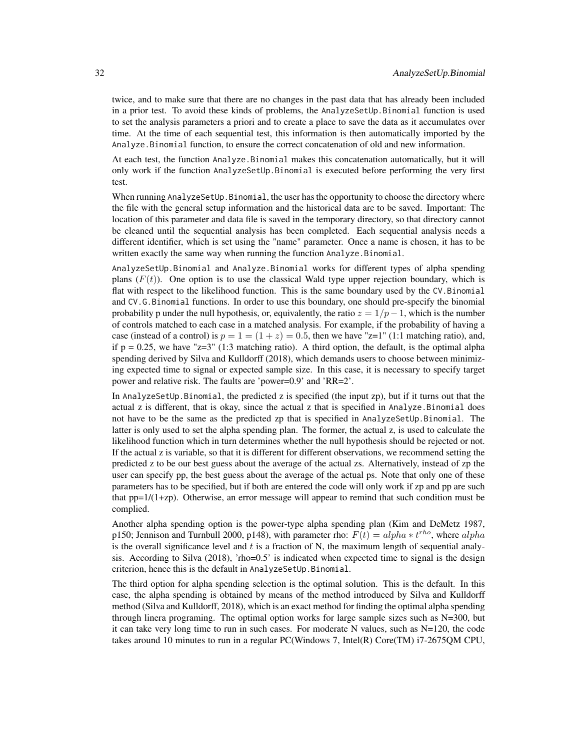twice, and to make sure that there are no changes in the past data that has already been included in a prior test. To avoid these kinds of problems, the AnalyzeSetUp.Binomial function is used to set the analysis parameters a priori and to create a place to save the data as it accumulates over time. At the time of each sequential test, this information is then automatically imported by the Analyze.Binomial function, to ensure the correct concatenation of old and new information.

At each test, the function Analyze.Binomial makes this concatenation automatically, but it will only work if the function AnalyzeSetUp.Binomial is executed before performing the very first test.

When running AnalyzeSetUp.Binomial, the user has the opportunity to choose the directory where the file with the general setup information and the historical data are to be saved. Important: The location of this parameter and data file is saved in the temporary directory, so that directory cannot be cleaned until the sequential analysis has been completed. Each sequential analysis needs a different identifier, which is set using the "name" parameter. Once a name is chosen, it has to be written exactly the same way when running the function Analyze.Binomial.

AnalyzeSetUp.Binomial and Analyze.Binomial works for different types of alpha spending plans  $(F(t))$ . One option is to use the classical Wald type upper rejection boundary, which is flat with respect to the likelihood function. This is the same boundary used by the CV.Binomial and CV.G.Binomial functions. In order to use this boundary, one should pre-specify the binomial probability p under the null hypothesis, or, equivalently, the ratio  $z = 1/p - 1$ , which is the number of controls matched to each case in a matched analysis. For example, if the probability of having a case (instead of a control) is  $p = 1 = (1 + z) = 0.5$ , then we have "z=1" (1:1 matching ratio), and, if  $p = 0.25$ , we have "z=3" (1:3 matching ratio). A third option, the default, is the optimal alpha spending derived by Silva and Kulldorff (2018), which demands users to choose between minimizing expected time to signal or expected sample size. In this case, it is necessary to specify target power and relative risk. The faults are 'power=0.9' and 'RR=2'.

In AnalyzeSetUp.Binomial, the predicted z is specified (the input zp), but if it turns out that the actual z is different, that is okay, since the actual z that is specified in Analyze.Binomial does not have to be the same as the predicted zp that is specified in AnalyzeSetUp.Binomial. The latter is only used to set the alpha spending plan. The former, the actual z, is used to calculate the likelihood function which in turn determines whether the null hypothesis should be rejected or not. If the actual z is variable, so that it is different for different observations, we recommend setting the predicted z to be our best guess about the average of the actual zs. Alternatively, instead of zp the user can specify pp, the best guess about the average of the actual ps. Note that only one of these parameters has to be specified, but if both are entered the code will only work if zp and pp are such that  $pp=1/(1+zp)$ . Otherwise, an error message will appear to remind that such condition must be complied.

Another alpha spending option is the power-type alpha spending plan (Kim and DeMetz 1987, p150; Jennison and Turnbull 2000, p148), with parameter rho:  $F(t) = alpha * t^{rho}$ , where  $alpha$ is the overall significance level and  $t$  is a fraction of N, the maximum length of sequential analysis. According to Silva (2018), 'rho=0.5' is indicated when expected time to signal is the design criterion, hence this is the default in AnalyzeSetUp.Binomial.

The third option for alpha spending selection is the optimal solution. This is the default. In this case, the alpha spending is obtained by means of the method introduced by Silva and Kulldorff method (Silva and Kulldorff, 2018), which is an exact method for finding the optimal alpha spending through linera programing. The optimal option works for large sample sizes such as  $N=300$ , but it can take very long time to run in such cases. For moderate N values, such as  $N=120$ , the code takes around 10 minutes to run in a regular PC(Windows 7, Intel(R) Core(TM) i7-2675QM CPU,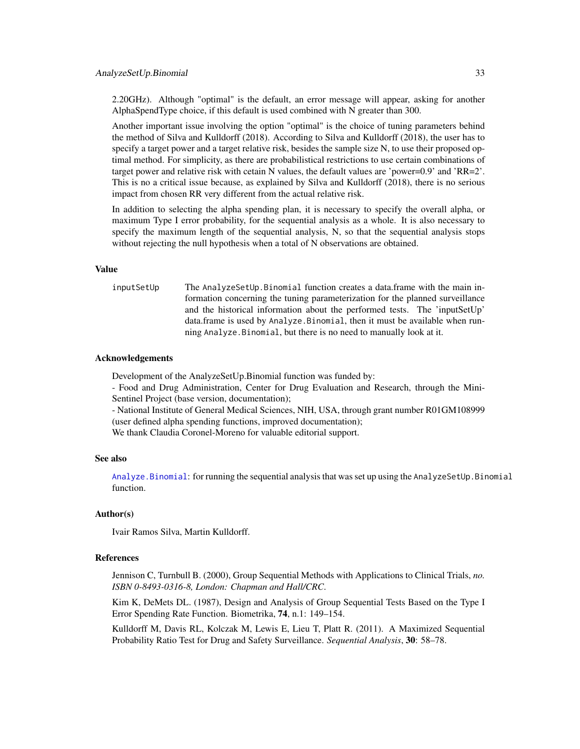2.20GHz). Although "optimal" is the default, an error message will appear, asking for another AlphaSpendType choice, if this default is used combined with N greater than 300.

Another important issue involving the option "optimal" is the choice of tuning parameters behind the method of Silva and Kulldorff (2018). According to Silva and Kulldorff (2018), the user has to specify a target power and a target relative risk, besides the sample size N, to use their proposed optimal method. For simplicity, as there are probabilistical restrictions to use certain combinations of target power and relative risk with cetain N values, the default values are 'power=0.9' and 'RR=2'. This is no a critical issue because, as explained by Silva and Kulldorff (2018), there is no serious impact from chosen RR very different from the actual relative risk.

In addition to selecting the alpha spending plan, it is necessary to specify the overall alpha, or maximum Type I error probability, for the sequential analysis as a whole. It is also necessary to specify the maximum length of the sequential analysis, N, so that the sequential analysis stops without rejecting the null hypothesis when a total of N observations are obtained.

## Value

inputSetUp The AnalyzeSetUp.Binomial function creates a data.frame with the main information concerning the tuning parameterization for the planned surveillance and the historical information about the performed tests. The 'inputSetUp' data.frame is used by Analyze.Binomial, then it must be available when running Analyze.Binomial, but there is no need to manually look at it.

# Acknowledgements

Development of the AnalyzeSetUp.Binomial function was funded by:

- Food and Drug Administration, Center for Drug Evaluation and Research, through the Mini-Sentinel Project (base version, documentation);

- National Institute of General Medical Sciences, NIH, USA, through grant number R01GM108999 (user defined alpha spending functions, improved documentation);

We thank Claudia Coronel-Moreno for valuable editorial support.

# See also

[Analyze.Binomial](#page-11-1): for running the sequential analysis that was set up using the AnalyzeSetUp.Binomial function.

# Author(s)

Ivair Ramos Silva, Martin Kulldorff.

#### References

Jennison C, Turnbull B. (2000), Group Sequential Methods with Applications to Clinical Trials, *no. ISBN 0-8493-0316-8, London: Chapman and Hall/CRC*.

Kim K, DeMets DL. (1987), Design and Analysis of Group Sequential Tests Based on the Type I Error Spending Rate Function. Biometrika, 74, n.1: 149–154.

Kulldorff M, Davis RL, Kolczak M, Lewis E, Lieu T, Platt R. (2011). A Maximized Sequential Probability Ratio Test for Drug and Safety Surveillance. *Sequential Analysis*, 30: 58–78.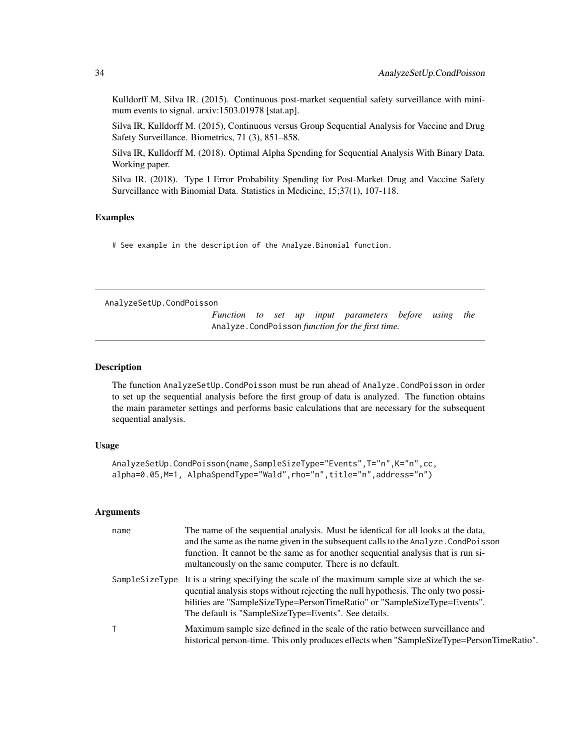<span id="page-33-0"></span>Kulldorff M, Silva IR. (2015). Continuous post-market sequential safety surveillance with minimum events to signal. arxiv:1503.01978 [stat.ap].

Silva IR, Kulldorff M. (2015), Continuous versus Group Sequential Analysis for Vaccine and Drug Safety Surveillance. Biometrics, 71 (3), 851–858.

Silva IR, Kulldorff M. (2018). Optimal Alpha Spending for Sequential Analysis With Binary Data. Working paper.

Silva IR. (2018). Type I Error Probability Spending for Post-Market Drug and Vaccine Safety Surveillance with Binomial Data. Statistics in Medicine, 15;37(1), 107-118.

# Examples

# See example in the description of the Analyze.Binomial function.

<span id="page-33-1"></span>AnalyzeSetUp.CondPoisson

*Function to set up input parameters before using the* Analyze.CondPoisson *function for the first time.*

# Description

The function AnalyzeSetUp.CondPoisson must be run ahead of Analyze.CondPoisson in order to set up the sequential analysis before the first group of data is analyzed. The function obtains the main parameter settings and performs basic calculations that are necessary for the subsequent sequential analysis.

#### Usage

AnalyzeSetUp.CondPoisson(name,SampleSizeType="Events",T="n",K="n",cc, alpha=0.05, M=1, AlphaSpendType="Wald", rho="n", title="n", address="n")

#### Arguments

| name | The name of the sequential analysis. Must be identical for all looks at the data,<br>and the same as the name given in the subsequent calls to the Analyze. CondPoisson<br>function. It cannot be the same as for another sequential analysis that is run si-<br>multaneously on the same computer. There is no default.    |
|------|-----------------------------------------------------------------------------------------------------------------------------------------------------------------------------------------------------------------------------------------------------------------------------------------------------------------------------|
|      | Sample Size Type It is a string specifying the scale of the maximum sample size at which the se-<br>quential analysis stops without rejecting the null hypothesis. The only two possi-<br>bilities are "SampleSizeType=PersonTimeRatio" or "SampleSizeType=Events".<br>The default is "SampleSizeType=Events". See details. |
|      | Maximum sample size defined in the scale of the ratio between surveillance and<br>historical person-time. This only produces effects when "SampleSizeType=PersonTimeRatio".                                                                                                                                                 |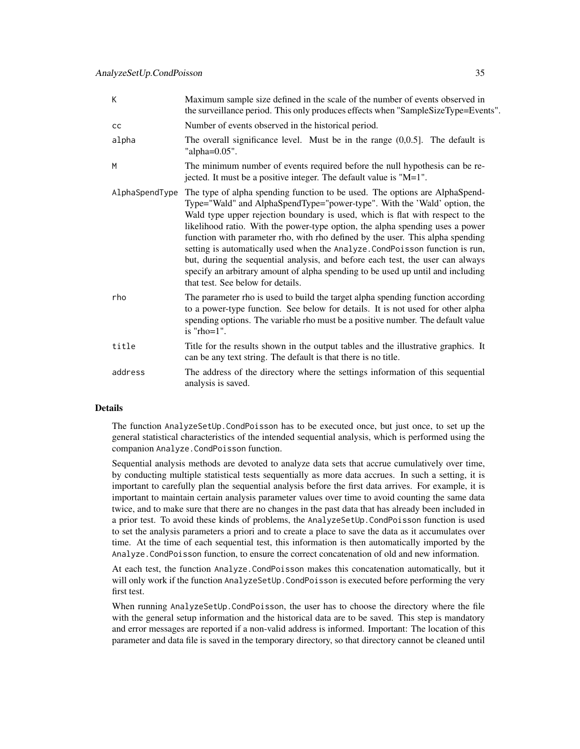| К              | Maximum sample size defined in the scale of the number of events observed in<br>the surveillance period. This only produces effects when "SampleSizeType=Events".                                                                                                                                                                                                                                                                                                                                                                                                                                                                                                                                     |
|----------------|-------------------------------------------------------------------------------------------------------------------------------------------------------------------------------------------------------------------------------------------------------------------------------------------------------------------------------------------------------------------------------------------------------------------------------------------------------------------------------------------------------------------------------------------------------------------------------------------------------------------------------------------------------------------------------------------------------|
| cc             | Number of events observed in the historical period.                                                                                                                                                                                                                                                                                                                                                                                                                                                                                                                                                                                                                                                   |
| alpha          | The overall significance level. Must be in the range $(0,0.5]$ . The default is<br>"alpha= $0.05$ ".                                                                                                                                                                                                                                                                                                                                                                                                                                                                                                                                                                                                  |
| M              | The minimum number of events required before the null hypothesis can be re-<br>jected. It must be a positive integer. The default value is "M=1".                                                                                                                                                                                                                                                                                                                                                                                                                                                                                                                                                     |
| AlphaSpendType | The type of alpha spending function to be used. The options are AlphaSpend-<br>Type="Wald" and AlphaSpendType="power-type". With the 'Wald' option, the<br>Wald type upper rejection boundary is used, which is flat with respect to the<br>likelihood ratio. With the power-type option, the alpha spending uses a power<br>function with parameter rho, with rho defined by the user. This alpha spending<br>setting is automatically used when the Analyze. CondPoisson function is run,<br>but, during the sequential analysis, and before each test, the user can always<br>specify an arbitrary amount of alpha spending to be used up until and including<br>that test. See below for details. |
| rho            | The parameter rho is used to build the target alpha spending function according<br>to a power-type function. See below for details. It is not used for other alpha<br>spending options. The variable rho must be a positive number. The default value<br>is " $rho=1$ ".                                                                                                                                                                                                                                                                                                                                                                                                                              |
| title          | Title for the results shown in the output tables and the illustrative graphics. It<br>can be any text string. The default is that there is no title.                                                                                                                                                                                                                                                                                                                                                                                                                                                                                                                                                  |
| address        | The address of the directory where the settings information of this sequential<br>analysis is saved.                                                                                                                                                                                                                                                                                                                                                                                                                                                                                                                                                                                                  |

# **Details**

The function AnalyzeSetUp.CondPoisson has to be executed once, but just once, to set up the general statistical characteristics of the intended sequential analysis, which is performed using the companion Analyze.CondPoisson function.

Sequential analysis methods are devoted to analyze data sets that accrue cumulatively over time, by conducting multiple statistical tests sequentially as more data accrues. In such a setting, it is important to carefully plan the sequential analysis before the first data arrives. For example, it is important to maintain certain analysis parameter values over time to avoid counting the same data twice, and to make sure that there are no changes in the past data that has already been included in a prior test. To avoid these kinds of problems, the AnalyzeSetUp.CondPoisson function is used to set the analysis parameters a priori and to create a place to save the data as it accumulates over time. At the time of each sequential test, this information is then automatically imported by the Analyze.CondPoisson function, to ensure the correct concatenation of old and new information.

At each test, the function Analyze.CondPoisson makes this concatenation automatically, but it will only work if the function AnalyzeSetUp. CondPoisson is executed before performing the very first test.

When running AnalyzeSetUp.CondPoisson, the user has to choose the directory where the file with the general setup information and the historical data are to be saved. This step is mandatory and error messages are reported if a non-valid address is informed. Important: The location of this parameter and data file is saved in the temporary directory, so that directory cannot be cleaned until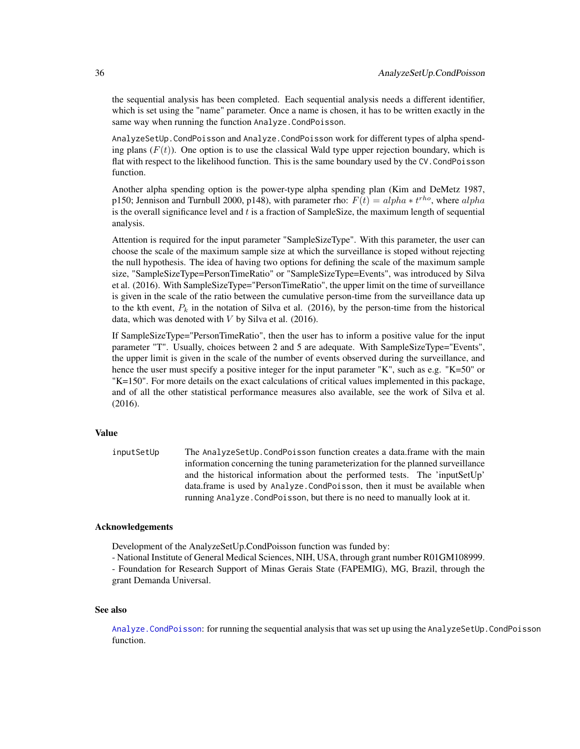the sequential analysis has been completed. Each sequential analysis needs a different identifier, which is set using the "name" parameter. Once a name is chosen, it has to be written exactly in the same way when running the function Analyze. CondPoisson.

AnalyzeSetUp.CondPoisson and Analyze.CondPoisson work for different types of alpha spending plans  $(F(t))$ . One option is to use the classical Wald type upper rejection boundary, which is flat with respect to the likelihood function. This is the same boundary used by the CV.CondPoisson function.

Another alpha spending option is the power-type alpha spending plan (Kim and DeMetz 1987, p150; Jennison and Turnbull 2000, p148), with parameter rho:  $F(t) = alpha * t^{rho}$ , where  $alpha$ is the overall significance level and  $t$  is a fraction of SampleSize, the maximum length of sequential analysis.

Attention is required for the input parameter "SampleSizeType". With this parameter, the user can choose the scale of the maximum sample size at which the surveillance is stoped without rejecting the null hypothesis. The idea of having two options for defining the scale of the maximum sample size, "SampleSizeType=PersonTimeRatio" or "SampleSizeType=Events", was introduced by Silva et al. (2016). With SampleSizeType="PersonTimeRatio", the upper limit on the time of surveillance is given in the scale of the ratio between the cumulative person-time from the surveillance data up to the kth event,  $P_k$  in the notation of Silva et al. (2016), by the person-time from the historical data, which was denoted with  $V$  by Silva et al. (2016).

If SampleSizeType="PersonTimeRatio", then the user has to inform a positive value for the input parameter "T". Usually, choices between 2 and 5 are adequate. With SampleSizeType="Events", the upper limit is given in the scale of the number of events observed during the surveillance, and hence the user must specify a positive integer for the input parameter "K", such as e.g. "K=50" or "K=150". For more details on the exact calculations of critical values implemented in this package, and of all the other statistical performance measures also available, see the work of Silva et al. (2016).

# Value

inputSetUp The AnalyzeSetUp.CondPoisson function creates a data.frame with the main information concerning the tuning parameterization for the planned surveillance and the historical information about the performed tests. The 'inputSetUp' data.frame is used by Analyze.CondPoisson, then it must be available when running Analyze.CondPoisson, but there is no need to manually look at it.

# Acknowledgements

Development of the AnalyzeSetUp.CondPoisson function was funded by:

- National Institute of General Medical Sciences, NIH, USA, through grant number R01GM108999.

- Foundation for Research Support of Minas Gerais State (FAPEMIG), MG, Brazil, through the grant Demanda Universal.

# See also

[Analyze.CondPoisson](#page-16-1): for running the sequential analysis that was set up using the AnalyzeSetUp.CondPoisson function.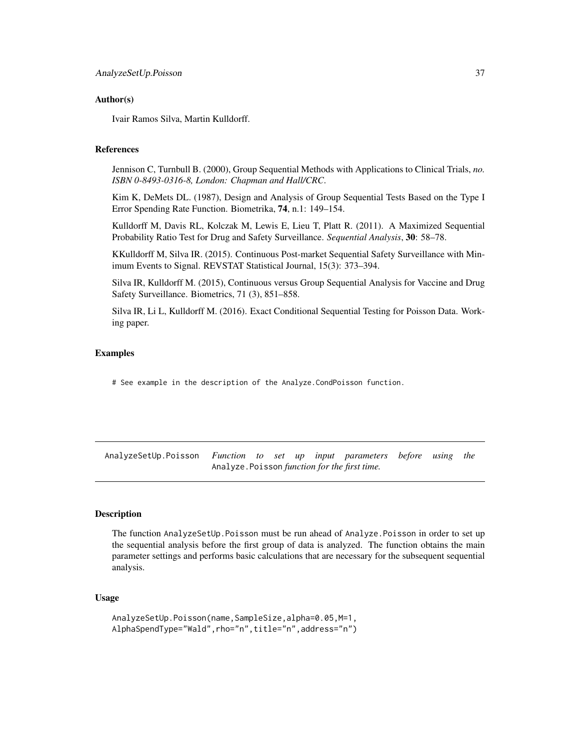### Author(s)

Ivair Ramos Silva, Martin Kulldorff.

#### References

Jennison C, Turnbull B. (2000), Group Sequential Methods with Applications to Clinical Trials, *no. ISBN 0-8493-0316-8, London: Chapman and Hall/CRC*.

Kim K, DeMets DL. (1987), Design and Analysis of Group Sequential Tests Based on the Type I Error Spending Rate Function. Biometrika, 74, n.1: 149–154.

Kulldorff M, Davis RL, Kolczak M, Lewis E, Lieu T, Platt R. (2011). A Maximized Sequential Probability Ratio Test for Drug and Safety Surveillance. *Sequential Analysis*, 30: 58–78.

KKulldorff M, Silva IR. (2015). Continuous Post-market Sequential Safety Surveillance with Minimum Events to Signal. REVSTAT Statistical Journal, 15(3): 373–394.

Silva IR, Kulldorff M. (2015), Continuous versus Group Sequential Analysis for Vaccine and Drug Safety Surveillance. Biometrics, 71 (3), 851–858.

Silva IR, Li L, Kulldorff M. (2016). Exact Conditional Sequential Testing for Poisson Data. Working paper.

# Examples

# See example in the description of the Analyze.CondPoisson function.

AnalyzeSetUp.Poisson *Function to set up input parameters before using the* Analyze.Poisson *function for the first time.*

# **Description**

The function AnalyzeSetUp.Poisson must be run ahead of Analyze.Poisson in order to set up the sequential analysis before the first group of data is analyzed. The function obtains the main parameter settings and performs basic calculations that are necessary for the subsequent sequential analysis.

### Usage

```
AnalyzeSetUp.Poisson(name,SampleSize,alpha=0.05,M=1,
AlphaSpendType="Wald",rho="n",title="n",address="n")
```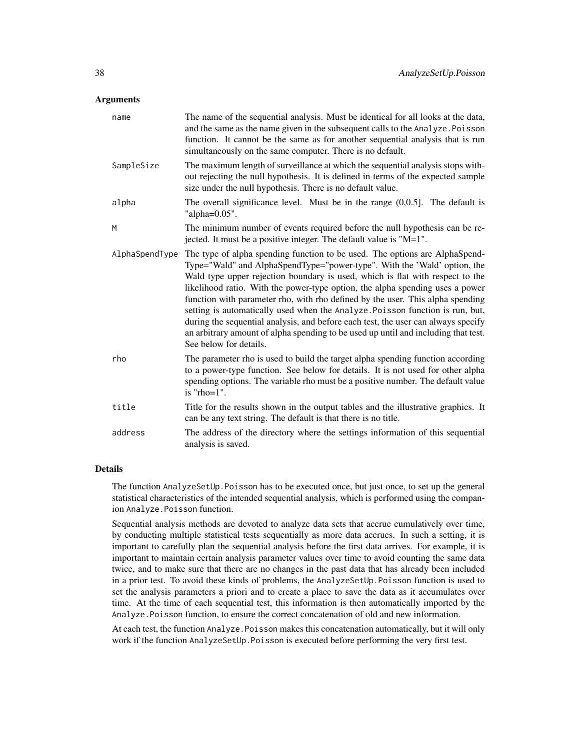### **Arguments**

| name           | The name of the sequential analysis. Must be identical for all looks at the data,<br>and the same as the name given in the subsequent calls to the Analyze. Poisson<br>function. It cannot be the same as for another sequential analysis that is run<br>simultaneously on the same computer. There is no default.                                                                                                                                                                                                                                                                                                                                                                                |
|----------------|---------------------------------------------------------------------------------------------------------------------------------------------------------------------------------------------------------------------------------------------------------------------------------------------------------------------------------------------------------------------------------------------------------------------------------------------------------------------------------------------------------------------------------------------------------------------------------------------------------------------------------------------------------------------------------------------------|
| SampleSize     | The maximum length of surveillance at which the sequential analysis stops with-<br>out rejecting the null hypothesis. It is defined in terms of the expected sample<br>size under the null hypothesis. There is no default value.                                                                                                                                                                                                                                                                                                                                                                                                                                                                 |
| alpha          | The overall significance level. Must be in the range $(0,0.5]$ . The default is<br>"alpha= $0.05$ ".                                                                                                                                                                                                                                                                                                                                                                                                                                                                                                                                                                                              |
| M              | The minimum number of events required before the null hypothesis can be re-<br>jected. It must be a positive integer. The default value is "M=1".                                                                                                                                                                                                                                                                                                                                                                                                                                                                                                                                                 |
| AlphaSpendType | The type of alpha spending function to be used. The options are AlphaSpend-<br>Type="Wald" and AlphaSpendType="power-type". With the 'Wald' option, the<br>Wald type upper rejection boundary is used, which is flat with respect to the<br>likelihood ratio. With the power-type option, the alpha spending uses a power<br>function with parameter rho, with rho defined by the user. This alpha spending<br>setting is automatically used when the Analyze. Poisson function is run, but,<br>during the sequential analysis, and before each test, the user can always specify<br>an arbitrary amount of alpha spending to be used up until and including that test.<br>See below for details. |
| rho            | The parameter rho is used to build the target alpha spending function according<br>to a power-type function. See below for details. It is not used for other alpha<br>spending options. The variable rho must be a positive number. The default value<br>is " $rho=1$ ".                                                                                                                                                                                                                                                                                                                                                                                                                          |
| title          | Title for the results shown in the output tables and the illustrative graphics. It<br>can be any text string. The default is that there is no title.                                                                                                                                                                                                                                                                                                                                                                                                                                                                                                                                              |
| address        | The address of the directory where the settings information of this sequential<br>analysis is saved.                                                                                                                                                                                                                                                                                                                                                                                                                                                                                                                                                                                              |

# Details

The function AnalyzeSetUp. Poisson has to be executed once, but just once, to set up the general statistical characteristics of the intended sequential analysis, which is performed using the companion Analyze.Poisson function.

Sequential analysis methods are devoted to analyze data sets that accrue cumulatively over time, by conducting multiple statistical tests sequentially as more data accrues. In such a setting, it is important to carefully plan the sequential analysis before the first data arrives. For example, it is important to maintain certain analysis parameter values over time to avoid counting the same data twice, and to make sure that there are no changes in the past data that has already been included in a prior test. To avoid these kinds of problems, the AnalyzeSetUp.Poisson function is used to set the analysis parameters a priori and to create a place to save the data as it accumulates over time. At the time of each sequential test, this information is then automatically imported by the Analyze.Poisson function, to ensure the correct concatenation of old and new information.

At each test, the function Analyze.Poisson makes this concatenation automatically, but it will only work if the function AnalyzeSetUp.Poisson is executed before performing the very first test.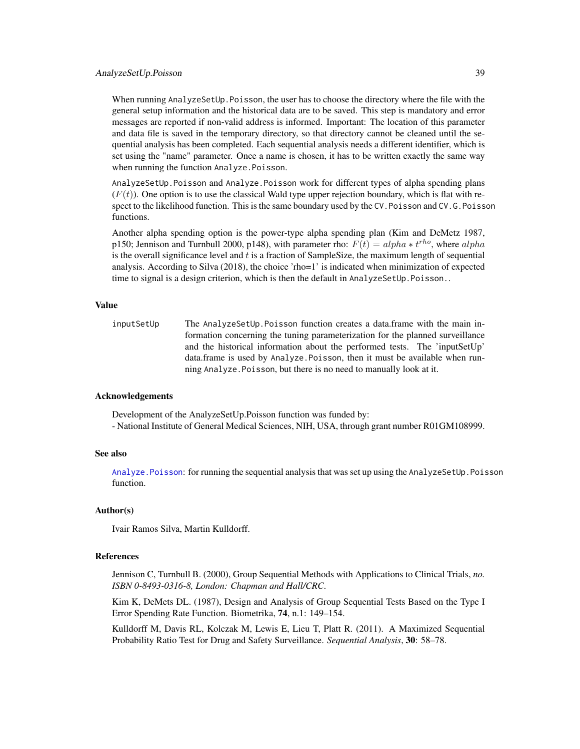#### AnalyzeSetUp.Poisson 39

When running AnalyzeSetUp.Poisson, the user has to choose the directory where the file with the general setup information and the historical data are to be saved. This step is mandatory and error messages are reported if non-valid address is informed. Important: The location of this parameter and data file is saved in the temporary directory, so that directory cannot be cleaned until the sequential analysis has been completed. Each sequential analysis needs a different identifier, which is set using the "name" parameter. Once a name is chosen, it has to be written exactly the same way when running the function Analyze.Poisson.

AnalyzeSetUp.Poisson and Analyze.Poisson work for different types of alpha spending plans  $(F(t))$ . One option is to use the classical Wald type upper rejection boundary, which is flat with respect to the likelihood function. This is the same boundary used by the CV.Poisson and CV.G.Poisson functions.

Another alpha spending option is the power-type alpha spending plan (Kim and DeMetz 1987, p150; Jennison and Turnbull 2000, p148), with parameter rho:  $F(t) = alpha * t^{rho}$ , where  $alpha$ is the overall significance level and  $t$  is a fraction of SampleSize, the maximum length of sequential analysis. According to Silva (2018), the choice 'rho=1' is indicated when minimization of expected time to signal is a design criterion, which is then the default in AnalyzeSetUp. Poisson..

#### Value

inputSetUp The AnalyzeSetUp. Poisson function creates a data.frame with the main information concerning the tuning parameterization for the planned surveillance and the historical information about the performed tests. The 'inputSetUp' data.frame is used by Analyze.Poisson, then it must be available when running Analyze.Poisson, but there is no need to manually look at it.

#### Acknowledgements

Development of the AnalyzeSetUp.Poisson function was funded by: - National Institute of General Medical Sciences, NIH, USA, through grant number R01GM108999.

#### See also

[Analyze.Poisson](#page-21-0): for running the sequential analysis that was set up using the AnalyzeSetUp.Poisson function.

#### Author(s)

Ivair Ramos Silva, Martin Kulldorff.

### References

Jennison C, Turnbull B. (2000), Group Sequential Methods with Applications to Clinical Trials, *no. ISBN 0-8493-0316-8, London: Chapman and Hall/CRC*.

Kim K, DeMets DL. (1987), Design and Analysis of Group Sequential Tests Based on the Type I Error Spending Rate Function. Biometrika, 74, n.1: 149–154.

Kulldorff M, Davis RL, Kolczak M, Lewis E, Lieu T, Platt R. (2011). A Maximized Sequential Probability Ratio Test for Drug and Safety Surveillance. *Sequential Analysis*, 30: 58–78.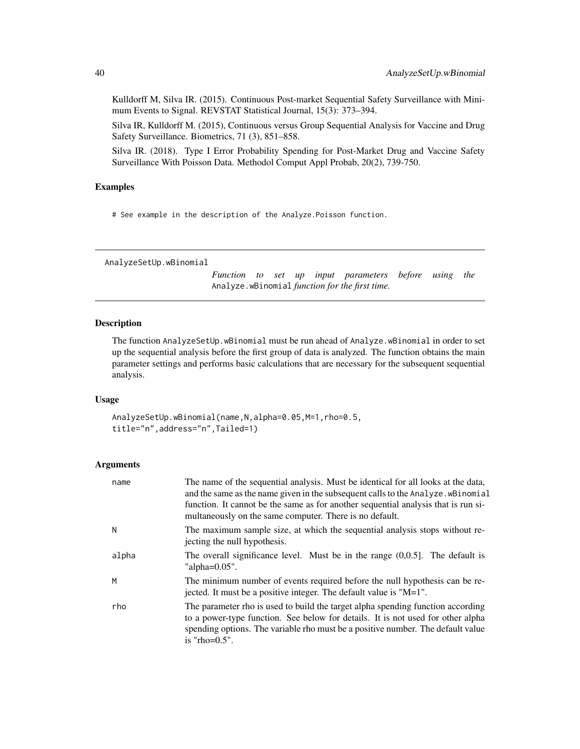Kulldorff M, Silva IR. (2015). Continuous Post-market Sequential Safety Surveillance with Minimum Events to Signal. REVSTAT Statistical Journal, 15(3): 373–394.

Silva IR, Kulldorff M. (2015), Continuous versus Group Sequential Analysis for Vaccine and Drug Safety Surveillance. Biometrics, 71 (3), 851–858.

Silva IR. (2018). Type I Error Probability Spending for Post-Market Drug and Vaccine Safety Surveillance With Poisson Data. Methodol Comput Appl Probab, 20(2), 739-750.

### Examples

# See example in the description of the Analyze.Poisson function.

AnalyzeSetUp.wBinomial

*Function to set up input parameters before using the* Analyze.wBinomial *function for the first time.*

#### Description

The function AnalyzeSetUp.wBinomial must be run ahead of Analyze.wBinomial in order to set up the sequential analysis before the first group of data is analyzed. The function obtains the main parameter settings and performs basic calculations that are necessary for the subsequent sequential analysis.

#### Usage

AnalyzeSetUp.wBinomial(name,N,alpha=0.05,M=1,rho=0.5, title="n",address="n",Tailed=1)

#### Arguments

| name  | The name of the sequential analysis. Must be identical for all looks at the data,<br>and the same as the name given in the subsequent calls to the Analyze. wBinomial<br>function. It cannot be the same as for another sequential analysis that is run si-<br>multaneously on the same computer. There is no default. |
|-------|------------------------------------------------------------------------------------------------------------------------------------------------------------------------------------------------------------------------------------------------------------------------------------------------------------------------|
| Ν     | The maximum sample size, at which the sequential analysis stops without re-<br>jecting the null hypothesis.                                                                                                                                                                                                            |
| alpha | The overall significance level. Must be in the range $(0,0.5)$ . The default is<br>"alpha= $0.05$ ".                                                                                                                                                                                                                   |
| М     | The minimum number of events required before the null hypothesis can be re-<br>jected. It must be a positive integer. The default value is "M=1".                                                                                                                                                                      |
| rho   | The parameter rho is used to build the target alpha spending function according<br>to a power-type function. See below for details. It is not used for other alpha<br>spending options. The variable rho must be a positive number. The default value<br>is "rho= $0.5$ ".                                             |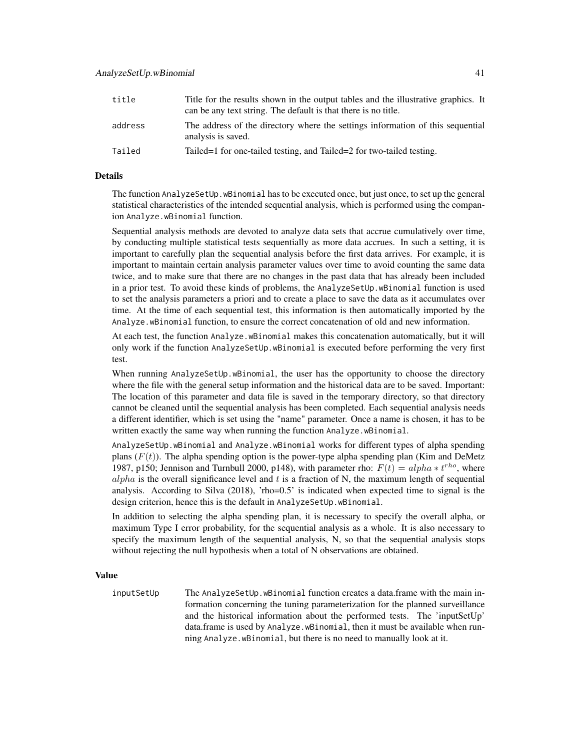| title   | Title for the results shown in the output tables and the illustrative graphics. It<br>can be any text string. The default is that there is no title. |
|---------|------------------------------------------------------------------------------------------------------------------------------------------------------|
| address | The address of the directory where the settings information of this sequential<br>analysis is saved.                                                 |
| Tailed  | Tailed -1 for one-tailed testing, and Tailed -2 for two-tailed testing.                                                                              |

### Details

The function AnalyzeSetUp.wBinomial has to be executed once, but just once, to set up the general statistical characteristics of the intended sequential analysis, which is performed using the companion Analyze.wBinomial function.

Sequential analysis methods are devoted to analyze data sets that accrue cumulatively over time, by conducting multiple statistical tests sequentially as more data accrues. In such a setting, it is important to carefully plan the sequential analysis before the first data arrives. For example, it is important to maintain certain analysis parameter values over time to avoid counting the same data twice, and to make sure that there are no changes in the past data that has already been included in a prior test. To avoid these kinds of problems, the AnalyzeSetUp.wBinomial function is used to set the analysis parameters a priori and to create a place to save the data as it accumulates over time. At the time of each sequential test, this information is then automatically imported by the Analyze.wBinomial function, to ensure the correct concatenation of old and new information.

At each test, the function Analyze.wBinomial makes this concatenation automatically, but it will only work if the function AnalyzeSetUp.wBinomial is executed before performing the very first test.

When running AnalyzeSetUp.wBinomial, the user has the opportunity to choose the directory where the file with the general setup information and the historical data are to be saved. Important: The location of this parameter and data file is saved in the temporary directory, so that directory cannot be cleaned until the sequential analysis has been completed. Each sequential analysis needs a different identifier, which is set using the "name" parameter. Once a name is chosen, it has to be written exactly the same way when running the function Analyze.wBinomial.

AnalyzeSetUp.wBinomial and Analyze.wBinomial works for different types of alpha spending plans  $(F(t))$ . The alpha spending option is the power-type alpha spending plan (Kim and DeMetz 1987, p150; Jennison and Turnbull 2000, p148), with parameter rho:  $F(t) = alpha * t^{rho}$ , where alpha is the overall significance level and  $t$  is a fraction of N, the maximum length of sequential analysis. According to Silva (2018), 'rho=0.5' is indicated when expected time to signal is the design criterion, hence this is the default in AnalyzeSetUp.wBinomial.

In addition to selecting the alpha spending plan, it is necessary to specify the overall alpha, or maximum Type I error probability, for the sequential analysis as a whole. It is also necessary to specify the maximum length of the sequential analysis, N, so that the sequential analysis stops without rejecting the null hypothesis when a total of N observations are obtained.

#### Value

inputSetUp The AnalyzeSetUp.wBinomial function creates a data.frame with the main information concerning the tuning parameterization for the planned surveillance and the historical information about the performed tests. The 'inputSetUp' data.frame is used by Analyze.wBinomial, then it must be available when running Analyze.wBinomial, but there is no need to manually look at it.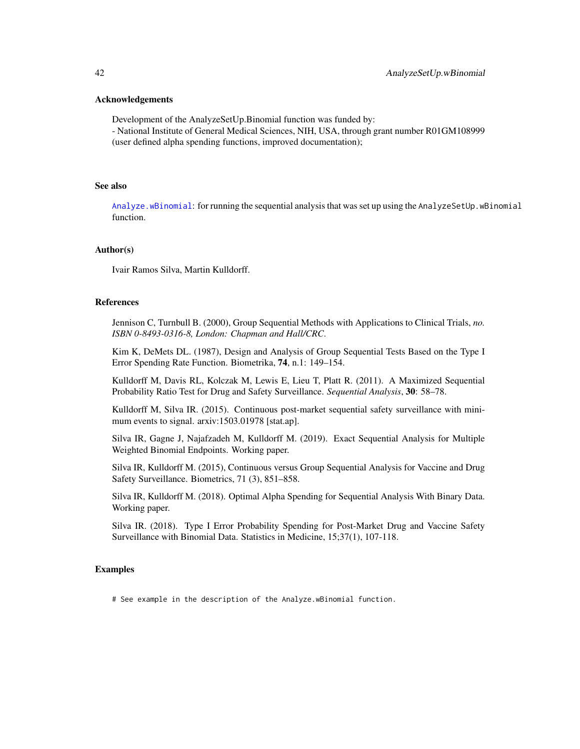#### Acknowledgements

Development of the AnalyzeSetUp.Binomial function was funded by:

- National Institute of General Medical Sciences, NIH, USA, through grant number R01GM108999 (user defined alpha spending functions, improved documentation);

#### See also

[Analyze.wBinomial](#page-25-0): for running the sequential analysis that was set up using the AnalyzeSetUp.wBinomial function.

### Author(s)

Ivair Ramos Silva, Martin Kulldorff.

# References

Jennison C, Turnbull B. (2000), Group Sequential Methods with Applications to Clinical Trials, *no. ISBN 0-8493-0316-8, London: Chapman and Hall/CRC*.

Kim K, DeMets DL. (1987), Design and Analysis of Group Sequential Tests Based on the Type I Error Spending Rate Function. Biometrika, 74, n.1: 149–154.

Kulldorff M, Davis RL, Kolczak M, Lewis E, Lieu T, Platt R. (2011). A Maximized Sequential Probability Ratio Test for Drug and Safety Surveillance. *Sequential Analysis*, 30: 58–78.

Kulldorff M, Silva IR. (2015). Continuous post-market sequential safety surveillance with minimum events to signal. arxiv:1503.01978 [stat.ap].

Silva IR, Gagne J, Najafzadeh M, Kulldorff M. (2019). Exact Sequential Analysis for Multiple Weighted Binomial Endpoints. Working paper.

Silva IR, Kulldorff M. (2015), Continuous versus Group Sequential Analysis for Vaccine and Drug Safety Surveillance. Biometrics, 71 (3), 851–858.

Silva IR, Kulldorff M. (2018). Optimal Alpha Spending for Sequential Analysis With Binary Data. Working paper.

Silva IR. (2018). Type I Error Probability Spending for Post-Market Drug and Vaccine Safety Surveillance with Binomial Data. Statistics in Medicine, 15;37(1), 107-118.

### Examples

# See example in the description of the Analyze.wBinomial function.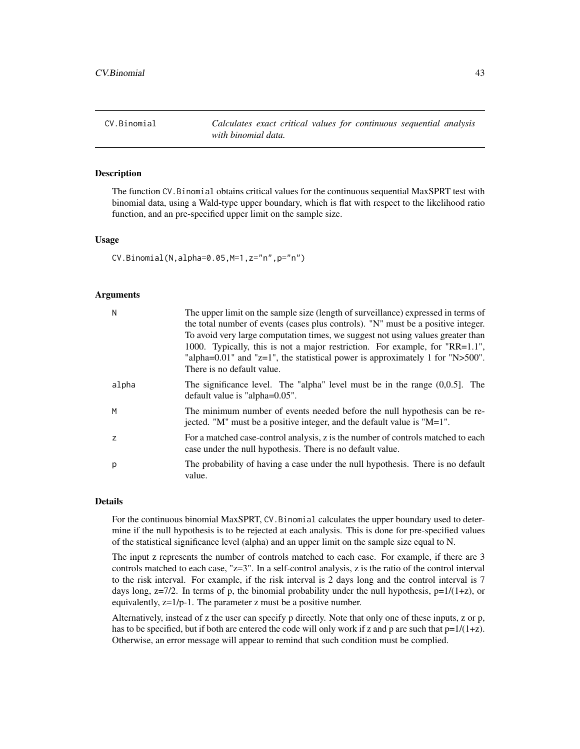<span id="page-42-0"></span>CV.Binomial *Calculates exact critical values for continuous sequential analysis with binomial data.*

### Description

The function CV.Binomial obtains critical values for the continuous sequential MaxSPRT test with binomial data, using a Wald-type upper boundary, which is flat with respect to the likelihood ratio function, and an pre-specified upper limit on the sample size.

### Usage

CV.Binomial(N,alpha=0.05,M=1,z="n",p="n")

#### Arguments

| N              | The upper limit on the sample size (length of surveillance) expressed in terms of<br>the total number of events (cases plus controls). "N" must be a positive integer.<br>To avoid very large computation times, we suggest not using values greater than<br>1000. Typically, this is not a major restriction. For example, for "RR=1.1",<br>"alpha= $0.01$ " and "z=1", the statistical power is approximately 1 for "N> $500$ ".<br>There is no default value. |
|----------------|------------------------------------------------------------------------------------------------------------------------------------------------------------------------------------------------------------------------------------------------------------------------------------------------------------------------------------------------------------------------------------------------------------------------------------------------------------------|
| alpha          | The significance level. The "alpha" level must be in the range $(0,0.5]$ . The<br>default value is "alpha= $0.05$ ".                                                                                                                                                                                                                                                                                                                                             |
| M              | The minimum number of events needed before the null hypothesis can be re-<br>jected. "M" must be a positive integer, and the default value is "M=1".                                                                                                                                                                                                                                                                                                             |
| $\overline{z}$ | For a matched case-control analysis, z is the number of controls matched to each<br>case under the null hypothesis. There is no default value.                                                                                                                                                                                                                                                                                                                   |
| р              | The probability of having a case under the null hypothesis. There is no default<br>value.                                                                                                                                                                                                                                                                                                                                                                        |

#### Details

For the continuous binomial MaxSPRT, CV.Binomial calculates the upper boundary used to determine if the null hypothesis is to be rejected at each analysis. This is done for pre-specified values of the statistical significance level (alpha) and an upper limit on the sample size equal to N.

The input z represents the number of controls matched to each case. For example, if there are 3 controls matched to each case, "z=3". In a self-control analysis, z is the ratio of the control interval to the risk interval. For example, if the risk interval is 2 days long and the control interval is 7 days long,  $z=7/2$ . In terms of p, the binomial probability under the null hypothesis,  $p=1/(1+z)$ , or equivalently, z=1/p-1. The parameter z must be a positive number.

Alternatively, instead of z the user can specify p directly. Note that only one of these inputs, z or p, has to be specified, but if both are entered the code will only work if z and p are such that  $p=1/(1+z)$ . Otherwise, an error message will appear to remind that such condition must be complied.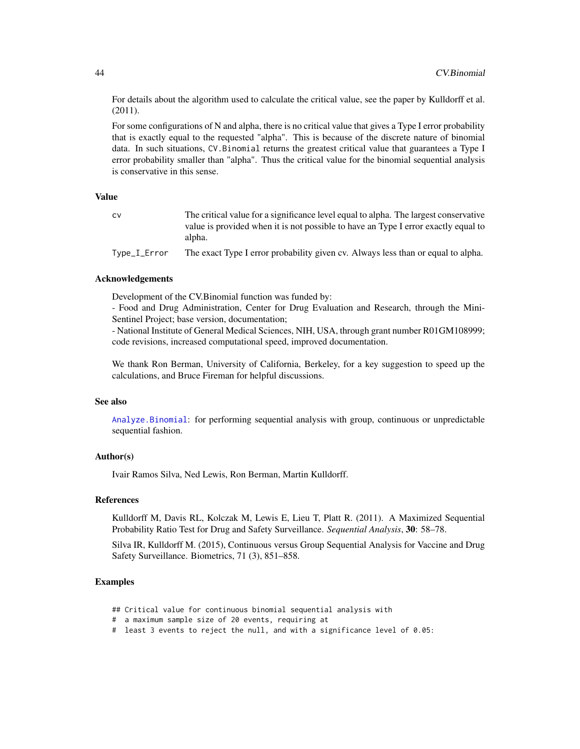For details about the algorithm used to calculate the critical value, see the paper by Kulldorff et al. (2011).

For some configurations of N and alpha, there is no critical value that gives a Type I error probability that is exactly equal to the requested "alpha". This is because of the discrete nature of binomial data. In such situations, CV.Binomial returns the greatest critical value that guarantees a Type I error probability smaller than "alpha". Thus the critical value for the binomial sequential analysis is conservative in this sense.

### Value

| <b>CV</b>    | The critical value for a significance level equal to alpha. The largest conservative |
|--------------|--------------------------------------------------------------------------------------|
|              | value is provided when it is not possible to have an Type I error exactly equal to   |
|              | alpha.                                                                               |
| Type_I_Error | The exact Type I error probability given cv. Always less than or equal to alpha.     |

#### Acknowledgements

Development of the CV.Binomial function was funded by:

- Food and Drug Administration, Center for Drug Evaluation and Research, through the Mini-Sentinel Project; base version, documentation;

- National Institute of General Medical Sciences, NIH, USA, through grant number R01GM108999; code revisions, increased computational speed, improved documentation.

We thank Ron Berman, University of California, Berkeley, for a key suggestion to speed up the calculations, and Bruce Fireman for helpful discussions.

## See also

[Analyze.Binomial](#page-11-0): for performing sequential analysis with group, continuous or unpredictable sequential fashion.

### Author(s)

Ivair Ramos Silva, Ned Lewis, Ron Berman, Martin Kulldorff.

#### References

Kulldorff M, Davis RL, Kolczak M, Lewis E, Lieu T, Platt R. (2011). A Maximized Sequential Probability Ratio Test for Drug and Safety Surveillance. *Sequential Analysis*, 30: 58–78.

Silva IR, Kulldorff M. (2015), Continuous versus Group Sequential Analysis for Vaccine and Drug Safety Surveillance. Biometrics, 71 (3), 851–858.

#### Examples

- ## Critical value for continuous binomial sequential analysis with
- # a maximum sample size of 20 events, requiring at
- # least 3 events to reject the null, and with a significance level of 0.05: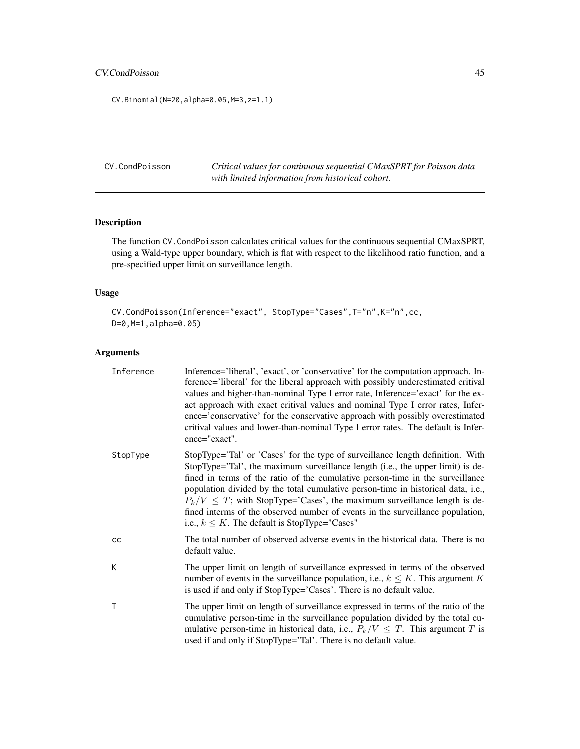# CV.CondPoisson 45

CV.Binomial(N=20,alpha=0.05,M=3,z=1.1)

<span id="page-44-0"></span>CV.CondPoisson *Critical values for continuous sequential CMaxSPRT for Poisson data with limited information from historical cohort.*

# Description

The function CV.CondPoisson calculates critical values for the continuous sequential CMaxSPRT, using a Wald-type upper boundary, which is flat with respect to the likelihood ratio function, and a pre-specified upper limit on surveillance length.

# Usage

```
CV.CondPoisson(Inference="exact", StopType="Cases",T="n",K="n",cc,
D=0,M=1,alpha=0.05)
```
# Arguments

| Inference | Inference='liberal', 'exact', or 'conservative' for the computation approach. In-<br>ference='liberal' for the liberal approach with possibly underestimated critival<br>values and higher-than-nominal Type I error rate, Inference='exact' for the ex-<br>act approach with exact critival values and nominal Type I error rates, Infer-<br>ence='conservative' for the conservative approach with possibly overestimated<br>critival values and lower-than-nominal Type I error rates. The default is Infer-<br>ence="exact".                                |
|-----------|-----------------------------------------------------------------------------------------------------------------------------------------------------------------------------------------------------------------------------------------------------------------------------------------------------------------------------------------------------------------------------------------------------------------------------------------------------------------------------------------------------------------------------------------------------------------|
| StopType  | StopType='Tal' or 'Cases' for the type of surveillance length definition. With<br>StopType='Tal', the maximum surveillance length (i.e., the upper limit) is de-<br>fined in terms of the ratio of the cumulative person-time in the surveillance<br>population divided by the total cumulative person-time in historical data, i.e.,<br>$P_k/V \leq T$ ; with StopType='Cases', the maximum surveillance length is de-<br>fined interms of the observed number of events in the surveillance population,<br>i.e., $k \leq K$ . The default is StopType="Cases" |
| cс        | The total number of observed adverse events in the historical data. There is no<br>default value.                                                                                                                                                                                                                                                                                                                                                                                                                                                               |
| K         | The upper limit on length of surveillance expressed in terms of the observed<br>number of events in the surveillance population, i.e., $k \leq K$ . This argument K<br>is used if and only if StopType='Cases'. There is no default value.                                                                                                                                                                                                                                                                                                                      |
| T         | The upper limit on length of surveillance expressed in terms of the ratio of the<br>cumulative person-time in the surveillance population divided by the total cu-<br>mulative person-time in historical data, i.e., $P_k/V \leq T$ . This argument T is<br>used if and only if StopType='Tal'. There is no default value.                                                                                                                                                                                                                                      |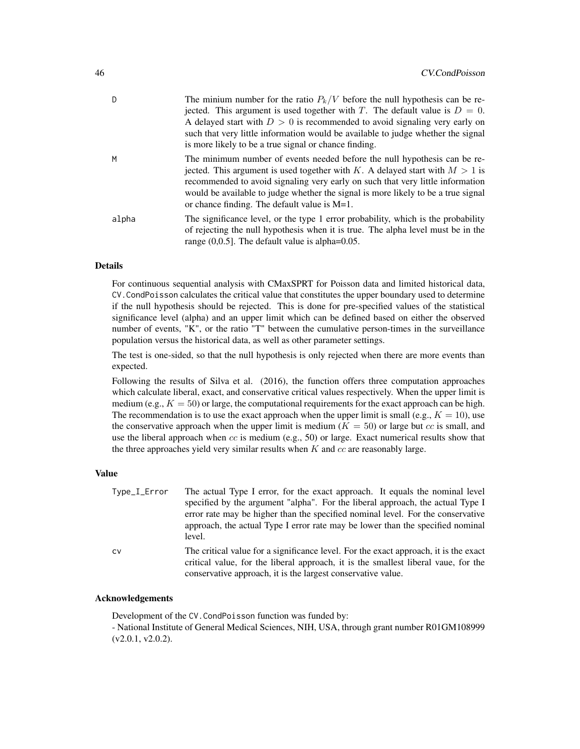| D     | The minium number for the ratio $P_k/V$ before the null hypothesis can be re-<br>jected. This argument is used together with T. The default value is $D = 0$ .<br>A delayed start with $D > 0$ is recommended to avoid signaling very early on<br>such that very little information would be available to judge whether the signal<br>is more likely to be a true signal or chance finding. |
|-------|---------------------------------------------------------------------------------------------------------------------------------------------------------------------------------------------------------------------------------------------------------------------------------------------------------------------------------------------------------------------------------------------|
| M     | The minimum number of events needed before the null hypothesis can be re-<br>jected. This argument is used together with K. A delayed start with $M > 1$ is<br>recommended to avoid signaling very early on such that very little information<br>would be available to judge whether the signal is more likely to be a true signal<br>or chance finding. The default value is $M=1$ .       |
| alpha | The significance level, or the type 1 error probability, which is the probability<br>of rejecting the null hypothesis when it is true. The alpha level must be in the<br>range $(0,0.5]$ . The default value is alpha= $0.05$ .                                                                                                                                                             |

# Details

For continuous sequential analysis with CMaxSPRT for Poisson data and limited historical data, CV.CondPoisson calculates the critical value that constitutes the upper boundary used to determine if the null hypothesis should be rejected. This is done for pre-specified values of the statistical significance level (alpha) and an upper limit which can be defined based on either the observed number of events, "K", or the ratio "T" between the cumulative person-times in the surveillance population versus the historical data, as well as other parameter settings.

The test is one-sided, so that the null hypothesis is only rejected when there are more events than expected.

Following the results of Silva et al. (2016), the function offers three computation approaches which calculate liberal, exact, and conservative critical values respectively. When the upper limit is medium (e.g.,  $K = 50$ ) or large, the computational requirements for the exact approach can be high. The recommendation is to use the exact approach when the upper limit is small (e.g.,  $K = 10$ ), use the conservative approach when the upper limit is medium  $(K = 50)$  or large but cc is small, and use the liberal approach when  $cc$  is medium (e.g., 50) or large. Exact numerical results show that the three approaches yield very similar results when  $K$  and  $cc$  are reasonably large.

#### Value

| Type_I_Error | The actual Type I error, for the exact approach. It equals the nominal level<br>specified by the argument "alpha". For the liberal approach, the actual Type I<br>error rate may be higher than the specified nominal level. For the conservative<br>approach, the actual Type I error rate may be lower than the specified nominal |
|--------------|-------------------------------------------------------------------------------------------------------------------------------------------------------------------------------------------------------------------------------------------------------------------------------------------------------------------------------------|
| CV           | level.<br>The critical value for a significance level. For the exact approach, it is the exact<br>critical value, for the liberal approach, it is the smallest liberal vaue, for the<br>conservative approach, it is the largest conservative value.                                                                                |

# Acknowledgements

Development of the CV.CondPoisson function was funded by:

- National Institute of General Medical Sciences, NIH, USA, through grant number R01GM108999 (v2.0.1, v2.0.2).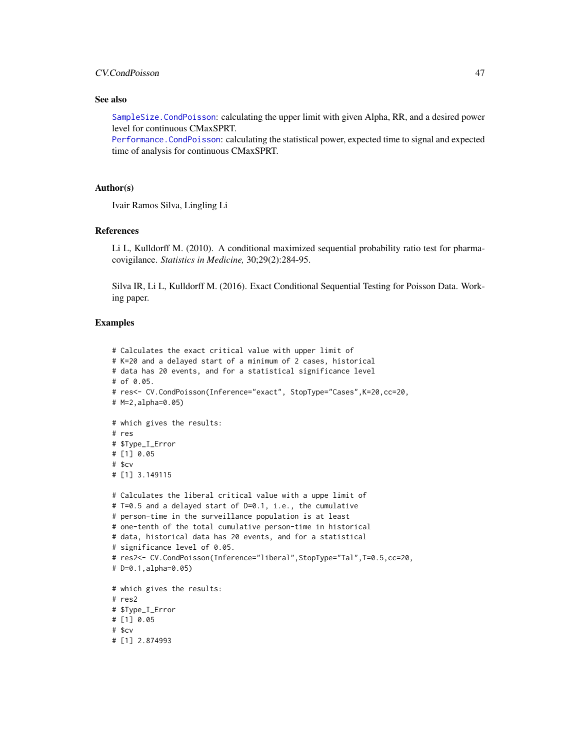# CV.CondPoisson 47

### See also

[SampleSize.CondPoisson](#page-70-0): calculating the upper limit with given Alpha, RR, and a desired power level for continuous CMaxSPRT.

[Performance.CondPoisson](#page-58-0): calculating the statistical power, expected time to signal and expected time of analysis for continuous CMaxSPRT.

# Author(s)

Ivair Ramos Silva, Lingling Li

# References

Li L, Kulldorff M. (2010). A conditional maximized sequential probability ratio test for pharmacovigilance. *Statistics in Medicine,* 30;29(2):284-95.

Silva IR, Li L, Kulldorff M. (2016). Exact Conditional Sequential Testing for Poisson Data. Working paper.

### Examples

```
# Calculates the exact critical value with upper limit of
# K=20 and a delayed start of a minimum of 2 cases, historical
# data has 20 events, and for a statistical significance level
# of 0.05.
# res<- CV.CondPoisson(Inference="exact", StopType="Cases",K=20,cc=20,
# M=2,alpha=0.05)
# which gives the results:
# res
# $Type_I_Error
# [1] 0.05
# $cv
# [1] 3.149115
# Calculates the liberal critical value with a uppe limit of
# T=0.5 and a delayed start of D=0.1, i.e., the cumulative
# person-time in the surveillance population is at least
# one-tenth of the total cumulative person-time in historical
# data, historical data has 20 events, and for a statistical
# significance level of 0.05.
# res2<- CV.CondPoisson(Inference="liberal",StopType="Tal",T=0.5,cc=20,
# D=0.1,alpha=0.05)
# which gives the results:
# res2
# $Type_I_Error
# [1] 0.05
# $cv
# [1] 2.874993
```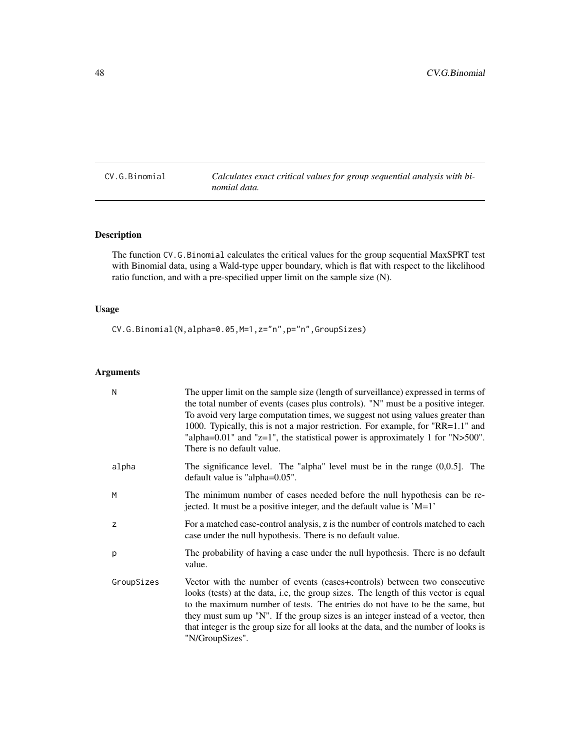<span id="page-47-0"></span>CV.G.Binomial *Calculates exact critical values for group sequential analysis with binomial data.*

# Description

The function CV.G.Binomial calculates the critical values for the group sequential MaxSPRT test with Binomial data, using a Wald-type upper boundary, which is flat with respect to the likelihood ratio function, and with a pre-specified upper limit on the sample size (N).

# Usage

CV.G.Binomial(N,alpha=0.05,M=1,z="n",p="n",GroupSizes)

# Arguments

| N          | The upper limit on the sample size (length of surveillance) expressed in terms of<br>the total number of events (cases plus controls). "N" must be a positive integer.<br>To avoid very large computation times, we suggest not using values greater than<br>1000. Typically, this is not a major restriction. For example, for "RR=1.1" and<br>"alpha= $0.01$ " and "z=1", the statistical power is approximately 1 for "N> $500$ ".<br>There is no default value. |
|------------|---------------------------------------------------------------------------------------------------------------------------------------------------------------------------------------------------------------------------------------------------------------------------------------------------------------------------------------------------------------------------------------------------------------------------------------------------------------------|
| alpha      | The significance level. The "alpha" level must be in the range $(0,0.5]$ . The<br>default value is "alpha=0.05".                                                                                                                                                                                                                                                                                                                                                    |
| M          | The minimum number of cases needed before the null hypothesis can be re-<br>jected. It must be a positive integer, and the default value is 'M=1'                                                                                                                                                                                                                                                                                                                   |
| z          | For a matched case-control analysis, z is the number of controls matched to each<br>case under the null hypothesis. There is no default value.                                                                                                                                                                                                                                                                                                                      |
| p          | The probability of having a case under the null hypothesis. There is no default<br>value.                                                                                                                                                                                                                                                                                                                                                                           |
| GroupSizes | Vector with the number of events (cases+controls) between two consecutive<br>looks (tests) at the data, i.e, the group sizes. The length of this vector is equal<br>to the maximum number of tests. The entries do not have to be the same, but<br>they must sum up "N". If the group sizes is an integer instead of a vector, then<br>that integer is the group size for all looks at the data, and the number of looks is<br>"N/GroupSizes".                      |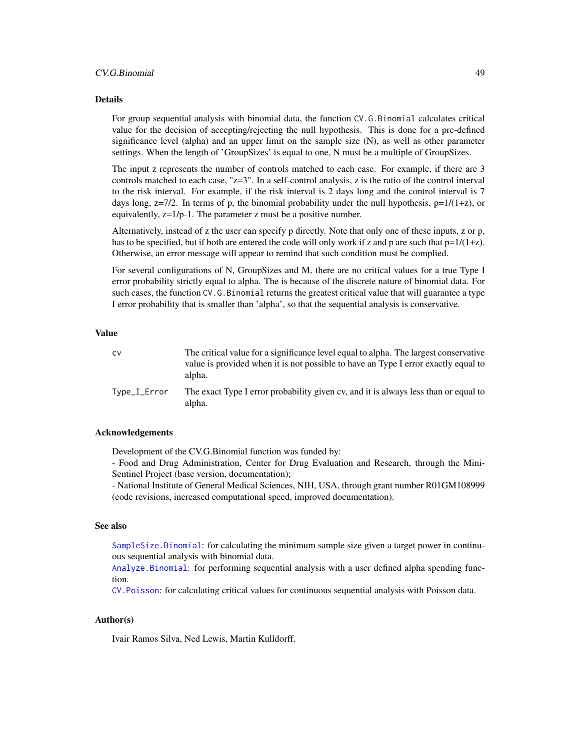### CV.G.Binomial 49

#### Details

For group sequential analysis with binomial data, the function CV.G.Binomial calculates critical value for the decision of accepting/rejecting the null hypothesis. This is done for a pre-defined significance level (alpha) and an upper limit on the sample size (N), as well as other parameter settings. When the length of 'GroupSizes' is equal to one, N must be a multiple of GroupSizes.

The input z represents the number of controls matched to each case. For example, if there are 3 controls matched to each case, "z=3". In a self-control analysis, z is the ratio of the control interval to the risk interval. For example, if the risk interval is 2 days long and the control interval is 7 days long,  $z=7/2$ . In terms of p, the binomial probability under the null hypothesis,  $p=1/(1+z)$ , or equivalently, z=1/p-1. The parameter z must be a positive number.

Alternatively, instead of z the user can specify p directly. Note that only one of these inputs, z or p, has to be specified, but if both are entered the code will only work if z and p are such that  $p=1/(1+z)$ . Otherwise, an error message will appear to remind that such condition must be complied.

For several configurations of N, GroupSizes and M, there are no critical values for a true Type I error probability strictly equal to alpha. The is because of the discrete nature of binomial data. For such cases, the function CV.G.Binomial returns the greatest critical value that will guarantee a type I error probability that is smaller than 'alpha', so that the sequential analysis is conservative.

# Value

| c٧           | The critical value for a significance level equal to alpha. The largest conservative<br>value is provided when it is not possible to have an Type I error exactly equal to<br>alpha. |
|--------------|--------------------------------------------------------------------------------------------------------------------------------------------------------------------------------------|
| Type_I_Error | The exact Type I error probability given cy, and it is always less than or equal to<br>alpha.                                                                                        |

### Acknowledgements

Development of the CV.G.Binomial function was funded by:

- Food and Drug Administration, Center for Drug Evaluation and Research, through the Mini-Sentinel Project (base version, documentation);

- National Institute of General Medical Sciences, NIH, USA, through grant number R01GM108999 (code revisions, increased computational speed, improved documentation).

# See also

[SampleSize.Binomial](#page-68-0): for calculating the minimum sample size given a target power in continuous sequential analysis with binomial data.

[Analyze.Binomial](#page-11-0): for performing sequential analysis with a user defined alpha spending function.

[CV.Poisson](#page-51-0): for calculating critical values for continuous sequential analysis with Poisson data.

### Author(s)

Ivair Ramos Silva, Ned Lewis, Martin Kulldorff.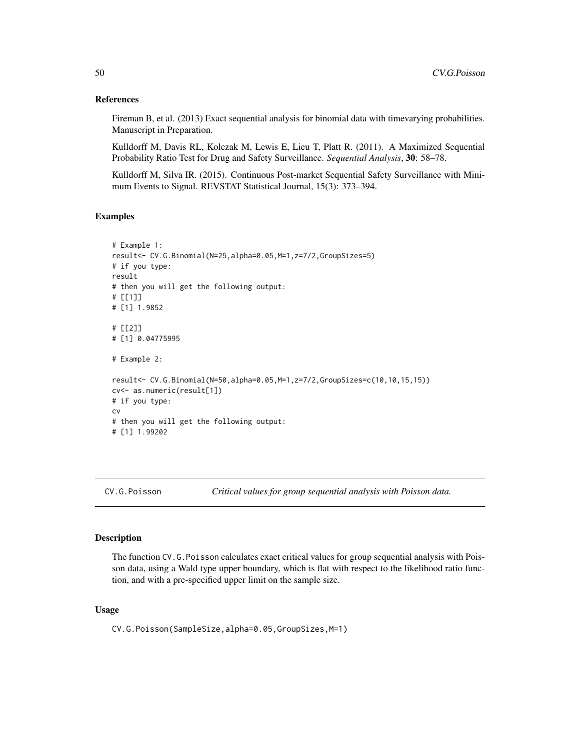### References

Fireman B, et al. (2013) Exact sequential analysis for binomial data with timevarying probabilities. Manuscript in Preparation.

Kulldorff M, Davis RL, Kolczak M, Lewis E, Lieu T, Platt R. (2011). A Maximized Sequential Probability Ratio Test for Drug and Safety Surveillance. *Sequential Analysis*, 30: 58–78.

Kulldorff M, Silva IR. (2015). Continuous Post-market Sequential Safety Surveillance with Minimum Events to Signal. REVSTAT Statistical Journal, 15(3): 373–394.

# Examples

```
# Example 1:
result<- CV.G.Binomial(N=25,alpha=0.05,M=1,z=7/2,GroupSizes=5)
# if you type:
result
# then you will get the following output:
# [[1]]
# [1] 1.9852
# [[2]]
# [1] 0.04775995
# Example 2:
result<- CV.G.Binomial(N=50,alpha=0.05,M=1,z=7/2,GroupSizes=c(10,10,15,15))
cv<- as.numeric(result[1])
# if you type:
cv
# then you will get the following output:
# [1] 1.99202
```
<span id="page-49-0"></span>CV.G.Poisson *Critical values for group sequential analysis with Poisson data.*

#### Description

The function CV.G.Poisson calculates exact critical values for group sequential analysis with Poisson data, using a Wald type upper boundary, which is flat with respect to the likelihood ratio function, and with a pre-specified upper limit on the sample size.

### Usage

CV.G.Poisson(SampleSize,alpha=0.05,GroupSizes,M=1)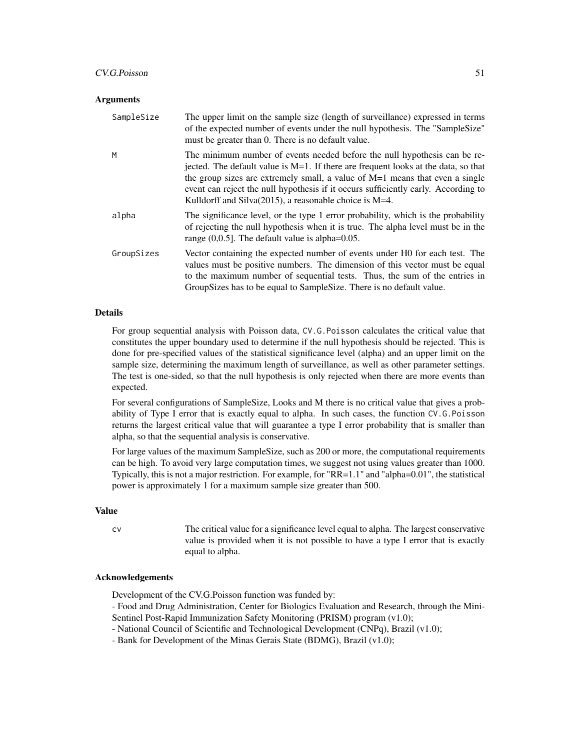#### CV.G.Poisson 51

#### **Arguments**

| SampleSize | The upper limit on the sample size (length of surveillance) expressed in terms<br>of the expected number of events under the null hypothesis. The "SampleSize"<br>must be greater than 0. There is no default value.                                                                                                                                                                                  |
|------------|-------------------------------------------------------------------------------------------------------------------------------------------------------------------------------------------------------------------------------------------------------------------------------------------------------------------------------------------------------------------------------------------------------|
| M          | The minimum number of events needed before the null hypothesis can be re-<br>jected. The default value is M=1. If there are frequent looks at the data, so that<br>the group sizes are extremely small, a value of $M=1$ means that even a single<br>event can reject the null hypothesis if it occurs sufficiently early. According to<br>Kulldorff and Silva $(2015)$ , a reasonable choice is M=4. |
| alpha      | The significance level, or the type 1 error probability, which is the probability<br>of rejecting the null hypothesis when it is true. The alpha level must be in the<br>range $(0,0.5]$ . The default value is alpha= $0.05$ .                                                                                                                                                                       |
| GroupSizes | Vector containing the expected number of events under H0 for each test. The<br>values must be positive numbers. The dimension of this vector must be equal<br>to the maximum number of sequential tests. Thus, the sum of the entries in<br>Group Sizes has to be equal to Sample Size. There is no default value.                                                                                    |

## Details

For group sequential analysis with Poisson data, CV.G.Poisson calculates the critical value that constitutes the upper boundary used to determine if the null hypothesis should be rejected. This is done for pre-specified values of the statistical significance level (alpha) and an upper limit on the sample size, determining the maximum length of surveillance, as well as other parameter settings. The test is one-sided, so that the null hypothesis is only rejected when there are more events than expected.

For several configurations of SampleSize, Looks and M there is no critical value that gives a probability of Type I error that is exactly equal to alpha. In such cases, the function CV.G.Poisson returns the largest critical value that will guarantee a type I error probability that is smaller than alpha, so that the sequential analysis is conservative.

For large values of the maximum SampleSize, such as 200 or more, the computational requirements can be high. To avoid very large computation times, we suggest not using values greater than 1000. Typically, this is not a major restriction. For example, for "RR=1.1" and "alpha=0.01", the statistical power is approximately 1 for a maximum sample size greater than 500.

#### Value

cv The critical value for a significance level equal to alpha. The largest conservative value is provided when it is not possible to have a type I error that is exactly equal to alpha.

### Acknowledgements

Development of the CV.G.Poisson function was funded by:

- Food and Drug Administration, Center for Biologics Evaluation and Research, through the Mini-Sentinel Post-Rapid Immunization Safety Monitoring (PRISM) program (v1.0);

- National Council of Scientific and Technological Development (CNPq), Brazil (v1.0);

- Bank for Development of the Minas Gerais State (BDMG), Brazil (v1.0);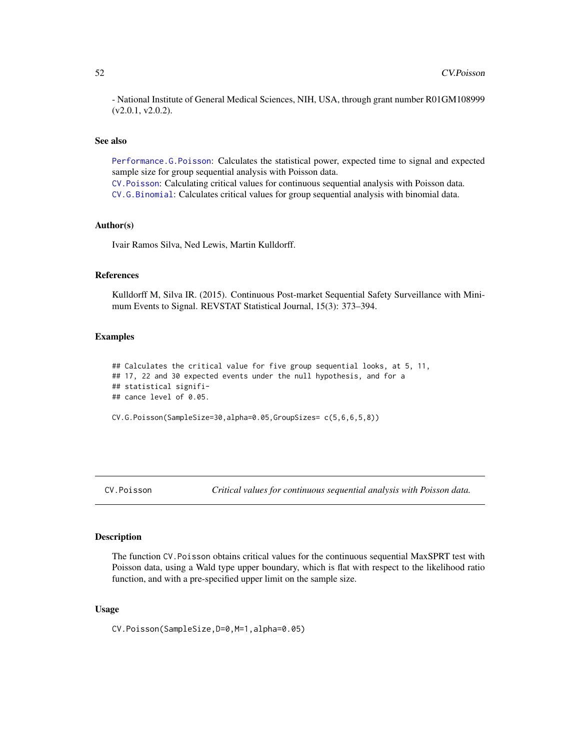- National Institute of General Medical Sciences, NIH, USA, through grant number R01GM108999 (v2.0.1, v2.0.2).

### See also

[Performance.G.Poisson](#page-63-0): Calculates the statistical power, expected time to signal and expected sample size for group sequential analysis with Poisson data. [CV.Poisson](#page-51-0): Calculating critical values for continuous sequential analysis with Poisson data.

[CV.G.Binomial](#page-47-0): Calculates critical values for group sequential analysis with binomial data.

# Author(s)

Ivair Ramos Silva, Ned Lewis, Martin Kulldorff.

# References

Kulldorff M, Silva IR. (2015). Continuous Post-market Sequential Safety Surveillance with Minimum Events to Signal. REVSTAT Statistical Journal, 15(3): 373–394.

#### Examples

```
## Calculates the critical value for five group sequential looks, at 5, 11,
## 17, 22 and 30 expected events under the null hypothesis, and for a
## statistical signifi-
## cance level of 0.05.
CV.G.Poisson(SampleSize=30,alpha=0.05,GroupSizes= c(5,6,6,5,8))
```
<span id="page-51-0"></span>CV.Poisson *Critical values for continuous sequential analysis with Poisson data.*

#### **Description**

The function CV.Poisson obtains critical values for the continuous sequential MaxSPRT test with Poisson data, using a Wald type upper boundary, which is flat with respect to the likelihood ratio function, and with a pre-specified upper limit on the sample size.

### Usage

CV.Poisson(SampleSize,D=0,M=1,alpha=0.05)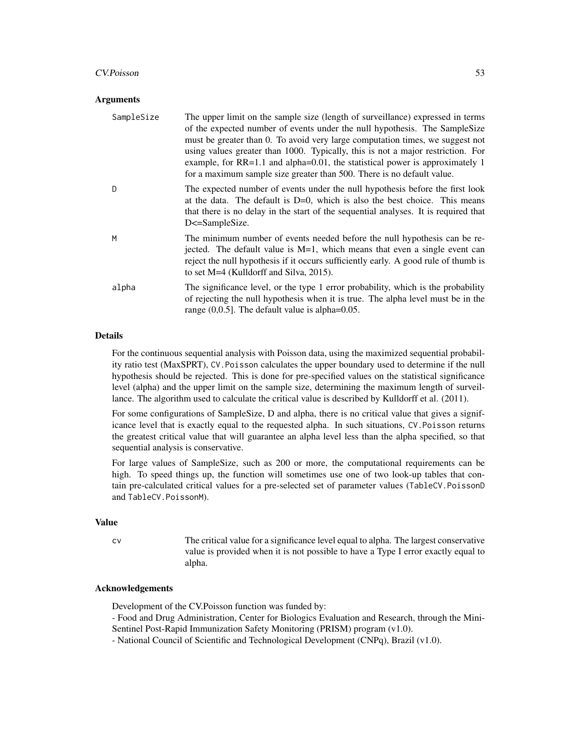### CV.Poisson 53

#### Arguments

| SampleSize | The upper limit on the sample size (length of surveillance) expressed in terms<br>of the expected number of events under the null hypothesis. The SampleSize<br>must be greater than 0. To avoid very large computation times, we suggest not<br>using values greater than 1000. Typically, this is not a major restriction. For<br>example, for $RR=1.1$ and alpha=0.01, the statistical power is approximately 1<br>for a maximum sample size greater than 500. There is no default value. |
|------------|----------------------------------------------------------------------------------------------------------------------------------------------------------------------------------------------------------------------------------------------------------------------------------------------------------------------------------------------------------------------------------------------------------------------------------------------------------------------------------------------|
| D          | The expected number of events under the null hypothesis before the first look<br>at the data. The default is $D=0$ , which is also the best choice. This means<br>that there is no delay in the start of the sequential analyses. It is required that<br>D<=SampleSize.                                                                                                                                                                                                                      |
| M          | The minimum number of events needed before the null hypothesis can be re-<br>jected. The default value is $M=1$ , which means that even a single event can<br>reject the null hypothesis if it occurs sufficiently early. A good rule of thumb is<br>to set M=4 (Kulldorff and Silva, 2015).                                                                                                                                                                                                 |
| alpha      | The significance level, or the type 1 error probability, which is the probability<br>of rejecting the null hypothesis when it is true. The alpha level must be in the<br>range $(0,0.5]$ . The default value is alpha= $0.05$ .                                                                                                                                                                                                                                                              |

# **Details**

For the continuous sequential analysis with Poisson data, using the maximized sequential probability ratio test (MaxSPRT), CV.Poisson calculates the upper boundary used to determine if the null hypothesis should be rejected. This is done for pre-specified values on the statistical significance level (alpha) and the upper limit on the sample size, determining the maximum length of surveillance. The algorithm used to calculate the critical value is described by Kulldorff et al. (2011).

For some configurations of SampleSize, D and alpha, there is no critical value that gives a significance level that is exactly equal to the requested alpha. In such situations, CV.Poisson returns the greatest critical value that will guarantee an alpha level less than the alpha specified, so that sequential analysis is conservative.

For large values of SampleSize, such as 200 or more, the computational requirements can be high. To speed things up, the function will sometimes use one of two look-up tables that contain pre-calculated critical values for a pre-selected set of parameter values (TableCV.PoissonD and TableCV.PoissonM).

### Value

cv The critical value for a significance level equal to alpha. The largest conservative value is provided when it is not possible to have a Type I error exactly equal to alpha.

### Acknowledgements

Development of the CV.Poisson function was funded by:

- Food and Drug Administration, Center for Biologics Evaluation and Research, through the Mini-Sentinel Post-Rapid Immunization Safety Monitoring (PRISM) program (v1.0).

- National Council of Scientific and Technological Development (CNPq), Brazil (v1.0).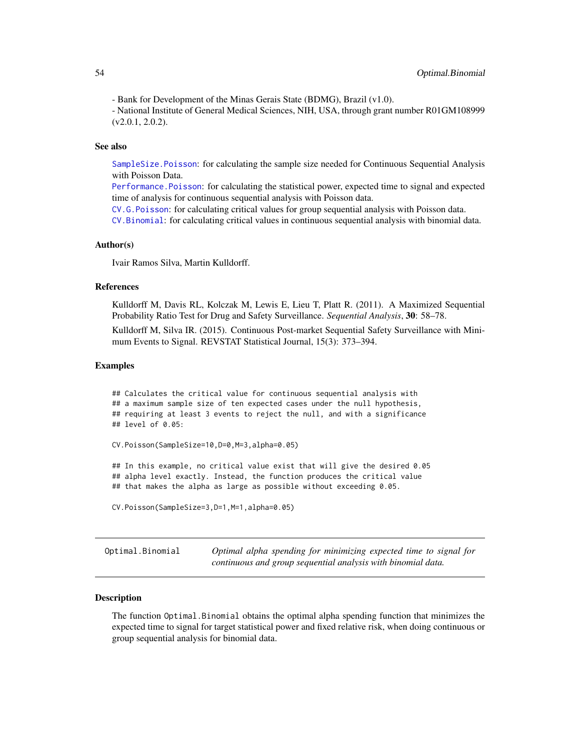- Bank for Development of the Minas Gerais State (BDMG), Brazil (v1.0).

- National Institute of General Medical Sciences, NIH, USA, through grant number R01GM108999 (v2.0.1, 2.0.2).

# See also

[SampleSize.Poisson](#page-72-0): for calculating the sample size needed for Continuous Sequential Analysis with Poisson Data.

[Performance.Poisson](#page-65-0): for calculating the statistical power, expected time to signal and expected time of analysis for continuous sequential analysis with Poisson data.

[CV.G.Poisson](#page-49-0): for calculating critical values for group sequential analysis with Poisson data.

[CV.Binomial](#page-42-0): for calculating critical values in continuous sequential analysis with binomial data.

### Author(s)

Ivair Ramos Silva, Martin Kulldorff.

### References

Kulldorff M, Davis RL, Kolczak M, Lewis E, Lieu T, Platt R. (2011). A Maximized Sequential Probability Ratio Test for Drug and Safety Surveillance. *Sequential Analysis*, 30: 58–78. Kulldorff M, Silva IR. (2015). Continuous Post-market Sequential Safety Surveillance with Mini-

mum Events to Signal. REVSTAT Statistical Journal, 15(3): 373–394.

### Examples

```
## Calculates the critical value for continuous sequential analysis with
## a maximum sample size of ten expected cases under the null hypothesis,
## requiring at least 3 events to reject the null, and with a significance
## level of 0.05:
CV.Poisson(SampleSize=10,D=0,M=3,alpha=0.05)
## In this example, no critical value exist that will give the desired 0.05
## alpha level exactly. Instead, the function produces the critical value
## that makes the alpha as large as possible without exceeding 0.05.
CV.Poisson(SampleSize=3,D=1,M=1,alpha=0.05)
```
Optimal.Binomial *Optimal alpha spending for minimizing expected time to signal for continuous and group sequential analysis with binomial data.*

### Description

The function Optimal.Binomial obtains the optimal alpha spending function that minimizes the expected time to signal for target statistical power and fixed relative risk, when doing continuous or group sequential analysis for binomial data.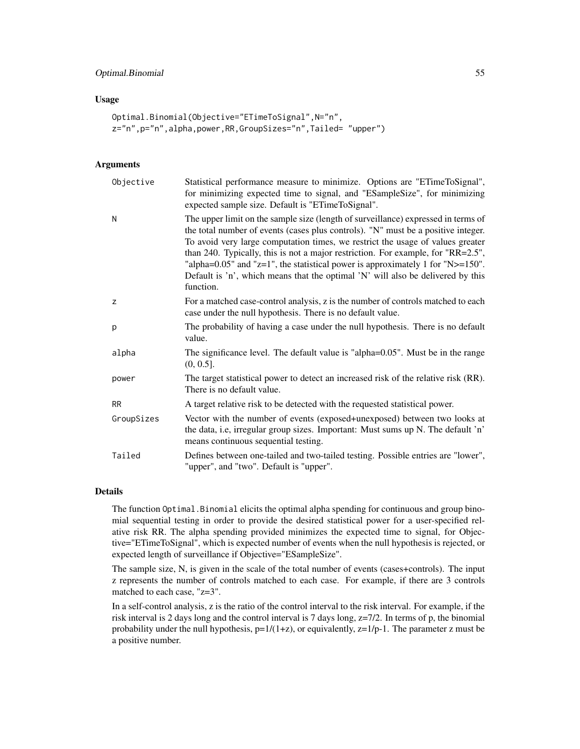# Optimal.Binomial 55

#### Usage

```
Optimal.Binomial(Objective="ETimeToSignal",N="n",
z="n",p="n",alpha,power,RR,GroupSizes="n",Tailed= "upper")
```
## Arguments

| Objective  | Statistical performance measure to minimize. Options are "ETimeToSignal",<br>for minimizing expected time to signal, and "ESampleSize", for minimizing<br>expected sample size. Default is "ETimeToSignal".                                                                                                                                                                                                                                                                                                                            |
|------------|----------------------------------------------------------------------------------------------------------------------------------------------------------------------------------------------------------------------------------------------------------------------------------------------------------------------------------------------------------------------------------------------------------------------------------------------------------------------------------------------------------------------------------------|
| N          | The upper limit on the sample size (length of surveillance) expressed in terms of<br>the total number of events (cases plus controls). "N" must be a positive integer.<br>To avoid very large computation times, we restrict the usage of values greater<br>than 240. Typically, this is not a major restriction. For example, for "RR=2.5",<br>"alpha= $0.05$ " and "z=1", the statistical power is approximately 1 for "N>= $150$ ".<br>Default is 'n', which means that the optimal 'N' will also be delivered by this<br>function. |
| z          | For a matched case-control analysis, z is the number of controls matched to each<br>case under the null hypothesis. There is no default value.                                                                                                                                                                                                                                                                                                                                                                                         |
| p          | The probability of having a case under the null hypothesis. There is no default<br>value.                                                                                                                                                                                                                                                                                                                                                                                                                                              |
| alpha      | The significance level. The default value is "alpha=0.05". Must be in the range<br>$(0, 0.5]$ .                                                                                                                                                                                                                                                                                                                                                                                                                                        |
| power      | The target statistical power to detect an increased risk of the relative risk (RR).<br>There is no default value.                                                                                                                                                                                                                                                                                                                                                                                                                      |
| <b>RR</b>  | A target relative risk to be detected with the requested statistical power.                                                                                                                                                                                                                                                                                                                                                                                                                                                            |
| GroupSizes | Vector with the number of events (exposed+unexposed) between two looks at<br>the data, i.e, irregular group sizes. Important: Must sums up N. The default 'n'<br>means continuous sequential testing.                                                                                                                                                                                                                                                                                                                                  |
| Tailed     | Defines between one-tailed and two-tailed testing. Possible entries are "lower",<br>"upper", and "two". Default is "upper".                                                                                                                                                                                                                                                                                                                                                                                                            |

#### Details

The function Optimal.Binomial elicits the optimal alpha spending for continuous and group binomial sequential testing in order to provide the desired statistical power for a user-specified relative risk RR. The alpha spending provided minimizes the expected time to signal, for Objective="ETimeToSignal", which is expected number of events when the null hypothesis is rejected, or expected length of surveillance if Objective="ESampleSize".

The sample size, N, is given in the scale of the total number of events (cases+controls). The input z represents the number of controls matched to each case. For example, if there are 3 controls matched to each case, "z=3".

In a self-control analysis, z is the ratio of the control interval to the risk interval. For example, if the risk interval is 2 days long and the control interval is 7 days long, z=7/2. In terms of p, the binomial probability under the null hypothesis,  $p=1/(1+z)$ , or equivalently,  $z=1/p-1$ . The parameter z must be a positive number.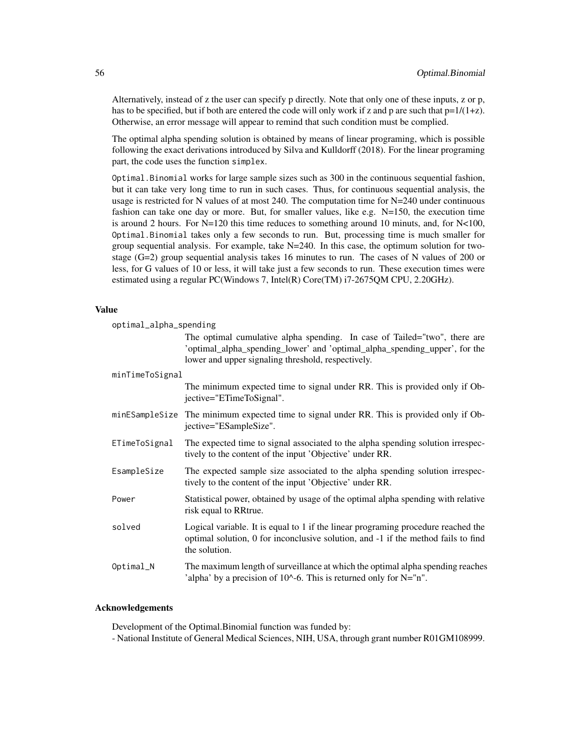Alternatively, instead of z the user can specify p directly. Note that only one of these inputs, z or p, has to be specified, but if both are entered the code will only work if z and p are such that  $p=1/(1+z)$ . Otherwise, an error message will appear to remind that such condition must be complied.

The optimal alpha spending solution is obtained by means of linear programing, which is possible following the exact derivations introduced by Silva and Kulldorff (2018). For the linear programing part, the code uses the function simplex.

Optimal.Binomial works for large sample sizes such as 300 in the continuous sequential fashion, but it can take very long time to run in such cases. Thus, for continuous sequential analysis, the usage is restricted for N values of at most 240. The computation time for N=240 under continuous fashion can take one day or more. But, for smaller values, like e.g.  $N=150$ , the execution time is around 2 hours. For  $N=120$  this time reduces to something around 10 minuts, and, for  $N<100$ , Optimal.Binomial takes only a few seconds to run. But, processing time is much smaller for group sequential analysis. For example, take  $N=240$ . In this case, the optimum solution for twostage  $(G=2)$  group sequential analysis takes 16 minutes to run. The cases of N values of 200 or less, for G values of 10 or less, it will take just a few seconds to run. These execution times were estimated using a regular PC(Windows 7, Intel(R) Core(TM) i7-2675QM CPU, 2.20GHz).

### Value

| optimal_alpha_spending |                                                                                                                                                                                                               |  |
|------------------------|---------------------------------------------------------------------------------------------------------------------------------------------------------------------------------------------------------------|--|
|                        | The optimal cumulative alpha spending. In case of Tailed="two", there are<br>'optimal_alpha_spending_lower' and 'optimal_alpha_spending_upper', for the<br>lower and upper signaling threshold, respectively. |  |
| minTimeToSignal        |                                                                                                                                                                                                               |  |
|                        | The minimum expected time to signal under RR. This is provided only if Ob-<br>jective="ETimeToSignal".                                                                                                        |  |
|                        | minESampleSize The minimum expected time to signal under RR. This is provided only if Ob-<br>jective="ESampleSize".                                                                                           |  |
| ETimeToSignal          | The expected time to signal associated to the alpha spending solution irrespec-<br>tively to the content of the input 'Objective' under RR.                                                                   |  |
| EsampleSize            | The expected sample size associated to the alpha spending solution irrespec-<br>tively to the content of the input 'Objective' under RR.                                                                      |  |
| Power                  | Statistical power, obtained by usage of the optimal alpha spending with relative<br>risk equal to RRtrue.                                                                                                     |  |
| solved                 | Logical variable. It is equal to 1 if the linear programing procedure reached the<br>optimal solution, 0 for inconclusive solution, and -1 if the method fails to find<br>the solution.                       |  |
| Optimal_N              | The maximum length of surveillance at which the optimal alpha spending reaches<br>'alpha' by a precision of $10^{\wedge}$ -6. This is returned only for N="n".                                                |  |

### Acknowledgements

Development of the Optimal.Binomial function was funded by:

- National Institute of General Medical Sciences, NIH, USA, through grant number R01GM108999.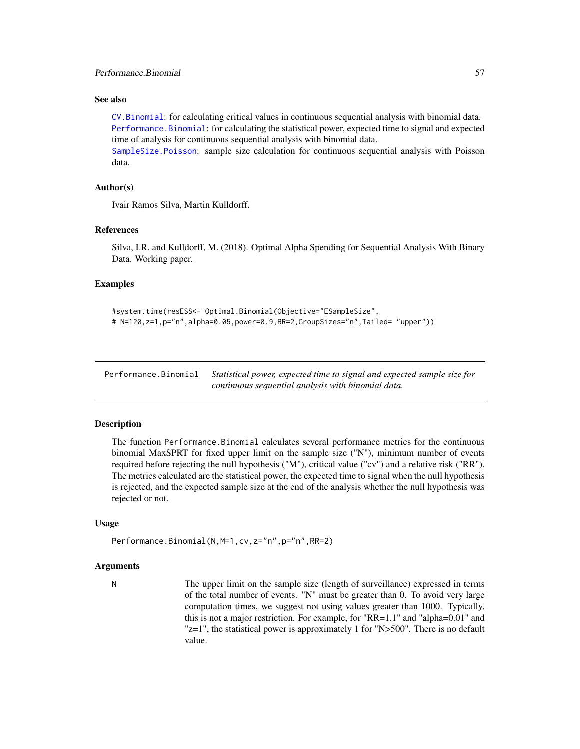### See also

[CV.Binomial](#page-42-0): for calculating critical values in continuous sequential analysis with binomial data. [Performance.Binomial](#page-56-0): for calculating the statistical power, expected time to signal and expected time of analysis for continuous sequential analysis with binomial data.

[SampleSize.Poisson](#page-72-0): sample size calculation for continuous sequential analysis with Poisson data.

### Author(s)

Ivair Ramos Silva, Martin Kulldorff.

#### References

Silva, I.R. and Kulldorff, M. (2018). Optimal Alpha Spending for Sequential Analysis With Binary Data. Working paper.

#### Examples

```
#system.time(resESS<- Optimal.Binomial(Objective="ESampleSize",
# N=120,z=1,p="n",alpha=0.05,power=0.9,RR=2,GroupSizes="n",Tailed= "upper"))
```
<span id="page-56-0"></span>Performance.Binomial *Statistical power, expected time to signal and expected sample size for continuous sequential analysis with binomial data.*

### Description

The function Performance.Binomial calculates several performance metrics for the continuous binomial MaxSPRT for fixed upper limit on the sample size ("N"), minimum number of events required before rejecting the null hypothesis ("M"), critical value ("cv") and a relative risk ("RR"). The metrics calculated are the statistical power, the expected time to signal when the null hypothesis is rejected, and the expected sample size at the end of the analysis whether the null hypothesis was rejected or not.

#### Usage

Performance.Binomial(N,M=1,cv,z="n",p="n",RR=2)

#### Arguments

N The upper limit on the sample size (length of surveillance) expressed in terms of the total number of events. "N" must be greater than 0. To avoid very large computation times, we suggest not using values greater than 1000. Typically, this is not a major restriction. For example, for "RR=1.1" and "alpha=0.01" and "z=1", the statistical power is approximately 1 for "N>500". There is no default value.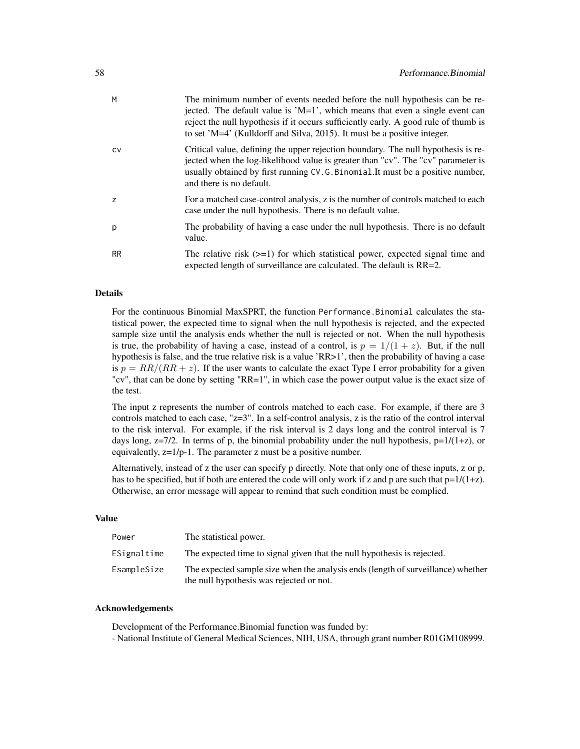| M         | The minimum number of events needed before the null hypothesis can be re-<br>jected. The default value is $'M=1'$ , which means that even a single event can<br>reject the null hypothesis if it occurs sufficiently early. A good rule of thumb is<br>to set 'M=4' (Kulldorff and Silva, 2015). It must be a positive integer. |
|-----------|---------------------------------------------------------------------------------------------------------------------------------------------------------------------------------------------------------------------------------------------------------------------------------------------------------------------------------|
| <b>CV</b> | Critical value, defining the upper rejection boundary. The null hypothesis is re-<br>jected when the log-likelihood value is greater than "cv". The "cv" parameter is<br>usually obtained by first running CV.G.Binomial.It must be a positive number,<br>and there is no default.                                              |
| z         | For a matched case-control analysis, z is the number of controls matched to each<br>case under the null hypothesis. There is no default value.                                                                                                                                                                                  |
| p         | The probability of having a case under the null hypothesis. There is no default<br>value.                                                                                                                                                                                                                                       |
| <b>RR</b> | The relative risk $(>=1)$ for which statistical power, expected signal time and<br>expected length of surveillance are calculated. The default is RR=2.                                                                                                                                                                         |

#### Details

For the continuous Binomial MaxSPRT, the function Performance.Binomial calculates the statistical power, the expected time to signal when the null hypothesis is rejected, and the expected sample size until the analysis ends whether the null is rejected or not. When the null hypothesis is true, the probability of having a case, instead of a control, is  $p = 1/(1 + z)$ . But, if the null hypothesis is false, and the true relative risk is a value 'RR>1', then the probability of having a case is  $p = RR/(RR + z)$ . If the user wants to calculate the exact Type I error probability for a given "cv", that can be done by setting "RR=1", in which case the power output value is the exact size of the test.

The input z represents the number of controls matched to each case. For example, if there are 3 controls matched to each case, "z=3". In a self-control analysis, z is the ratio of the control interval to the risk interval. For example, if the risk interval is 2 days long and the control interval is 7 days long,  $z=7/2$ . In terms of p, the binomial probability under the null hypothesis,  $p=1/(1+z)$ , or equivalently, z=1/p-1. The parameter z must be a positive number.

Alternatively, instead of z the user can specify p directly. Note that only one of these inputs, z or p, has to be specified, but if both are entered the code will only work if z and p are such that  $p=1/(1+z)$ . Otherwise, an error message will appear to remind that such condition must be complied.

## Value

| Power       | The statistical power.                                                                                                       |
|-------------|------------------------------------------------------------------------------------------------------------------------------|
| ESignaltime | The expected time to signal given that the null hypothesis is rejected.                                                      |
| EsampleSize | The expected sample size when the analysis ends (length of surveillance) whether<br>the null hypothesis was rejected or not. |

#### Acknowledgements

Development of the Performance.Binomial function was funded by:

- National Institute of General Medical Sciences, NIH, USA, through grant number R01GM108999.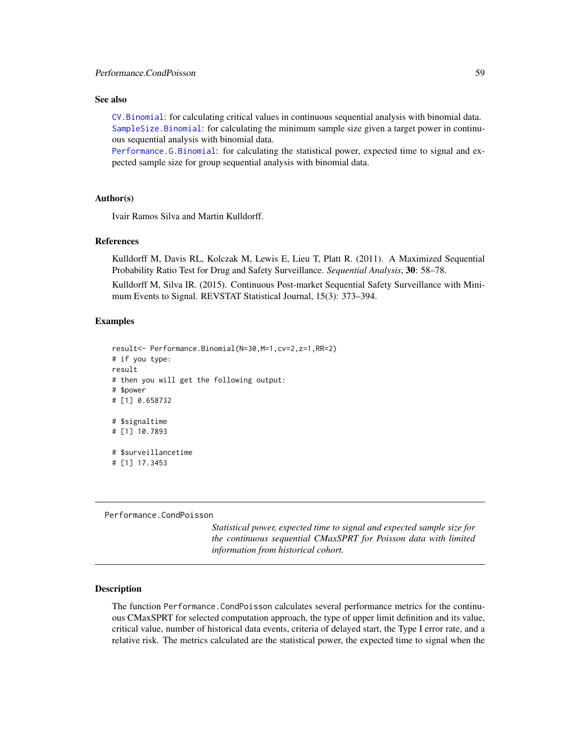### See also

[CV.Binomial](#page-42-0): for calculating critical values in continuous sequential analysis with binomial data. [SampleSize.Binomial](#page-68-0): for calculating the minimum sample size given a target power in continuous sequential analysis with binomial data.

[Performance.G.Binomial](#page-61-0): for calculating the statistical power, expected time to signal and expected sample size for group sequential analysis with binomial data.

# Author(s)

Ivair Ramos Silva and Martin Kulldorff.

### References

Kulldorff M, Davis RL, Kolczak M, Lewis E, Lieu T, Platt R. (2011). A Maximized Sequential Probability Ratio Test for Drug and Safety Surveillance. *Sequential Analysis*, 30: 58–78.

Kulldorff M, Silva IR. (2015). Continuous Post-market Sequential Safety Surveillance with Minimum Events to Signal. REVSTAT Statistical Journal, 15(3): 373–394.

### Examples

```
result<- Performance.Binomial(N=30,M=1,cv=2,z=1,RR=2)
# if you type:
result
# then you will get the following output:
# $power
# [1] 0.658732
# $signaltime
# [1] 10.7893
# $surveillancetime
# [1] 17.3453
```
<span id="page-58-0"></span>Performance.CondPoisson

*Statistical power, expected time to signal and expected sample size for the continuous sequential CMaxSPRT for Poisson data with limited information from historical cohort.*

### Description

The function Performance.CondPoisson calculates several performance metrics for the continuous CMaxSPRT for selected computation approach, the type of upper limit definition and its value, critical value, number of historical data events, criteria of delayed start, the Type I error rate, and a relative risk. The metrics calculated are the statistical power, the expected time to signal when the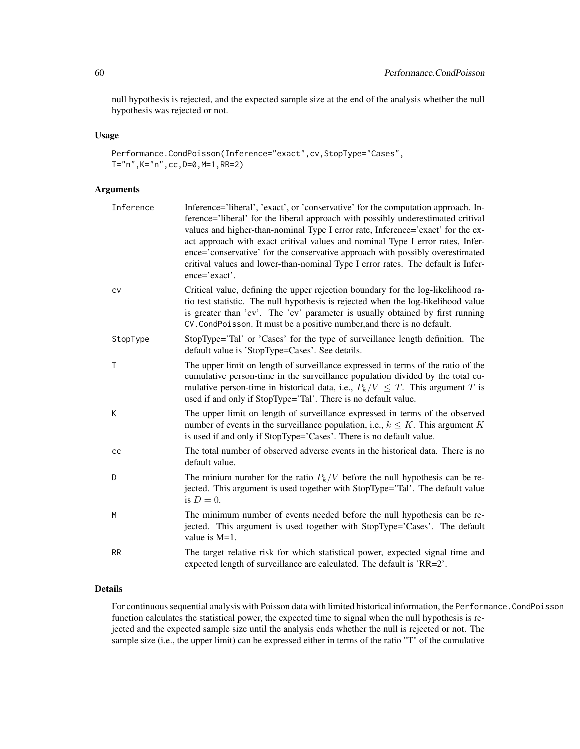null hypothesis is rejected, and the expected sample size at the end of the analysis whether the null hypothesis was rejected or not.

# Usage

Performance.CondPoisson(Inference="exact",cv,StopType="Cases", T="n",K="n",cc,D=0,M=1,RR=2)

# Arguments

| Inference    | Inference='liberal', 'exact', or 'conservative' for the computation approach. In-<br>ference='liberal' for the liberal approach with possibly underestimated critival<br>values and higher-than-nominal Type I error rate, Inference='exact' for the ex-<br>act approach with exact critival values and nominal Type I error rates, Infer-<br>ence='conservative' for the conservative approach with possibly overestimated<br>critival values and lower-than-nominal Type I error rates. The default is Infer-<br>$ence='exact'.$ |
|--------------|------------------------------------------------------------------------------------------------------------------------------------------------------------------------------------------------------------------------------------------------------------------------------------------------------------------------------------------------------------------------------------------------------------------------------------------------------------------------------------------------------------------------------------|
| CV           | Critical value, defining the upper rejection boundary for the log-likelihood ra-<br>tio test statistic. The null hypothesis is rejected when the log-likelihood value<br>is greater than 'cv'. The 'cv' parameter is usually obtained by first running<br>CV. CondPoisson. It must be a positive number, and there is no default.                                                                                                                                                                                                  |
| StopType     | StopType='Tal' or 'Cases' for the type of surveillance length definition. The<br>default value is 'StopType=Cases'. See details.                                                                                                                                                                                                                                                                                                                                                                                                   |
| $\mathsf{T}$ | The upper limit on length of surveillance expressed in terms of the ratio of the<br>cumulative person-time in the surveillance population divided by the total cu-<br>mulative person-time in historical data, i.e., $P_k/V \leq T$ . This argument T is<br>used if and only if StopType='Tal'. There is no default value.                                                                                                                                                                                                         |
| К            | The upper limit on length of surveillance expressed in terms of the observed<br>number of events in the surveillance population, i.e., $k \leq K$ . This argument K<br>is used if and only if StopType='Cases'. There is no default value.                                                                                                                                                                                                                                                                                         |
| cc           | The total number of observed adverse events in the historical data. There is no<br>default value.                                                                                                                                                                                                                                                                                                                                                                                                                                  |
| D            | The minium number for the ratio $P_k/V$ before the null hypothesis can be re-<br>jected. This argument is used together with StopType='Tal'. The default value<br>is $D=0$ .                                                                                                                                                                                                                                                                                                                                                       |
| M            | The minimum number of events needed before the null hypothesis can be re-<br>jected. This argument is used together with StopType='Cases'. The default<br>value is $M=1$ .                                                                                                                                                                                                                                                                                                                                                         |
| <b>RR</b>    | The target relative risk for which statistical power, expected signal time and<br>expected length of surveillance are calculated. The default is 'RR=2'.                                                                                                                                                                                                                                                                                                                                                                           |

# Details

For continuous sequential analysis with Poisson data with limited historical information, the Performance.CondPoisson function calculates the statistical power, the expected time to signal when the null hypothesis is rejected and the expected sample size until the analysis ends whether the null is rejected or not. The sample size (i.e., the upper limit) can be expressed either in terms of the ratio "T" of the cumulative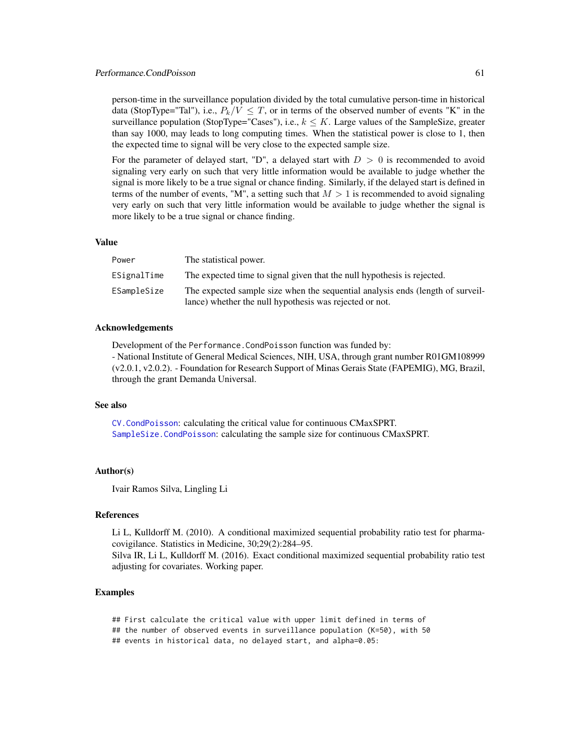person-time in the surveillance population divided by the total cumulative person-time in historical data (StopType="Tal"), i.e.,  $P_k/V \leq T$ , or in terms of the observed number of events "K" in the surveillance population (StopType="Cases"), i.e.,  $k \leq K$ . Large values of the SampleSize, greater than say 1000, may leads to long computing times. When the statistical power is close to 1, then the expected time to signal will be very close to the expected sample size.

For the parameter of delayed start, "D", a delayed start with  $D > 0$  is recommended to avoid signaling very early on such that very little information would be available to judge whether the signal is more likely to be a true signal or chance finding. Similarly, if the delayed start is defined in terms of the number of events, "M", a setting such that  $M > 1$  is recommended to avoid signaling very early on such that very little information would be available to judge whether the signal is more likely to be a true signal or chance finding.

#### Value

| Power       | The statistical power.                                                                                                                    |
|-------------|-------------------------------------------------------------------------------------------------------------------------------------------|
| ESignalTime | The expected time to signal given that the null hypothesis is rejected.                                                                   |
| ESampleSize | The expected sample size when the sequential analysis ends (length of surveil-<br>lance) whether the null hypothesis was rejected or not. |
|             |                                                                                                                                           |

### Acknowledgements

Development of the Performance.CondPoisson function was funded by:

- National Institute of General Medical Sciences, NIH, USA, through grant number R01GM108999 (v2.0.1, v2.0.2). - Foundation for Research Support of Minas Gerais State (FAPEMIG), MG, Brazil, through the grant Demanda Universal.

### See also

[CV.CondPoisson](#page-44-0): calculating the critical value for continuous CMaxSPRT. [SampleSize.CondPoisson](#page-70-0): calculating the sample size for continuous CMaxSPRT.

#### Author(s)

Ivair Ramos Silva, Lingling Li

#### References

Li L, Kulldorff M. (2010). A conditional maximized sequential probability ratio test for pharmacovigilance. Statistics in Medicine, 30;29(2):284–95.

Silva IR, Li L, Kulldorff M. (2016). Exact conditional maximized sequential probability ratio test adjusting for covariates. Working paper.

### Examples

## First calculate the critical value with upper limit defined in terms of ## the number of observed events in surveillance population (K=50), with 50 ## events in historical data, no delayed start, and alpha=0.05: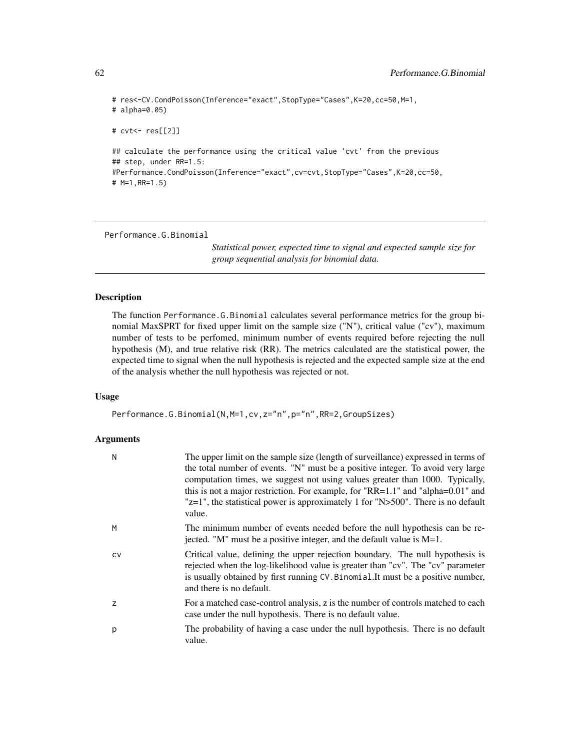```
# res<-CV.CondPoisson(Inference="exact",StopType="Cases",K=20,cc=50,M=1,
# alpha=0.05)
# cvt<- res[[2]]
## calculate the performance using the critical value 'cvt' from the previous
## step, under RR=1.5:
#Performance.CondPoisson(Inference="exact",cv=cvt,StopType="Cases",K=20,cc=50,
# M=1,RR=1.5)
```
<span id="page-61-0"></span>Performance.G.Binomial

*Statistical power, expected time to signal and expected sample size for group sequential analysis for binomial data.*

# Description

The function Performance.G.Binomial calculates several performance metrics for the group binomial MaxSPRT for fixed upper limit on the sample size ("N"), critical value ("cv"), maximum number of tests to be perfomed, minimum number of events required before rejecting the null hypothesis (M), and true relative risk (RR). The metrics calculated are the statistical power, the expected time to signal when the null hypothesis is rejected and the expected sample size at the end of the analysis whether the null hypothesis was rejected or not.

#### Usage

Performance.G.Binomial(N,M=1,cv,z="n",p="n",RR=2,GroupSizes)

#### Arguments

| N  | The upper limit on the sample size (length of surveillance) expressed in terms of<br>the total number of events. "N" must be a positive integer. To avoid very large<br>computation times, we suggest not using values greater than 1000. Typically,<br>this is not a major restriction. For example, for "RR=1.1" and "alpha=0.01" and<br>$"z=1"$ , the statistical power is approximately 1 for "N>500". There is no default<br>value. |
|----|------------------------------------------------------------------------------------------------------------------------------------------------------------------------------------------------------------------------------------------------------------------------------------------------------------------------------------------------------------------------------------------------------------------------------------------|
| M  | The minimum number of events needed before the null hypothesis can be re-<br>jected. "M" must be a positive integer, and the default value is $M=1$ .                                                                                                                                                                                                                                                                                    |
| CV | Critical value, defining the upper rejection boundary. The null hypothesis is<br>rejected when the log-likelihood value is greater than "cv". The "cv" parameter<br>is usually obtained by first running CV. Binomial. It must be a positive number,<br>and there is no default.                                                                                                                                                         |
| z  | For a matched case-control analysis, z is the number of controls matched to each<br>case under the null hypothesis. There is no default value.                                                                                                                                                                                                                                                                                           |
| p  | The probability of having a case under the null hypothesis. There is no default<br>value.                                                                                                                                                                                                                                                                                                                                                |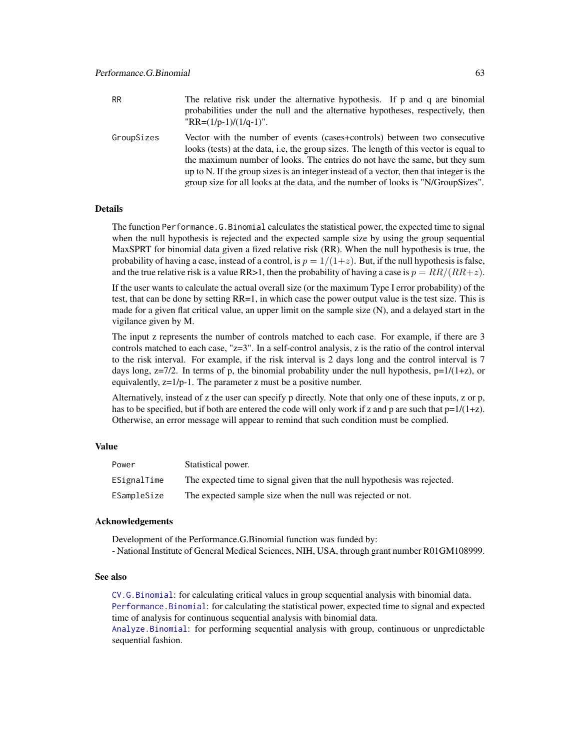GroupSizes Vector with the number of events (cases+controls) between two consecutive looks (tests) at the data, i.e, the group sizes. The length of this vector is equal to the maximum number of looks. The entries do not have the same, but they sum up to N. If the group sizes is an integer instead of a vector, then that integer is the group size for all looks at the data, and the number of looks is "N/GroupSizes".

# Details

The function Performance.G.Binomial calculates the statistical power, the expected time to signal when the null hypothesis is rejected and the expected sample size by using the group sequential MaxSPRT for binomial data given a fized relative risk (RR). When the null hypothesis is true, the probability of having a case, instead of a control, is  $p = 1/(1+z)$ . But, if the null hypothesis is false, and the true relative risk is a value RR>1, then the probability of having a case is  $p = RR/(RR+z)$ .

If the user wants to calculate the actual overall size (or the maximum Type I error probability) of the test, that can be done by setting RR=1, in which case the power output value is the test size. This is made for a given flat critical value, an upper limit on the sample size (N), and a delayed start in the vigilance given by M.

The input z represents the number of controls matched to each case. For example, if there are 3 controls matched to each case,  $"z=3"$ . In a self-control analysis, z is the ratio of the control interval to the risk interval. For example, if the risk interval is 2 days long and the control interval is 7 days long,  $z=7/2$ . In terms of p, the binomial probability under the null hypothesis,  $p=1/(1+z)$ , or equivalently, z=1/p-1. The parameter z must be a positive number.

Alternatively, instead of z the user can specify p directly. Note that only one of these inputs, z or p, has to be specified, but if both are entered the code will only work if z and p are such that  $p=1/(1+z)$ . Otherwise, an error message will appear to remind that such condition must be complied.

### Value

| Power       | Statistical power.                                                       |
|-------------|--------------------------------------------------------------------------|
| ESignalTime | The expected time to signal given that the null hypothesis was rejected. |
| ESampleSize | The expected sample size when the null was rejected or not.              |

### Acknowledgements

Development of the Performance.G.Binomial function was funded by: - National Institute of General Medical Sciences, NIH, USA, through grant number R01GM108999.

# See also

[CV.G.Binomial](#page-47-0): for calculating critical values in group sequential analysis with binomial data. [Performance.Binomial](#page-56-0): for calculating the statistical power, expected time to signal and expected time of analysis for continuous sequential analysis with binomial data.

[Analyze.Binomial](#page-11-0): for performing sequential analysis with group, continuous or unpredictable sequential fashion.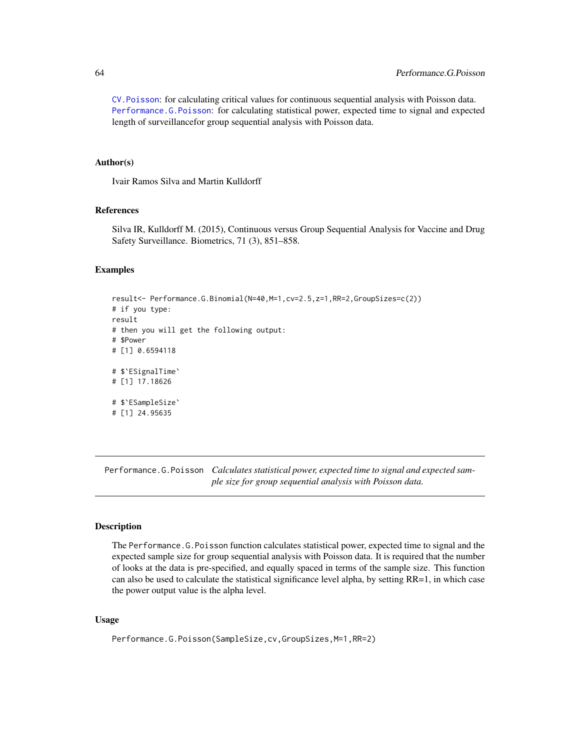[CV.Poisson](#page-51-0): for calculating critical values for continuous sequential analysis with Poisson data. [Performance.G.Poisson](#page-63-0): for calculating statistical power, expected time to signal and expected length of surveillancefor group sequential analysis with Poisson data.

### Author(s)

Ivair Ramos Silva and Martin Kulldorff

# References

Silva IR, Kulldorff M. (2015), Continuous versus Group Sequential Analysis for Vaccine and Drug Safety Surveillance. Biometrics, 71 (3), 851–858.

# Examples

```
result<- Performance.G.Binomial(N=40,M=1,cv=2.5,z=1,RR=2,GroupSizes=c(2))
# if you type:
result
# then you will get the following output:
# $Power
# [1] 0.6594118
# $`ESignalTime`
# [1] 17.18626
# $`ESampleSize`
# [1] 24.95635
```
<span id="page-63-0"></span>Performance.G.Poisson *Calculates statistical power, expected time to signal and expected sample size for group sequential analysis with Poisson data.*

# **Description**

The Performance.G.Poisson function calculates statistical power, expected time to signal and the expected sample size for group sequential analysis with Poisson data. It is required that the number of looks at the data is pre-specified, and equally spaced in terms of the sample size. This function can also be used to calculate the statistical significance level alpha, by setting RR=1, in which case the power output value is the alpha level.

#### Usage

Performance.G.Poisson(SampleSize,cv,GroupSizes,M=1,RR=2)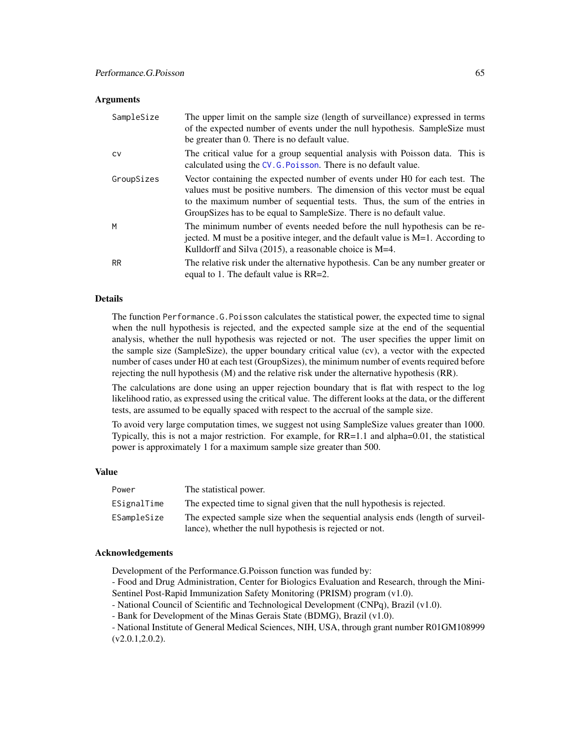#### **Arguments**

| SampleSize | The upper limit on the sample size (length of surveillance) expressed in terms<br>of the expected number of events under the null hypothesis. SampleSize must<br>be greater than 0. There is no default value.                                                                                                     |
|------------|--------------------------------------------------------------------------------------------------------------------------------------------------------------------------------------------------------------------------------------------------------------------------------------------------------------------|
| <b>CV</b>  | The critical value for a group sequential analysis with Poisson data. This is<br>calculated using the CV.G. Poisson. There is no default value.                                                                                                                                                                    |
| GroupSizes | Vector containing the expected number of events under H0 for each test. The<br>values must be positive numbers. The dimension of this vector must be equal<br>to the maximum number of sequential tests. Thus, the sum of the entries in<br>Group Sizes has to be equal to Sample Size. There is no default value. |
| M          | The minimum number of events needed before the null hypothesis can be re-<br>jected. M must be a positive integer, and the default value is $M=1$ . According to<br>Kulldorff and Silva $(2015)$ , a reasonable choice is M=4.                                                                                     |
| <b>RR</b>  | The relative risk under the alternative hypothesis. Can be any number greater or<br>equal to 1. The default value is $RR=2$ .                                                                                                                                                                                      |

### Details

The function Performance.G.Poisson calculates the statistical power, the expected time to signal when the null hypothesis is rejected, and the expected sample size at the end of the sequential analysis, whether the null hypothesis was rejected or not. The user specifies the upper limit on the sample size (SampleSize), the upper boundary critical value (cv), a vector with the expected number of cases under H0 at each test (GroupSizes), the minimum number of events required before rejecting the null hypothesis (M) and the relative risk under the alternative hypothesis (RR).

The calculations are done using an upper rejection boundary that is flat with respect to the log likelihood ratio, as expressed using the critical value. The different looks at the data, or the different tests, are assumed to be equally spaced with respect to the accrual of the sample size.

To avoid very large computation times, we suggest not using SampleSize values greater than 1000. Typically, this is not a major restriction. For example, for RR=1.1 and alpha=0.01, the statistical power is approximately 1 for a maximum sample size greater than 500.

#### Value

| Power       | The statistical power.                                                         |
|-------------|--------------------------------------------------------------------------------|
| ESignalTime | The expected time to signal given that the null hypothesis is rejected.        |
| ESampleSize | The expected sample size when the sequential analysis ends (length of surveil- |
|             | lance), whether the null hypothesis is rejected or not.                        |

### Acknowledgements

Development of the Performance.G.Poisson function was funded by:

- Food and Drug Administration, Center for Biologics Evaluation and Research, through the Mini-Sentinel Post-Rapid Immunization Safety Monitoring (PRISM) program (v1.0).
- National Council of Scientific and Technological Development (CNPq), Brazil (v1.0).
- Bank for Development of the Minas Gerais State (BDMG), Brazil (v1.0).

- National Institute of General Medical Sciences, NIH, USA, through grant number R01GM108999 (v2.0.1,2.0.2).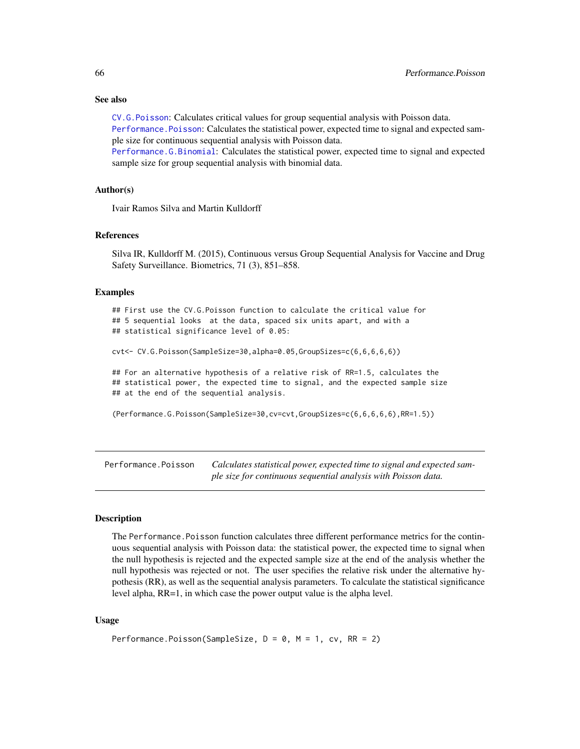### See also

[CV.G.Poisson](#page-49-0): Calculates critical values for group sequential analysis with Poisson data.

[Performance.Poisson](#page-65-0): Calculates the statistical power, expected time to signal and expected sample size for continuous sequential analysis with Poisson data.

[Performance.G.Binomial](#page-61-0): Calculates the statistical power, expected time to signal and expected sample size for group sequential analysis with binomial data.

### Author(s)

Ivair Ramos Silva and Martin Kulldorff

# References

Silva IR, Kulldorff M. (2015), Continuous versus Group Sequential Analysis for Vaccine and Drug Safety Surveillance. Biometrics, 71 (3), 851–858.

#### Examples

## First use the CV.G.Poisson function to calculate the critical value for ## 5 sequential looks at the data, spaced six units apart, and with a ## statistical significance level of 0.05:

cvt<- CV.G.Poisson(SampleSize=30,alpha=0.05,GroupSizes=c(6,6,6,6,6))

## For an alternative hypothesis of a relative risk of RR=1.5, calculates the ## statistical power, the expected time to signal, and the expected sample size ## at the end of the sequential analysis.

(Performance.G.Poisson(SampleSize=30,cv=cvt,GroupSizes=c(6,6,6,6,6),RR=1.5))

<span id="page-65-0"></span>Performance.Poisson *Calculates statistical power, expected time to signal and expected sample size for continuous sequential analysis with Poisson data.*

#### Description

The Performance.Poisson function calculates three different performance metrics for the continuous sequential analysis with Poisson data: the statistical power, the expected time to signal when the null hypothesis is rejected and the expected sample size at the end of the analysis whether the null hypothesis was rejected or not. The user specifies the relative risk under the alternative hypothesis (RR), as well as the sequential analysis parameters. To calculate the statistical significance level alpha, RR=1, in which case the power output value is the alpha level.

### Usage

```
Performance.Poisson(SampleSize, D = 0, M = 1, cv, RR = 2)
```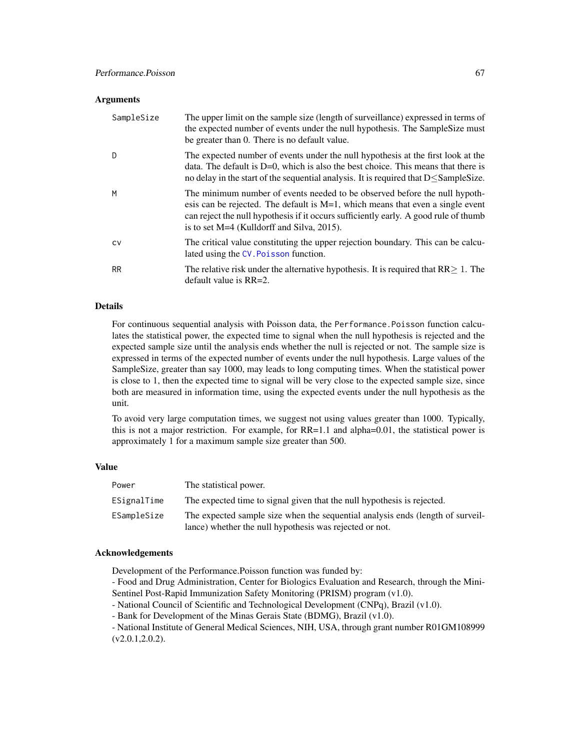#### **Arguments**

| SampleSize | The upper limit on the sample size (length of surveillance) expressed in terms of<br>the expected number of events under the null hypothesis. The SampleSize must<br>be greater than 0. There is no default value.                                                                                      |
|------------|---------------------------------------------------------------------------------------------------------------------------------------------------------------------------------------------------------------------------------------------------------------------------------------------------------|
| D.         | The expected number of events under the null hypothesis at the first look at the<br>data. The default is $D=0$ , which is also the best choice. This means that there is<br>no delay in the start of the sequential analysis. It is required that $D \leq$ SampleSize.                                  |
| M          | The minimum number of events needed to be observed before the null hypoth-<br>esis can be rejected. The default is $M=1$ , which means that even a single event<br>can reject the null hypothesis if it occurs sufficiently early. A good rule of thumb<br>is to set $M=4$ (Kulldorff and Silva, 2015). |
| <b>CV</b>  | The critical value constituting the upper rejection boundary. This can be calcu-<br>lated using the CV. Poisson function.                                                                                                                                                                               |
| <b>RR</b>  | The relative risk under the alternative hypothesis. It is required that $RR \geq 1$ . The<br>default value is $RR=2$ .                                                                                                                                                                                  |

### Details

For continuous sequential analysis with Poisson data, the Performance. Poisson function calculates the statistical power, the expected time to signal when the null hypothesis is rejected and the expected sample size until the analysis ends whether the null is rejected or not. The sample size is expressed in terms of the expected number of events under the null hypothesis. Large values of the SampleSize, greater than say 1000, may leads to long computing times. When the statistical power is close to 1, then the expected time to signal will be very close to the expected sample size, since both are measured in information time, using the expected events under the null hypothesis as the unit.

To avoid very large computation times, we suggest not using values greater than 1000. Typically, this is not a major restriction. For example, for RR=1.1 and alpha=0.01, the statistical power is approximately 1 for a maximum sample size greater than 500.

# Value

| Power       | The statistical power.                                                                                                                    |
|-------------|-------------------------------------------------------------------------------------------------------------------------------------------|
| ESignalTime | The expected time to signal given that the null hypothesis is rejected.                                                                   |
| ESampleSize | The expected sample size when the sequential analysis ends (length of surveil-<br>lance) whether the null hypothesis was rejected or not. |

### Acknowledgements

Development of the Performance.Poisson function was funded by:

- Food and Drug Administration, Center for Biologics Evaluation and Research, through the Mini-Sentinel Post-Rapid Immunization Safety Monitoring (PRISM) program (v1.0).
- National Council of Scientific and Technological Development (CNPq), Brazil (v1.0).
- Bank for Development of the Minas Gerais State (BDMG), Brazil (v1.0).

- National Institute of General Medical Sciences, NIH, USA, through grant number R01GM108999 (v2.0.1,2.0.2).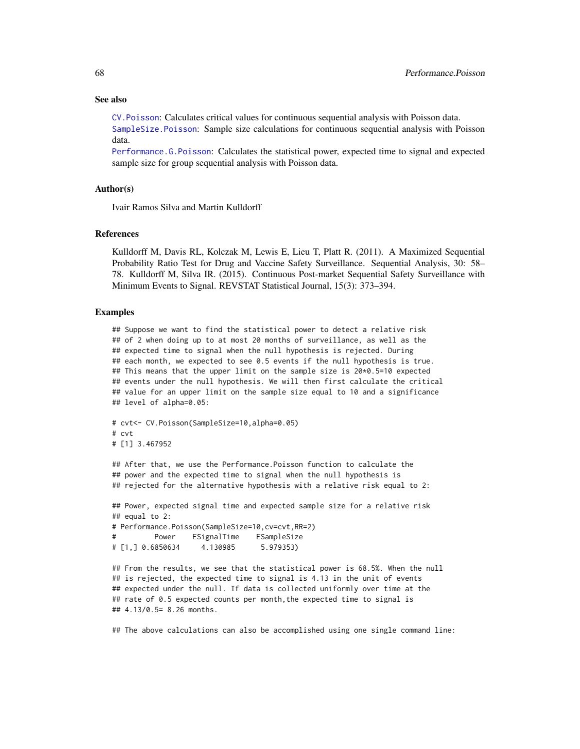#### See also

[CV.Poisson](#page-51-0): Calculates critical values for continuous sequential analysis with Poisson data.

[SampleSize.Poisson](#page-72-0): Sample size calculations for continuous sequential analysis with Poisson data.

[Performance.G.Poisson](#page-63-0): Calculates the statistical power, expected time to signal and expected sample size for group sequential analysis with Poisson data.

### Author(s)

Ivair Ramos Silva and Martin Kulldorff

#### References

Kulldorff M, Davis RL, Kolczak M, Lewis E, Lieu T, Platt R. (2011). A Maximized Sequential Probability Ratio Test for Drug and Vaccine Safety Surveillance. Sequential Analysis, 30: 58– 78. Kulldorff M, Silva IR. (2015). Continuous Post-market Sequential Safety Surveillance with Minimum Events to Signal. REVSTAT Statistical Journal, 15(3): 373–394.

#### Examples

## Suppose we want to find the statistical power to detect a relative risk ## of 2 when doing up to at most 20 months of surveillance, as well as the ## expected time to signal when the null hypothesis is rejected. During ## each month, we expected to see 0.5 events if the null hypothesis is true. ## This means that the upper limit on the sample size is 20\*0.5=10 expected ## events under the null hypothesis. We will then first calculate the critical ## value for an upper limit on the sample size equal to 10 and a significance ## level of alpha=0.05:

```
# cvt<- CV.Poisson(SampleSize=10,alpha=0.05)
# cvt
# [1] 3.467952
```
## After that, we use the Performance.Poisson function to calculate the ## power and the expected time to signal when the null hypothesis is ## rejected for the alternative hypothesis with a relative risk equal to 2:

```
## Power, expected signal time and expected sample size for a relative risk
## equal to 2:
# Performance.Poisson(SampleSize=10,cv=cvt,RR=2)
# Power ESignalTime ESampleSize
# [1,] 0.6850634 4.130985 5.979353)
```

```
## From the results, we see that the statistical power is 68.5%. When the null
## is rejected, the expected time to signal is 4.13 in the unit of events
## expected under the null. If data is collected uniformly over time at the
## rate of 0.5 expected counts per month,the expected time to signal is
## 4.13/0.5= 8.26 months.
```
## The above calculations can also be accomplished using one single command line: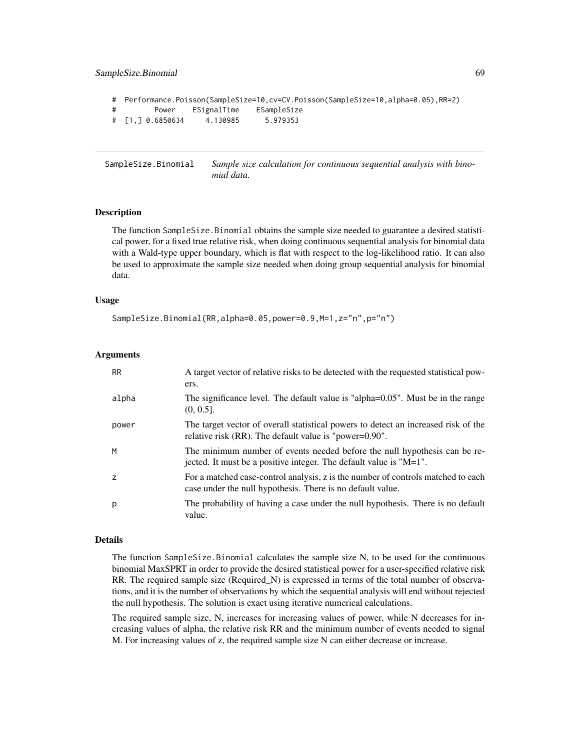```
# Performance.Poisson(SampleSize=10,cv=CV.Poisson(SampleSize=10,alpha=0.05),RR=2)
# Power ESignalTime ESampleSize
# [1,] 0.6850634 4.130985 5.979353
```
<span id="page-68-0"></span>SampleSize.Binomial *Sample size calculation for continuous sequential analysis with binomial data.*

### Description

The function SampleSize.Binomial obtains the sample size needed to guarantee a desired statistical power, for a fixed true relative risk, when doing continuous sequential analysis for binomial data with a Wald-type upper boundary, which is flat with respect to the log-likelihood ratio. It can also be used to approximate the sample size needed when doing group sequential analysis for binomial data.

#### Usage

SampleSize.Binomial(RR,alpha=0.05,power=0.9,M=1,z="n",p="n")

#### Arguments

| <b>RR</b>      | A target vector of relative risks to be detected with the requested statistical pow-<br>ers.                                                        |
|----------------|-----------------------------------------------------------------------------------------------------------------------------------------------------|
| alpha          | The significance level. The default value is "alpha=0.05". Must be in the range<br>$(0, 0.5]$ .                                                     |
| power          | The target vector of overall statistical powers to detect an increased risk of the<br>relative risk (RR). The default value is "power=0.90".        |
| M              | The minimum number of events needed before the null hypothesis can be re-<br>jected. It must be a positive integer. The default value is " $M=1$ ". |
| $\overline{z}$ | For a matched case-control analysis, z is the number of controls matched to each<br>case under the null hypothesis. There is no default value.      |
| р              | The probability of having a case under the null hypothesis. There is no default<br>value.                                                           |

#### Details

The function SampleSize.Binomial calculates the sample size N, to be used for the continuous binomial MaxSPRT in order to provide the desired statistical power for a user-specified relative risk RR. The required sample size (Required\_N) is expressed in terms of the total number of observations, and it is the number of observations by which the sequential analysis will end without rejected the null hypothesis. The solution is exact using iterative numerical calculations.

The required sample size, N, increases for increasing values of power, while N decreases for increasing values of alpha, the relative risk RR and the minimum number of events needed to signal M. For increasing values of z, the required sample size N can either decrease or increase.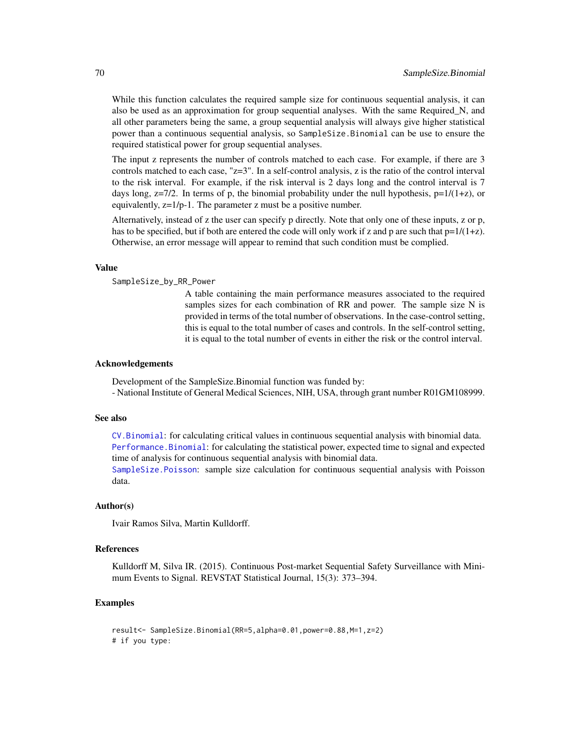While this function calculates the required sample size for continuous sequential analysis, it can also be used as an approximation for group sequential analyses. With the same Required\_N, and all other parameters being the same, a group sequential analysis will always give higher statistical power than a continuous sequential analysis, so SampleSize.Binomial can be use to ensure the required statistical power for group sequential analyses.

The input z represents the number of controls matched to each case. For example, if there are 3 controls matched to each case,  $"z=3"$ . In a self-control analysis, z is the ratio of the control interval to the risk interval. For example, if the risk interval is 2 days long and the control interval is 7 days long,  $z=7/2$ . In terms of p, the binomial probability under the null hypothesis,  $p=1/(1+z)$ , or equivalently, z=1/p-1. The parameter z must be a positive number.

Alternatively, instead of z the user can specify p directly. Note that only one of these inputs, z or p, has to be specified, but if both are entered the code will only work if z and p are such that  $p=1/(1+z)$ . Otherwise, an error message will appear to remind that such condition must be complied.

#### Value

SampleSize\_by\_RR\_Power

A table containing the main performance measures associated to the required samples sizes for each combination of RR and power. The sample size N is provided in terms of the total number of observations. In the case-control setting, this is equal to the total number of cases and controls. In the self-control setting, it is equal to the total number of events in either the risk or the control interval.

### Acknowledgements

Development of the SampleSize.Binomial function was funded by: - National Institute of General Medical Sciences, NIH, USA, through grant number R01GM108999.

#### See also

[CV.Binomial](#page-42-0): for calculating critical values in continuous sequential analysis with binomial data. [Performance.Binomial](#page-56-0): for calculating the statistical power, expected time to signal and expected time of analysis for continuous sequential analysis with binomial data.

[SampleSize.Poisson](#page-72-0): sample size calculation for continuous sequential analysis with Poisson data.

#### Author(s)

Ivair Ramos Silva, Martin Kulldorff.

#### References

Kulldorff M, Silva IR. (2015). Continuous Post-market Sequential Safety Surveillance with Minimum Events to Signal. REVSTAT Statistical Journal, 15(3): 373–394.

# Examples

```
result<- SampleSize.Binomial(RR=5,alpha=0.01,power=0.88,M=1,z=2)
# if you type:
```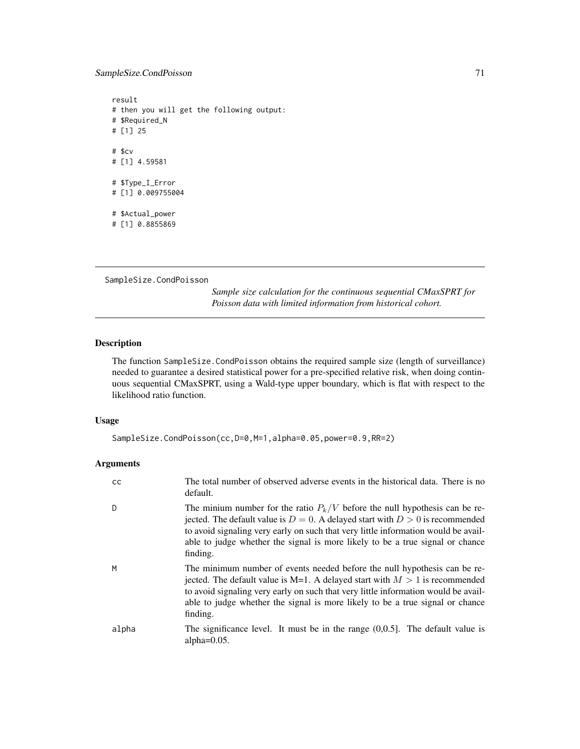# SampleSize.CondPoisson 71

result # then you will get the following output: # \$Required\_N # [1] 25 # \$cv # [1] 4.59581 # \$Type\_I\_Error # [1] 0.009755004 # \$Actual\_power # [1] 0.8855869

```
SampleSize.CondPoisson
```
*Sample size calculation for the continuous sequential CMaxSPRT for Poisson data with limited information from historical cohort.*

# Description

The function SampleSize.CondPoisson obtains the required sample size (length of surveillance) needed to guarantee a desired statistical power for a pre-specified relative risk, when doing continuous sequential CMaxSPRT, using a Wald-type upper boundary, which is flat with respect to the likelihood ratio function.

# Usage

```
SampleSize.CondPoisson(cc,D=0,M=1,alpha=0.05,power=0.9,RR=2)
```
# Arguments

| cс    | The total number of observed adverse events in the historical data. There is no<br>default.                                                                                                                                                                                                                                                            |
|-------|--------------------------------------------------------------------------------------------------------------------------------------------------------------------------------------------------------------------------------------------------------------------------------------------------------------------------------------------------------|
| D     | The minium number for the ratio $P_k/V$ before the null hypothesis can be re-<br>jected. The default value is $D = 0$ . A delayed start with $D > 0$ is recommended<br>to avoid signaling very early on such that very little information would be avail-<br>able to judge whether the signal is more likely to be a true signal or chance<br>finding. |
| М     | The minimum number of events needed before the null hypothesis can be re-<br>jected. The default value is M=1. A delayed start with $M > 1$ is recommended<br>to avoid signaling very early on such that very little information would be avail-<br>able to judge whether the signal is more likely to be a true signal or chance<br>finding.          |
| alpha | The significance level. It must be in the range $(0,0.5]$ . The default value is<br>alpha $=0.05$ .                                                                                                                                                                                                                                                    |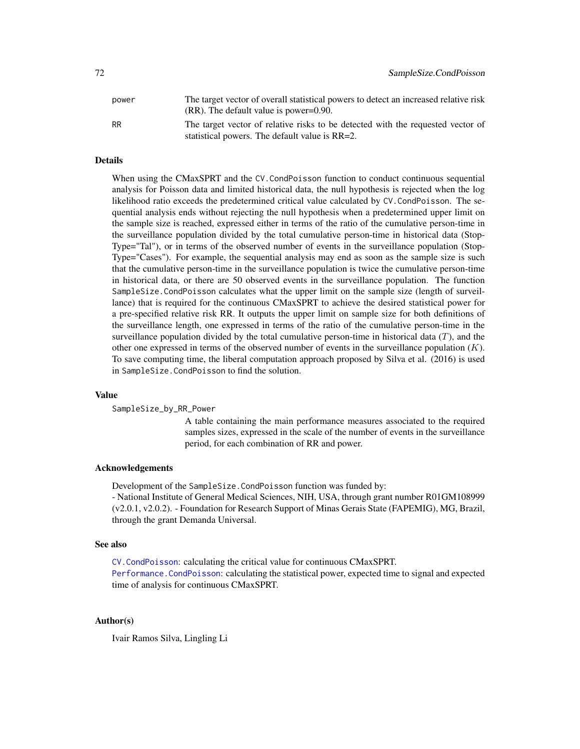| power     | The target vector of overall statistical powers to detect an increased relative risk |
|-----------|--------------------------------------------------------------------------------------|
|           | $(RR)$ . The default value is power=0.90.                                            |
| <b>RR</b> | The target vector of relative risks to be detected with the requested vector of      |
|           | statistical powers. The default value is RR=2.                                       |

# Details

When using the CMaxSPRT and the CV.CondPoisson function to conduct continuous sequential analysis for Poisson data and limited historical data, the null hypothesis is rejected when the log likelihood ratio exceeds the predetermined critical value calculated by CV.CondPoisson. The sequential analysis ends without rejecting the null hypothesis when a predetermined upper limit on the sample size is reached, expressed either in terms of the ratio of the cumulative person-time in the surveillance population divided by the total cumulative person-time in historical data (Stop-Type="Tal"), or in terms of the observed number of events in the surveillance population (Stop-Type="Cases"). For example, the sequential analysis may end as soon as the sample size is such that the cumulative person-time in the surveillance population is twice the cumulative person-time in historical data, or there are 50 observed events in the surveillance population. The function SampleSize.CondPoisson calculates what the upper limit on the sample size (length of surveillance) that is required for the continuous CMaxSPRT to achieve the desired statistical power for a pre-specified relative risk RR. It outputs the upper limit on sample size for both definitions of the surveillance length, one expressed in terms of the ratio of the cumulative person-time in the surveillance population divided by the total cumulative person-time in historical data  $(T)$ , and the other one expressed in terms of the observed number of events in the surveillance population  $(K)$ . To save computing time, the liberal computation approach proposed by Silva et al. (2016) is used in SampleSize.CondPoisson to find the solution.

#### Value

SampleSize\_by\_RR\_Power

A table containing the main performance measures associated to the required samples sizes, expressed in the scale of the number of events in the surveillance period, for each combination of RR and power.

### Acknowledgements

Development of the SampleSize.CondPoisson function was funded by:

- National Institute of General Medical Sciences, NIH, USA, through grant number R01GM108999 (v2.0.1, v2.0.2). - Foundation for Research Support of Minas Gerais State (FAPEMIG), MG, Brazil, through the grant Demanda Universal.

#### See also

[CV.CondPoisson](#page-44-0): calculating the critical value for continuous CMaxSPRT. [Performance.CondPoisson](#page-58-0): calculating the statistical power, expected time to signal and expected time of analysis for continuous CMaxSPRT.

### Author(s)

Ivair Ramos Silva, Lingling Li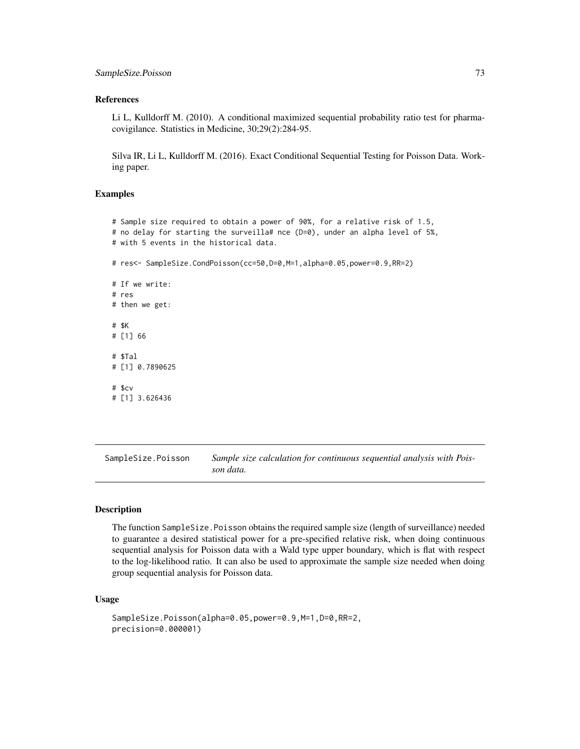## <span id="page-72-0"></span>References

Li L, Kulldorff M. (2010). A conditional maximized sequential probability ratio test for pharmacovigilance. Statistics in Medicine, 30;29(2):284-95.

Silva IR, Li L, Kulldorff M. (2016). Exact Conditional Sequential Testing for Poisson Data. Working paper.

## Examples

```
# Sample size required to obtain a power of 90%, for a relative risk of 1.5,
# no delay for starting the surveilla# nce (D=0), under an alpha level of 5%,
# with 5 events in the historical data.
# res<- SampleSize.CondPoisson(cc=50,D=0,M=1,alpha=0.05,power=0.9,RR=2)
# If we write:
# res
# then we get:
# $K
# [1] 66
# $Tal
# [1] 0.7890625
# $cv
# [1] 3.626436
```
SampleSize.Poisson *Sample size calculation for continuous sequential analysis with Poisson data.*

## Description

The function SampleSize.Poisson obtains the required sample size (length of surveillance) needed to guarantee a desired statistical power for a pre-specified relative risk, when doing continuous sequential analysis for Poisson data with a Wald type upper boundary, which is flat with respect to the log-likelihood ratio. It can also be used to approximate the sample size needed when doing group sequential analysis for Poisson data.

## Usage

```
SampleSize.Poisson(alpha=0.05,power=0.9,M=1,D=0,RR=2,
precision=0.000001)
```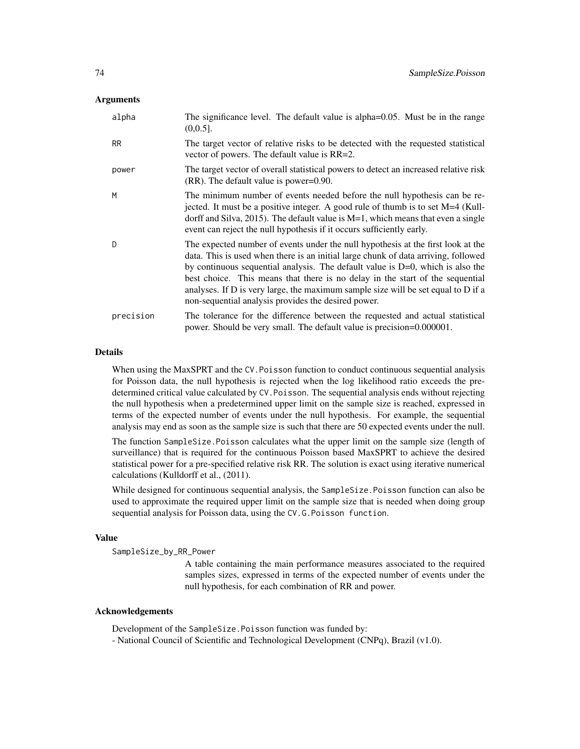## Arguments

| alpha     | The significance level. The default value is alpha=0.05. Must be in the range<br>$(0,0.5]$ .                                                                                                                                                                                                                                                                                                                                                                                             |
|-----------|------------------------------------------------------------------------------------------------------------------------------------------------------------------------------------------------------------------------------------------------------------------------------------------------------------------------------------------------------------------------------------------------------------------------------------------------------------------------------------------|
| <b>RR</b> | The target vector of relative risks to be detected with the requested statistical<br>vector of powers. The default value is RR=2.                                                                                                                                                                                                                                                                                                                                                        |
| power     | The target vector of overall statistical powers to detect an increased relative risk<br>$(RR)$ . The default value is power=0.90.                                                                                                                                                                                                                                                                                                                                                        |
| M         | The minimum number of events needed before the null hypothesis can be re-<br>jected. It must be a positive integer. A good rule of thumb is to set $M=4$ (Kull-<br>dorff and Silva, 2015). The default value is $M=1$ , which means that even a single<br>event can reject the null hypothesis if it occurs sufficiently early.                                                                                                                                                          |
| D         | The expected number of events under the null hypothesis at the first look at the<br>data. This is used when there is an initial large chunk of data arriving, followed<br>by continuous sequential analysis. The default value is $D=0$ , which is also the<br>best choice. This means that there is no delay in the start of the sequential<br>analyses. If D is very large, the maximum sample size will be set equal to D if a<br>non-sequential analysis provides the desired power. |
| precision | The tolerance for the difference between the requested and actual statistical<br>power. Should be very small. The default value is precision=0.000001.                                                                                                                                                                                                                                                                                                                                   |

## Details

When using the MaxSPRT and the CV.Poisson function to conduct continuous sequential analysis for Poisson data, the null hypothesis is rejected when the log likelihood ratio exceeds the predetermined critical value calculated by CV.Poisson. The sequential analysis ends without rejecting the null hypothesis when a predetermined upper limit on the sample size is reached, expressed in terms of the expected number of events under the null hypothesis. For example, the sequential analysis may end as soon as the sample size is such that there are 50 expected events under the null.

The function SampleSize.Poisson calculates what the upper limit on the sample size (length of surveillance) that is required for the continuous Poisson based MaxSPRT to achieve the desired statistical power for a pre-specified relative risk RR. The solution is exact using iterative numerical calculations (Kulldorff et al., (2011).

While designed for continuous sequential analysis, the SampleSize. Poisson function can also be used to approximate the required upper limit on the sample size that is needed when doing group sequential analysis for Poisson data, using the CV.G.Poisson function.

#### Value

SampleSize\_by\_RR\_Power

A table containing the main performance measures associated to the required samples sizes, expressed in terms of the expected number of events under the null hypothesis, for each combination of RR and power.

#### Acknowledgements

Development of the SampleSize.Poisson function was funded by:

- National Council of Scientific and Technological Development (CNPq), Brazil (v1.0).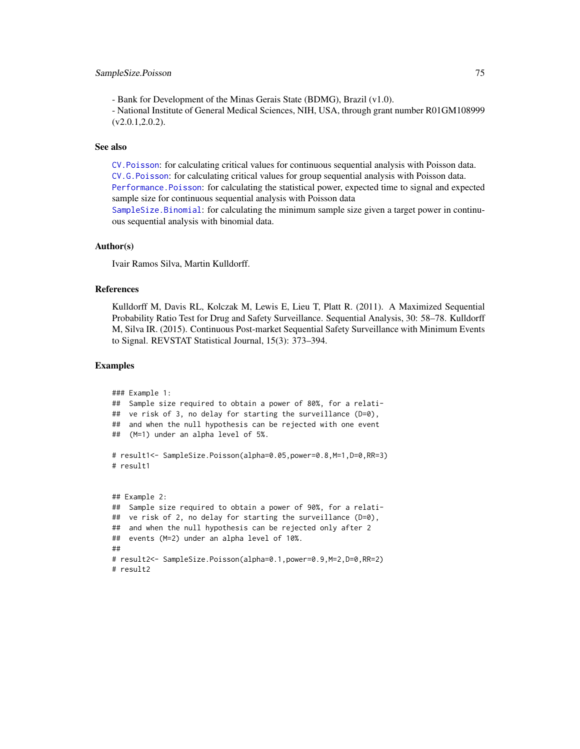## <span id="page-74-0"></span>SampleSize.Poisson 75

- Bank for Development of the Minas Gerais State (BDMG), Brazil (v1.0).

- National Institute of General Medical Sciences, NIH, USA, through grant number R01GM108999  $(v2.0.1, 2.0.2)$ .

## See also

[CV.Poisson](#page-51-0): for calculating critical values for continuous sequential analysis with Poisson data. [CV.G.Poisson](#page-49-0): for calculating critical values for group sequential analysis with Poisson data. [Performance.Poisson](#page-65-0): for calculating the statistical power, expected time to signal and expected sample size for continuous sequential analysis with Poisson data

[SampleSize.Binomial](#page-68-0): for calculating the minimum sample size given a target power in continuous sequential analysis with binomial data.

#### Author(s)

Ivair Ramos Silva, Martin Kulldorff.

#### References

Kulldorff M, Davis RL, Kolczak M, Lewis E, Lieu T, Platt R. (2011). A Maximized Sequential Probability Ratio Test for Drug and Safety Surveillance. Sequential Analysis, 30: 58–78. Kulldorff M, Silva IR. (2015). Continuous Post-market Sequential Safety Surveillance with Minimum Events to Signal. REVSTAT Statistical Journal, 15(3): 373–394.

## Examples

```
### Example 1:
## Sample size required to obtain a power of 80%, for a relati-
## ve risk of 3, no delay for starting the surveillance (D=0),
## and when the null hypothesis can be rejected with one event
## (M=1) under an alpha level of 5%.
# result1<- SampleSize.Poisson(alpha=0.05,power=0.8,M=1,D=0,RR=3)
# result1
## Example 2:
## Sample size required to obtain a power of 90%, for a relati-
## ve risk of 2, no delay for starting the surveillance (D=0),
## and when the null hypothesis can be rejected only after 2
## events (M=2) under an alpha level of 10%.
##
# result2<- SampleSize.Poisson(alpha=0.1,power=0.9,M=2,D=0,RR=2)
# result2
```